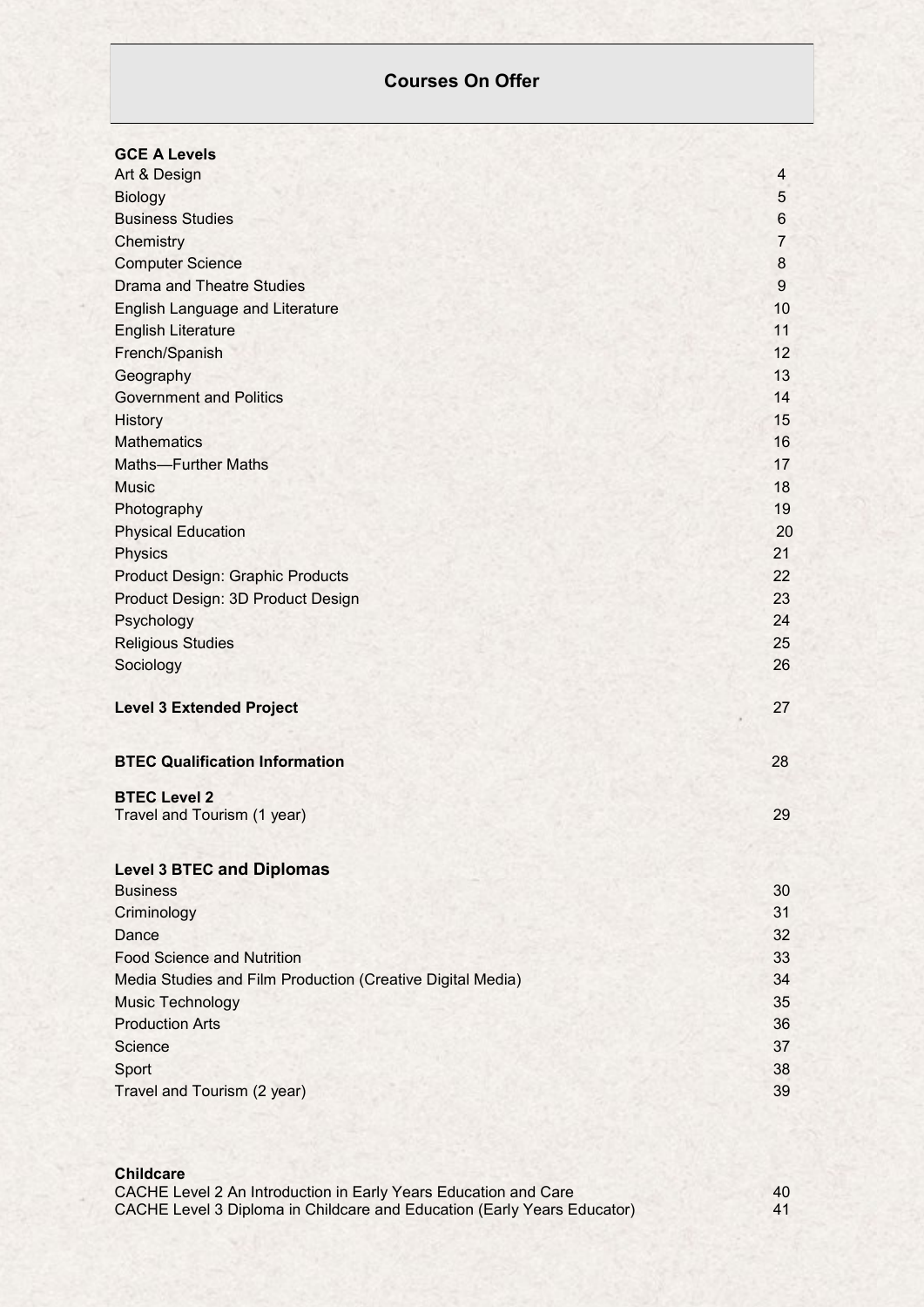# **Courses On Offer**

| <b>GCE A Levels</b>                                        |                  |
|------------------------------------------------------------|------------------|
| Art & Design                                               | $\overline{4}$   |
| <b>Biology</b>                                             | 5                |
| <b>Business Studies</b>                                    | 6                |
| Chemistry                                                  | $\overline{7}$   |
| <b>Computer Science</b>                                    | 8                |
| <b>Drama and Theatre Studies</b>                           | $\boldsymbol{9}$ |
| English Language and Literature                            | 10               |
| <b>English Literature</b>                                  | 11               |
| French/Spanish                                             | 12               |
| Geography                                                  | 13               |
| <b>Government and Politics</b>                             | 14               |
| History                                                    | 15               |
| <b>Mathematics</b>                                         | 16               |
| <b>Maths-Further Maths</b>                                 | 17               |
| <b>Music</b>                                               | 18               |
| Photography                                                | 19               |
| <b>Physical Education</b>                                  | 20               |
| Physics                                                    | 21               |
| <b>Product Design: Graphic Products</b>                    | 22               |
| Product Design: 3D Product Design                          | 23               |
| Psychology                                                 | 24               |
| <b>Religious Studies</b>                                   | 25               |
| Sociology                                                  | 26               |
| <b>Level 3 Extended Project</b>                            | 27               |
| <b>BTEC Qualification Information</b>                      | 28               |
| <b>BTEC Level 2</b>                                        |                  |
| Travel and Tourism (1 year)                                | 29               |
| <b>Level 3 BTEC and Diplomas</b>                           |                  |
| <b>Business</b>                                            | 30               |
| Criminology                                                | 31               |
| Dance                                                      | 32               |
| <b>Food Science and Nutrition</b>                          | 33               |
| Media Studies and Film Production (Creative Digital Media) | 34               |
| <b>Music Technology</b>                                    | 35               |
| <b>Production Arts</b>                                     | 36               |
| Science                                                    | 37               |
| Sport                                                      | 38               |
| Travel and Tourism (2 year)                                | 39               |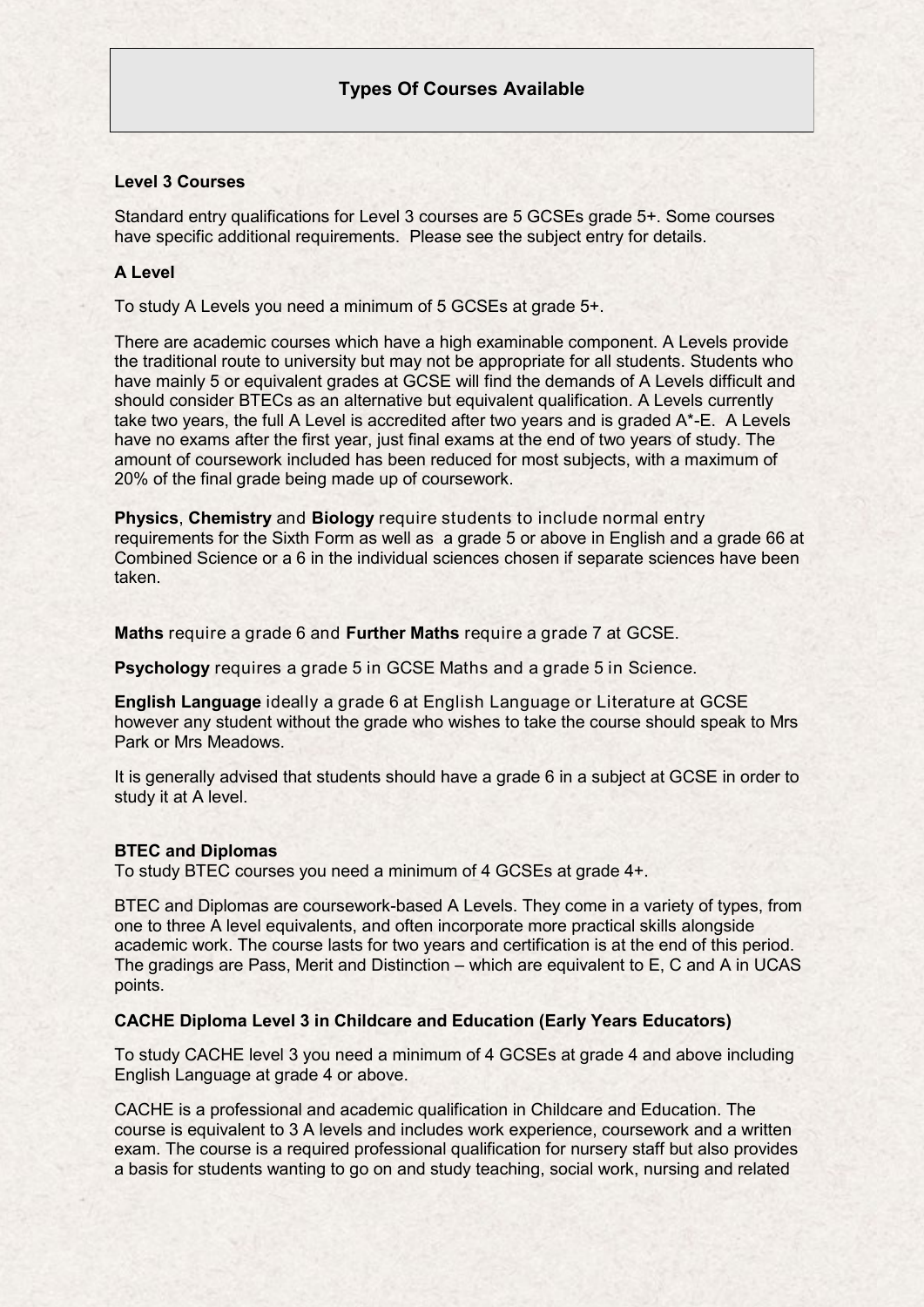### **Level 3 Courses**

Standard entry qualifications for Level 3 courses are 5 GCSEs grade 5+. Some courses have specific additional requirements. Please see the subject entry for details.

### **A Level**

To study A Levels you need a minimum of 5 GCSEs at grade 5+.

There are academic courses which have a high examinable component. A Levels provide the traditional route to university but may not be appropriate for all students. Students who have mainly 5 or equivalent grades at GCSE will find the demands of A Levels difficult and should consider BTECs as an alternative but equivalent qualification. A Levels currently take two years, the full A Level is accredited after two years and is graded A\*-E. A Levels have no exams after the first year, just final exams at the end of two years of study. The amount of coursework included has been reduced for most subjects, with a maximum of 20% of the final grade being made up of coursework.

**Physics**, **Chemistry** and **Biology** require students to include normal entry requirements for the Sixth Form as well as a grade 5 or above in English and a grade 66 at Combined Science or a 6 in the individual sciences chosen if separate sciences have been taken.

**Maths** require a grade 6 and **Further Maths** require a grade 7 at GCSE.

**Psychology** requires a grade 5 in GCSE Maths and a grade 5 in Science.

**English Language** ideally a grade 6 at English Language or Literature at GCSE however any student without the grade who wishes to take the course should speak to Mrs Park or Mrs Meadows.

It is generally advised that students should have a grade 6 in a subject at GCSE in order to study it at A level.

#### **BTEC and Diplomas**

To study BTEC courses you need a minimum of 4 GCSEs at grade 4+.

BTEC and Diplomas are coursework-based A Levels. They come in a variety of types, from one to three A level equivalents, and often incorporate more practical skills alongside academic work. The course lasts for two years and certification is at the end of this period. The gradings are Pass, Merit and Distinction – which are equivalent to E, C and A in UCAS points.

#### **CACHE Diploma Level 3 in Childcare and Education (Early Years Educators)**

To study CACHE level 3 you need a minimum of 4 GCSEs at grade 4 and above including English Language at grade 4 or above.

CACHE is a professional and academic qualification in Childcare and Education. The course is equivalent to 3 A levels and includes work experience, coursework and a written exam. The course is a required professional qualification for nursery staff but also provides a basis for students wanting to go on and study teaching, social work, nursing and related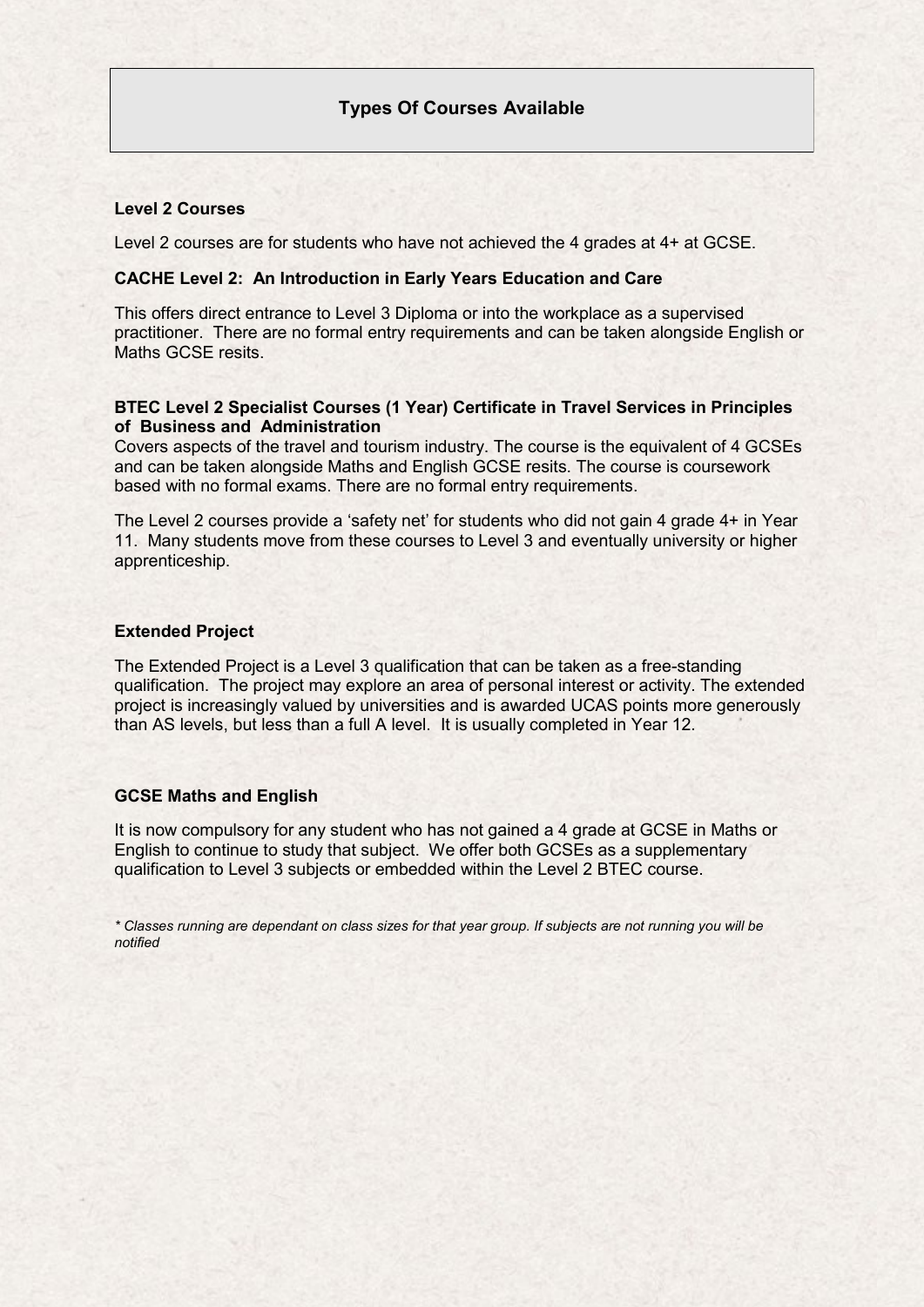### **Level 2 Courses**

Level 2 courses are for students who have not achieved the 4 grades at 4+ at GCSE.

#### **CACHE Level 2: An Introduction in Early Years Education and Care**

This offers direct entrance to Level 3 Diploma or into the workplace as a supervised practitioner. There are no formal entry requirements and can be taken alongside English or Maths GCSE resits

### **BTEC Level 2 Specialist Courses (1 Year) Certificate in Travel Services in Principles of Business and Administration**

Covers aspects of the travel and tourism industry. The course is the equivalent of 4 GCSEs and can be taken alongside Maths and English GCSE resits. The course is coursework based with no formal exams. There are no formal entry requirements.

The Level 2 courses provide a 'safety net' for students who did not gain 4 grade 4+ in Year 11. Many students move from these courses to Level 3 and eventually university or higher apprenticeship.

### **Extended Project**

The Extended Project is a Level 3 qualification that can be taken as a free-standing qualification. The project may explore an area of personal interest or activity. The extended project is increasingly valued by universities and is awarded UCAS points more generously than AS levels, but less than a full A level. It is usually completed in Year 12.

#### **GCSE Maths and English**

It is now compulsory for any student who has not gained a 4 grade at GCSE in Maths or English to continue to study that subject. We offer both GCSEs as a supplementary qualification to Level 3 subjects or embedded within the Level 2 BTEC course.

*\* Classes running are dependant on class sizes for that year group. If subjects are not running you will be notified*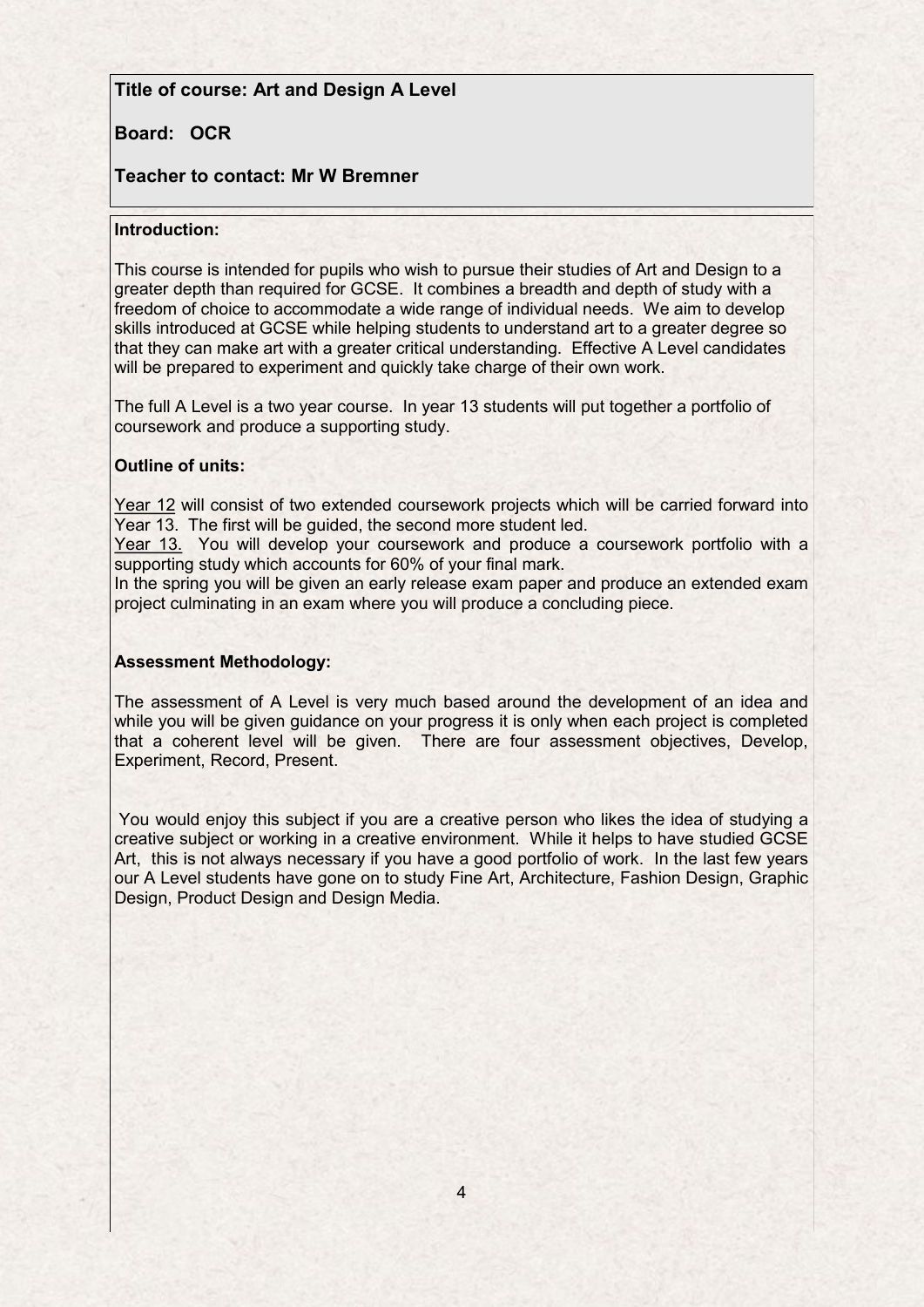## **Title of course: Art and Design A Level**

## **Board: OCR**

## **Teacher to contact: Mr W Bremner**

### **Introduction:**

This course is intended for pupils who wish to pursue their studies of Art and Design to a greater depth than required for GCSE. It combines a breadth and depth of study with a freedom of choice to accommodate a wide range of individual needs. We aim to develop skills introduced at GCSE while helping students to understand art to a greater degree so that they can make art with a greater critical understanding. Effective A Level candidates will be prepared to experiment and quickly take charge of their own work.

The full A Level is a two year course. In year 13 students will put together a portfolio of coursework and produce a supporting study.

### **Outline of units:**

Year 12 will consist of two extended coursework projects which will be carried forward into Year 13. The first will be guided, the second more student led.

Year 13. You will develop your coursework and produce a coursework portfolio with a supporting study which accounts for 60% of your final mark.

In the spring you will be given an early release exam paper and produce an extended exam project culminating in an exam where you will produce a concluding piece.

### **Assessment Methodology:**

The assessment of A Level is very much based around the development of an idea and while you will be given guidance on your progress it is only when each project is completed that a coherent level will be given. There are four assessment objectives, Develop, Experiment, Record, Present.

You would enjoy this subject if you are a creative person who likes the idea of studying a creative subject or working in a creative environment. While it helps to have studied GCSE Art, this is not always necessary if you have a good portfolio of work. In the last few years our A Level students have gone on to study Fine Art, Architecture, Fashion Design, Graphic Design, Product Design and Design Media.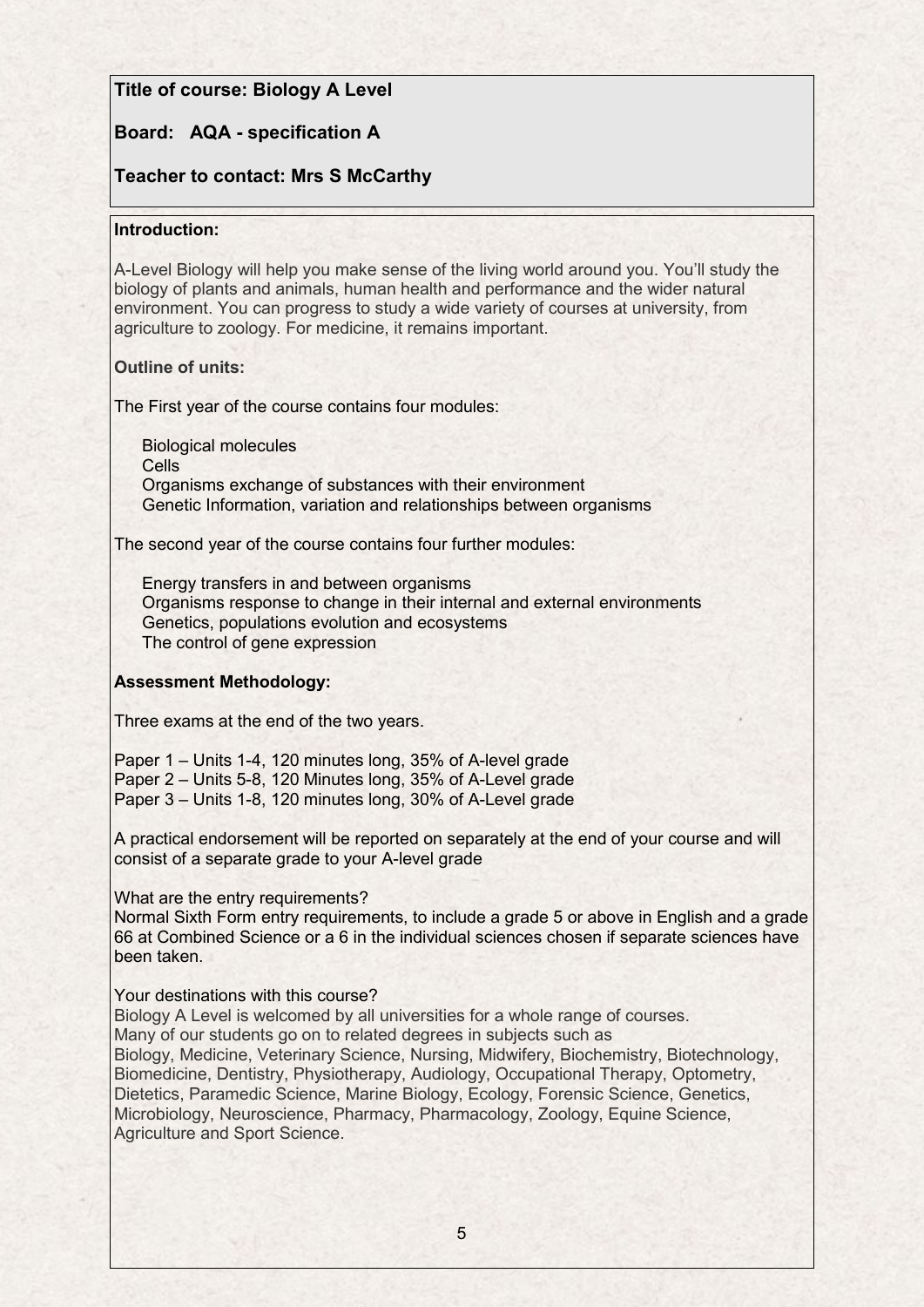## **Title of course: Biology A Level**

# **Board: AQA - specification A**

## **Teacher to contact: Mrs S McCarthy**

### **Introduction:**

A-Level Biology will help you make sense of the living world around you. You'll study the biology of plants and animals, human health and performance and the wider natural environment. You can progress to study a wide variety of courses at university, from agriculture to zoology. For medicine, it remains important.

### **Outline of units:**

The First year of the course contains four modules:

Biological molecules Cells Organisms exchange of substances with their environment Genetic Information, variation and relationships between organisms

The second year of the course contains four further modules:

Energy transfers in and between organisms Organisms response to change in their internal and external environments Genetics, populations evolution and ecosystems The control of gene expression

### **Assessment Methodology:**

Three exams at the end of the two years.

Paper 1 – Units 1-4, 120 minutes long, 35% of A-level grade Paper 2 – Units 5-8, 120 Minutes long, 35% of A-Level grade Paper 3 – Units 1-8, 120 minutes long, 30% of A-Level grade

A practical endorsement will be reported on separately at the end of your course and will consist of a separate grade to your A-level grade

#### What are the entry requirements?

Normal Sixth Form entry requirements, to include a grade 5 or above in English and a grade 66 at Combined Science or a 6 in the individual sciences chosen if separate sciences have been taken.

### Your destinations with this course?

Biology A Level is welcomed by all universities for a whole range of courses.

Many of our students go on to related degrees in subjects such as

Biology, Medicine, Veterinary Science, Nursing, Midwifery, Biochemistry, Biotechnology, Biomedicine, Dentistry, Physiotherapy, Audiology, Occupational Therapy, Optometry, Dietetics, Paramedic Science, Marine Biology, Ecology, Forensic Science, Genetics, Microbiology, Neuroscience, Pharmacy, Pharmacology, Zoology, Equine Science, Agriculture and Sport Science.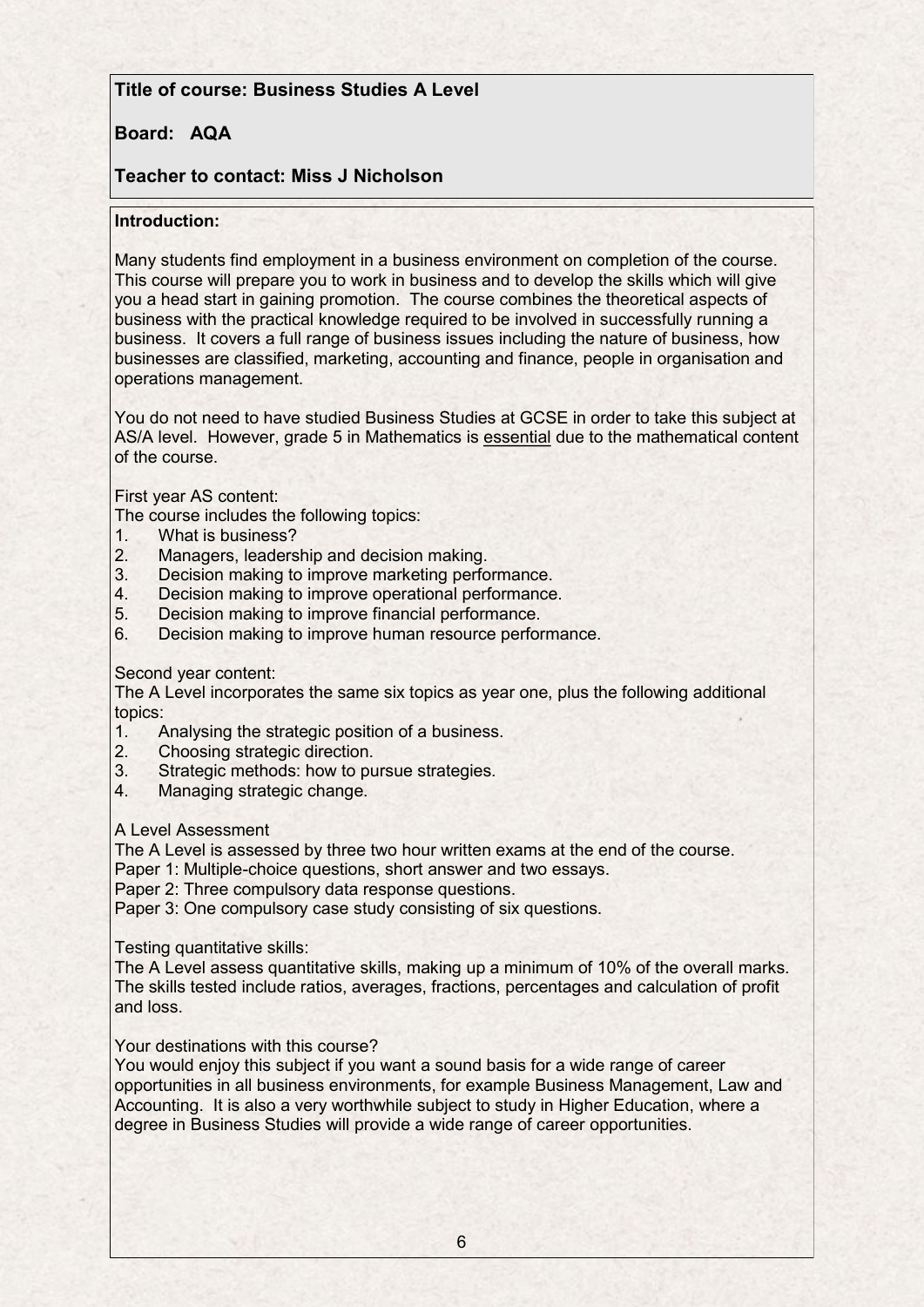# **Title of course: Business Studies A Level**

# **Board: AQA**

# **Teacher to contact: Miss J Nicholson**

### **Introduction:**

Many students find employment in a business environment on completion of the course. This course will prepare you to work in business and to develop the skills which will give you a head start in gaining promotion. The course combines the theoretical aspects of business with the practical knowledge required to be involved in successfully running a business. It covers a full range of business issues including the nature of business, how businesses are classified, marketing, accounting and finance, people in organisation and operations management.

You do not need to have studied Business Studies at GCSE in order to take this subject at AS/A level. However, grade 5 in Mathematics is essential due to the mathematical content of the course.

### First year AS content:

The course includes the following topics:

- 1. What is business?<br>2. Managers leaders
- 2. Managers, leadership and decision making.<br>3. Decision making to improve marketing perfo
- Decision making to improve marketing performance.
- 4. Decision making to improve operational performance.
- 5. Decision making to improve financial performance.
- 6. Decision making to improve human resource performance.

### Second year content:

The A Level incorporates the same six topics as year one, plus the following additional topics:

- 1. Analysing the strategic position of a business.
- 2. Choosing strategic direction.
- 3. Strategic methods: how to pursue strategies.
- 4. Managing strategic change.

#### A Level Assessment

The A Level is assessed by three two hour written exams at the end of the course.

Paper 1: Multiple-choice questions, short answer and two essays.

Paper 2: Three compulsory data response questions.

Paper 3: One compulsory case study consisting of six questions.

#### Testing quantitative skills:

The A Level assess quantitative skills, making up a minimum of 10% of the overall marks. The skills tested include ratios, averages, fractions, percentages and calculation of profit and loss.

### Your destinations with this course?

You would enjoy this subject if you want a sound basis for a wide range of career opportunities in all business environments, for example Business Management, Law and Accounting. It is also a very worthwhile subject to study in Higher Education, where a degree in Business Studies will provide a wide range of career opportunities.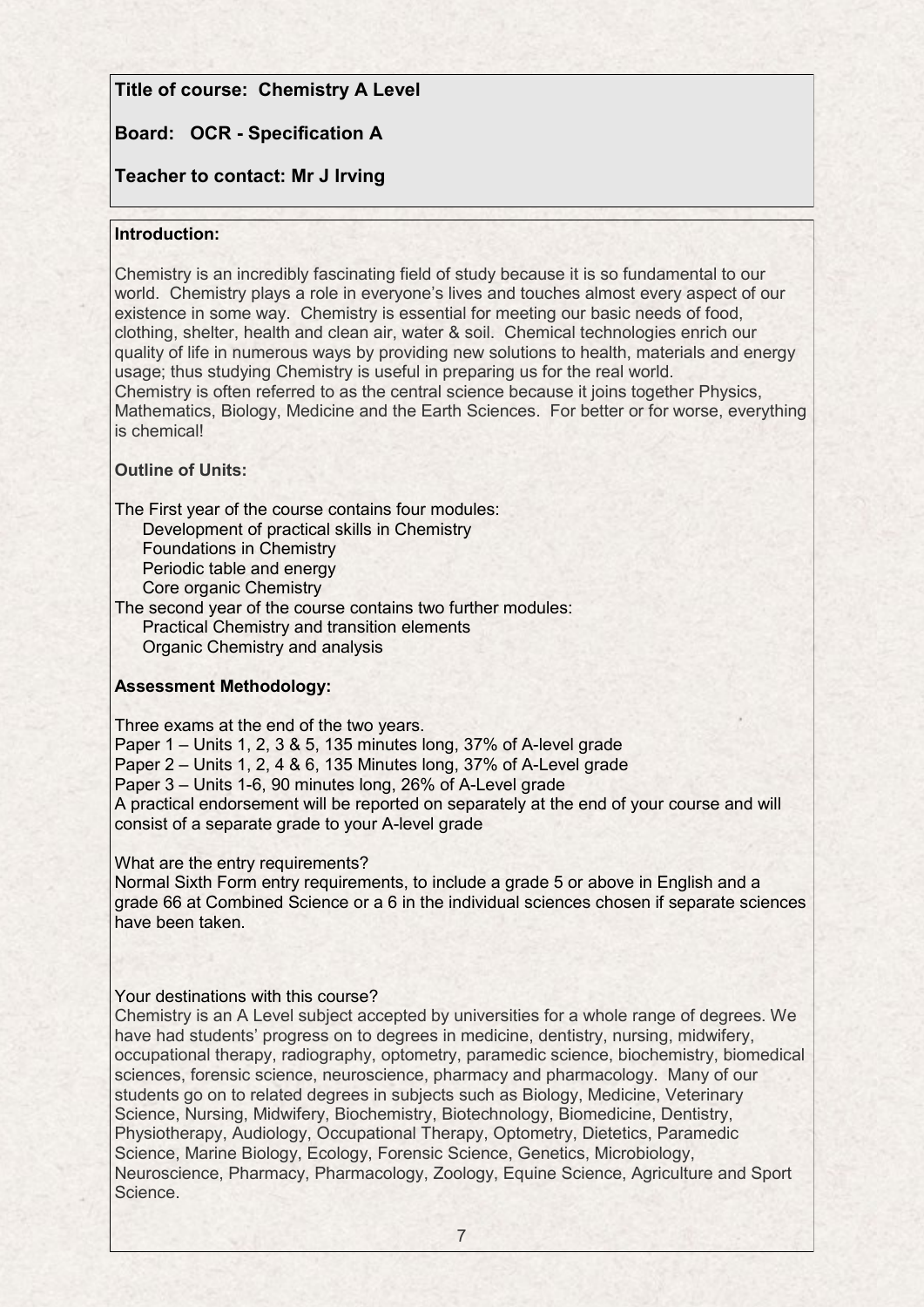## **Title of course: Chemistry A Level**

# **Board: OCR - Specification A**

# **Teacher to contact: Mr J Irving**

### **Introduction:**

Chemistry is an incredibly fascinating field of study because it is so fundamental to our world. Chemistry plays a role in everyone's lives and touches almost every aspect of our existence in some way. Chemistry is essential for meeting our basic needs of food, clothing, shelter, health and clean air, water & soil. Chemical technologies enrich our quality of life in numerous ways by providing new solutions to health, materials and energy usage; thus studying Chemistry is useful in preparing us for the real world. Chemistry is often referred to as the central science because it joins together Physics, Mathematics, Biology, Medicine and the Earth Sciences. For better or for worse, everything is chemical!

### **Outline of Units:**

The First year of the course contains four modules:

Development of practical skills in Chemistry Foundations in Chemistry Periodic table and energy Core organic Chemistry

The second year of the course contains two further modules: Practical Chemistry and transition elements Organic Chemistry and analysis

### **Assessment Methodology:**

Three exams at the end of the two years. Paper 1 – Units 1, 2, 3 & 5, 135 minutes long, 37% of A-level grade Paper 2 – Units 1, 2, 4 & 6, 135 Minutes long, 37% of A-Level grade Paper 3 – Units 1-6, 90 minutes long, 26% of A-Level grade A practical endorsement will be reported on separately at the end of your course and will consist of a separate grade to your A-level grade

What are the entry requirements?

Normal Sixth Form entry requirements, to include a grade 5 or above in English and a grade 66 at Combined Science or a 6 in the individual sciences chosen if separate sciences have been taken.

### Your destinations with this course?

Chemistry is an A Level subject accepted by universities for a whole range of degrees. We have had students' progress on to degrees in medicine, dentistry, nursing, midwifery, occupational therapy, radiography, optometry, paramedic science, biochemistry, biomedical sciences, forensic science, neuroscience, pharmacy and pharmacology. Many of our students go on to related degrees in subjects such as Biology, Medicine, Veterinary Science, Nursing, Midwifery, Biochemistry, Biotechnology, Biomedicine, Dentistry, Physiotherapy, Audiology, Occupational Therapy, Optometry, Dietetics, Paramedic Science, Marine Biology, Ecology, Forensic Science, Genetics, Microbiology, Neuroscience, Pharmacy, Pharmacology, Zoology, Equine Science, Agriculture and Sport Science.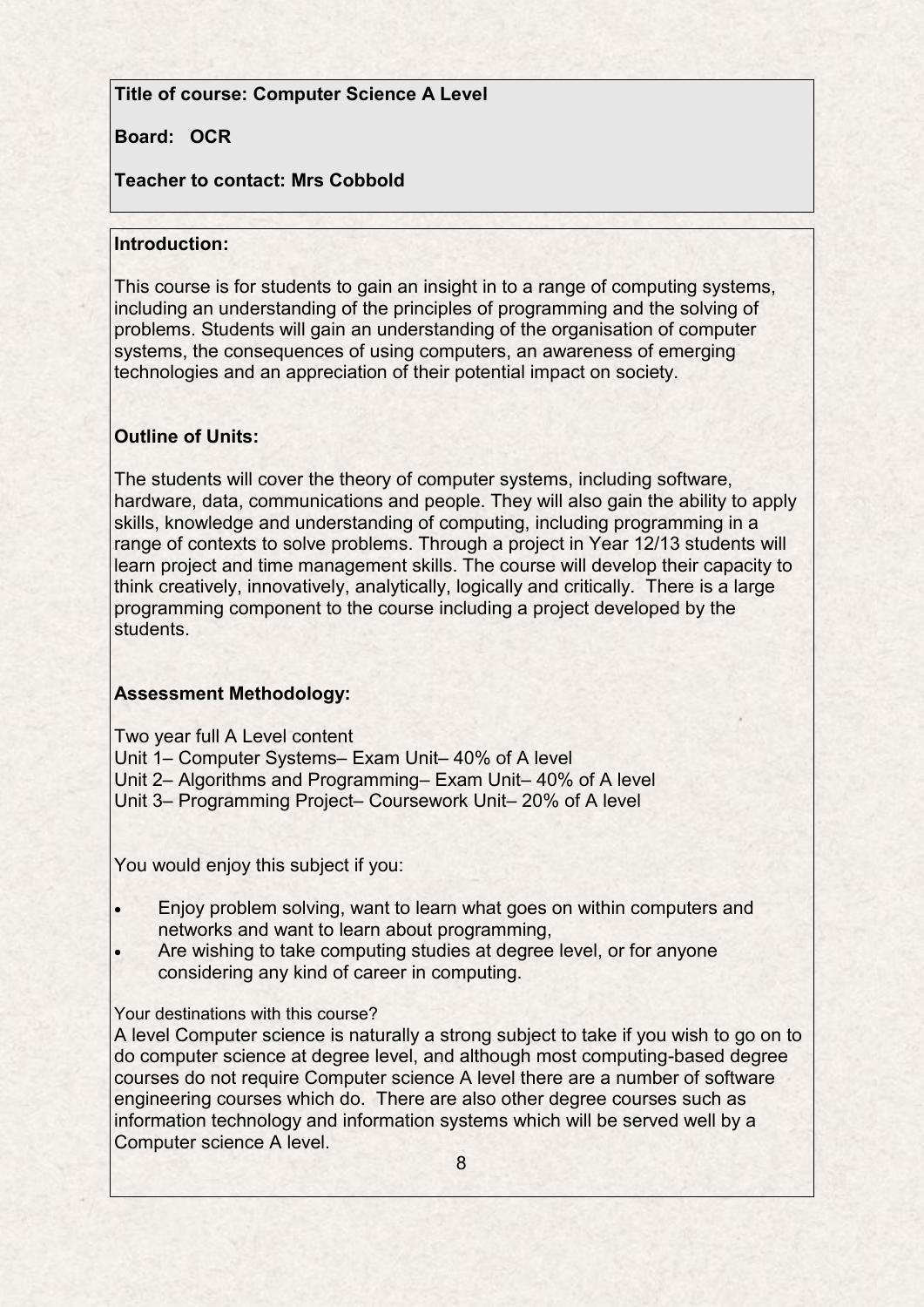# **Title of course: Computer Science A Level**

# **Board: OCR**

# **Teacher to contact: Mrs Cobbold**

## **Introduction:**

This course is for students to gain an insight in to a range of computing systems, including an understanding of the principles of programming and the solving of problems. Students will gain an understanding of the organisation of computer systems, the consequences of using computers, an awareness of emerging technologies and an appreciation of their potential impact on society.

# **Outline of Units:**

The students will cover the theory of computer systems, including software, hardware, data, communications and people. They will also gain the ability to apply skills, knowledge and understanding of computing, including programming in a range of contexts to solve problems. Through a project in Year 12/13 students will learn project and time management skills. The course will develop their capacity to think creatively, innovatively, analytically, logically and critically. There is a large programming component to the course including a project developed by the students.

# **Assessment Methodology:**

Two year full A Level content

Unit 1– Computer Systems– Exam Unit– 40% of A level

Unit 2– Algorithms and Programming– Exam Unit– 40% of A level

Unit 3– Programming Project– Coursework Unit– 20% of A level

You would enjoy this subject if you:

- Enjoy problem solving, want to learn what goes on within computers and networks and want to learn about programming,
- Are wishing to take computing studies at degree level, or for anyone considering any kind of career in computing.

# Your destinations with this course?

A level Computer science is naturally a strong subject to take if you wish to go on to do computer science at degree level, and although most computing-based degree courses do not require Computer science A level there are a number of software engineering courses which do. There are also other degree courses such as information technology and information systems which will be served well by a Computer science A level.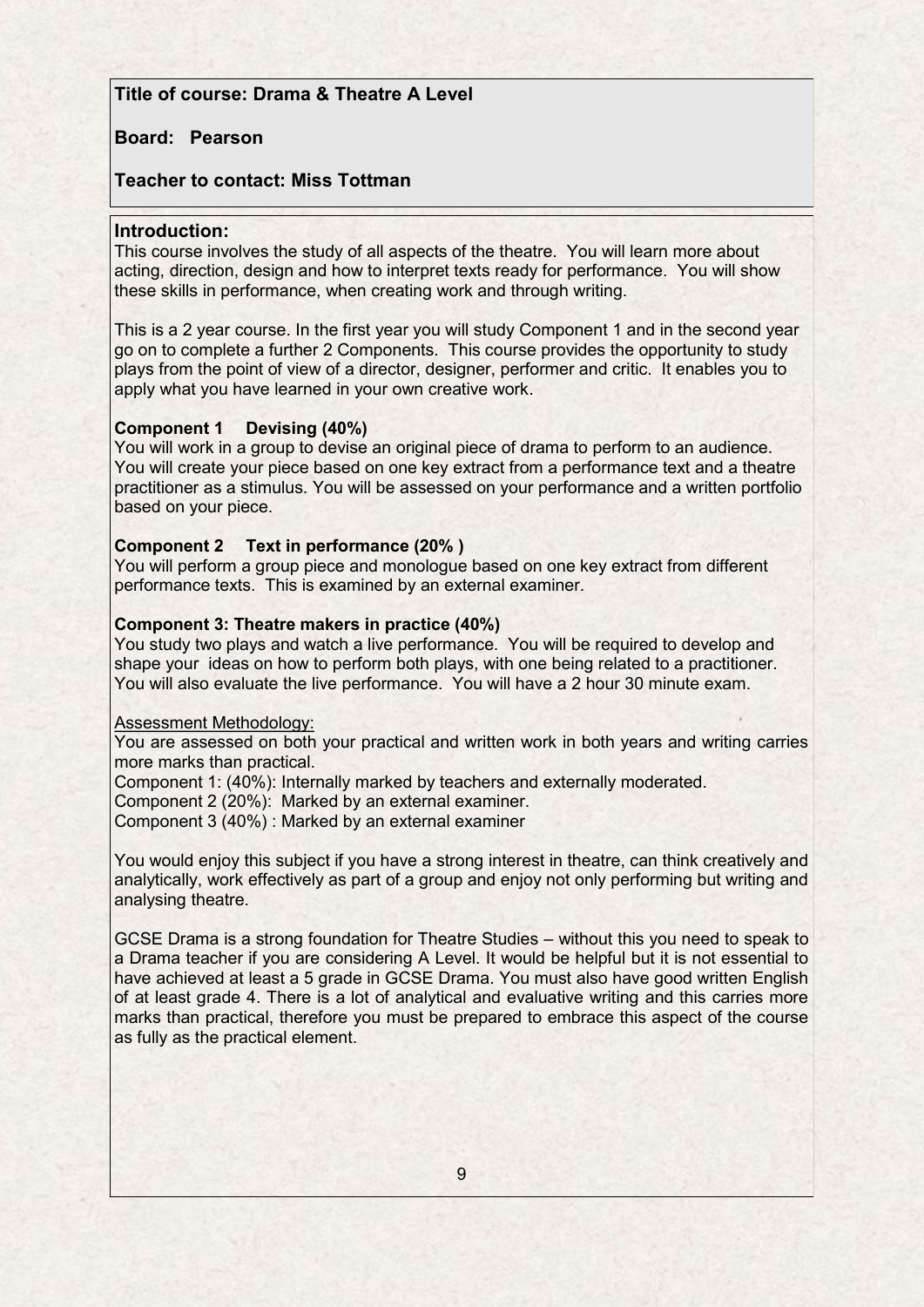# **Title of course: Drama & Theatre A Level**

### **Board: Pearson**

### **Teacher to contact: Miss Tottman**

#### **Introduction:**

This course involves the study of all aspects of the theatre. You will learn more about acting, direction, design and how to interpret texts ready for performance. You will show these skills in performance, when creating work and through writing.

This is a 2 year course. In the first year you will study Component 1 and in the second year go on to complete a further 2 Components. This course provides the opportunity to study plays from the point of view of a director, designer, performer and critic. It enables you to apply what you have learned in your own creative work.

#### **Component 1 Devising (40%)**

You will work in a group to devise an original piece of drama to perform to an audience. You will create your piece based on one key extract from a performance text and a theatre practitioner as a stimulus. You will be assessed on your performance and a written portfolio based on your piece.

#### **Component 2 Text in performance (20% )**

You will perform a group piece and monologue based on one key extract from different performance texts. This is examined by an external examiner.

#### **Component 3: Theatre makers in practice (40%)**

You study two plays and watch a live performance. You will be required to develop and shape your ideas on how to perform both plays, with one being related to a practitioner. You will also evaluate the live performance. You will have a 2 hour 30 minute exam.

#### Assessment Methodology:

You are assessed on both your practical and written work in both years and writing carries more marks than practical.

Component 1: (40%): Internally marked by teachers and externally moderated.

Component 2 (20%): Marked by an external examiner.

Component 3 (40%) : Marked by an external examiner

You would enjoy this subject if you have a strong interest in theatre, can think creatively and analytically, work effectively as part of a group and enjoy not only performing but writing and analysing theatre.

GCSE Drama is a strong foundation for Theatre Studies – without this you need to speak to a Drama teacher if you are considering A Level. It would be helpful but it is not essential to have achieved at least a 5 grade in GCSE Drama. You must also have good written English of at least grade 4. There is a lot of analytical and evaluative writing and this carries more marks than practical, therefore you must be prepared to embrace this aspect of the course as fully as the practical element.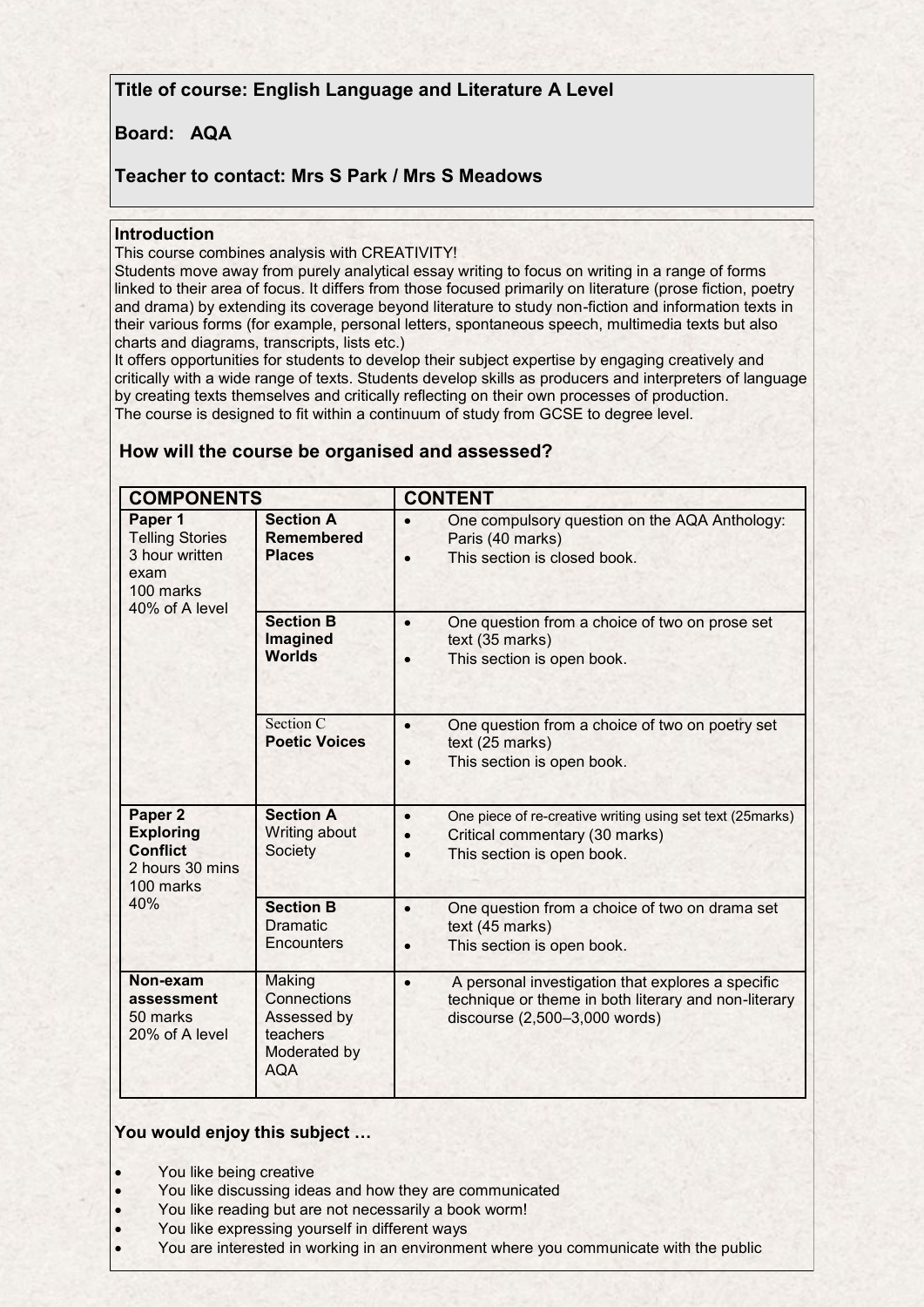**Title of course: English Language and Literature A Level**

## **Board: AQA**

# **Teacher to contact: Mrs S Park / Mrs S Meadows**

#### **Introduction**

This course combines analysis with CREATIVITY!

Students move away from purely analytical essay writing to focus on writing in a range of forms linked to their area of focus. It differs from those focused primarily on literature (prose fiction, poetry and drama) by extending its coverage beyond literature to study non-fiction and information texts in their various forms (for example, personal letters, spontaneous speech, multimedia texts but also charts and diagrams, transcripts, lists etc.)

It offers opportunities for students to develop their subject expertise by engaging creatively and critically with a wide range of texts. Students develop skills as producers and interpreters of language by creating texts themselves and critically reflecting on their own processes of production. The course is designed to fit within a continuum of study from GCSE to degree level.

| <b>COMPONENTS</b>                                                                          |                                                                                | <b>CONTENT</b>                                                                                                                                                   |  |  |
|--------------------------------------------------------------------------------------------|--------------------------------------------------------------------------------|------------------------------------------------------------------------------------------------------------------------------------------------------------------|--|--|
| Paper 1<br><b>Telling Stories</b><br>3 hour written<br>exam<br>100 marks<br>40% of A level | <b>Section A</b><br><b>Remembered</b><br><b>Places</b>                         | One compulsory question on the AQA Anthology:<br>$\bullet$<br>Paris (40 marks)<br>This section is closed book.<br>$\bullet$                                      |  |  |
|                                                                                            | <b>Section B</b><br>Imagined<br><b>Worlds</b>                                  | One question from a choice of two on prose set<br>$\bullet$<br>text (35 marks)<br>This section is open book.                                                     |  |  |
|                                                                                            | Section C<br><b>Poetic Voices</b>                                              | One question from a choice of two on poetry set<br>$\bullet$<br>text (25 marks)<br>This section is open book.<br>$\bullet$                                       |  |  |
| Paper 2<br><b>Exploring</b><br><b>Conflict</b><br>2 hours 30 mins<br>100 marks             | <b>Section A</b><br>Writing about<br>Society                                   | $\bullet$<br>One piece of re-creative writing using set text (25marks)<br>Critical commentary (30 marks)<br>$\bullet$<br>This section is open book.<br>$\bullet$ |  |  |
| 40%                                                                                        | <b>Section B</b><br><b>Dramatic</b><br>Encounters                              | One question from a choice of two on drama set<br>$\bullet$<br>text (45 marks)<br>This section is open book.<br>$\bullet$                                        |  |  |
| Non-exam<br>assessment<br>50 marks<br>20% of A level                                       | Making<br>Connections<br>Assessed by<br>teachers<br>Moderated by<br><b>AQA</b> | A personal investigation that explores a specific<br>$\bullet$<br>technique or theme in both literary and non-literary<br>discourse (2,500-3,000 words)          |  |  |

### **How will the course be organised and assessed?**

### **You would enjoy this subject …**

- You like being creative
- You like discussing ideas and how they are communicated
- You like reading but are not necessarily a book worm!
- You like expressing yourself in different ways
- You are interested in working in an environment where you communicate with the public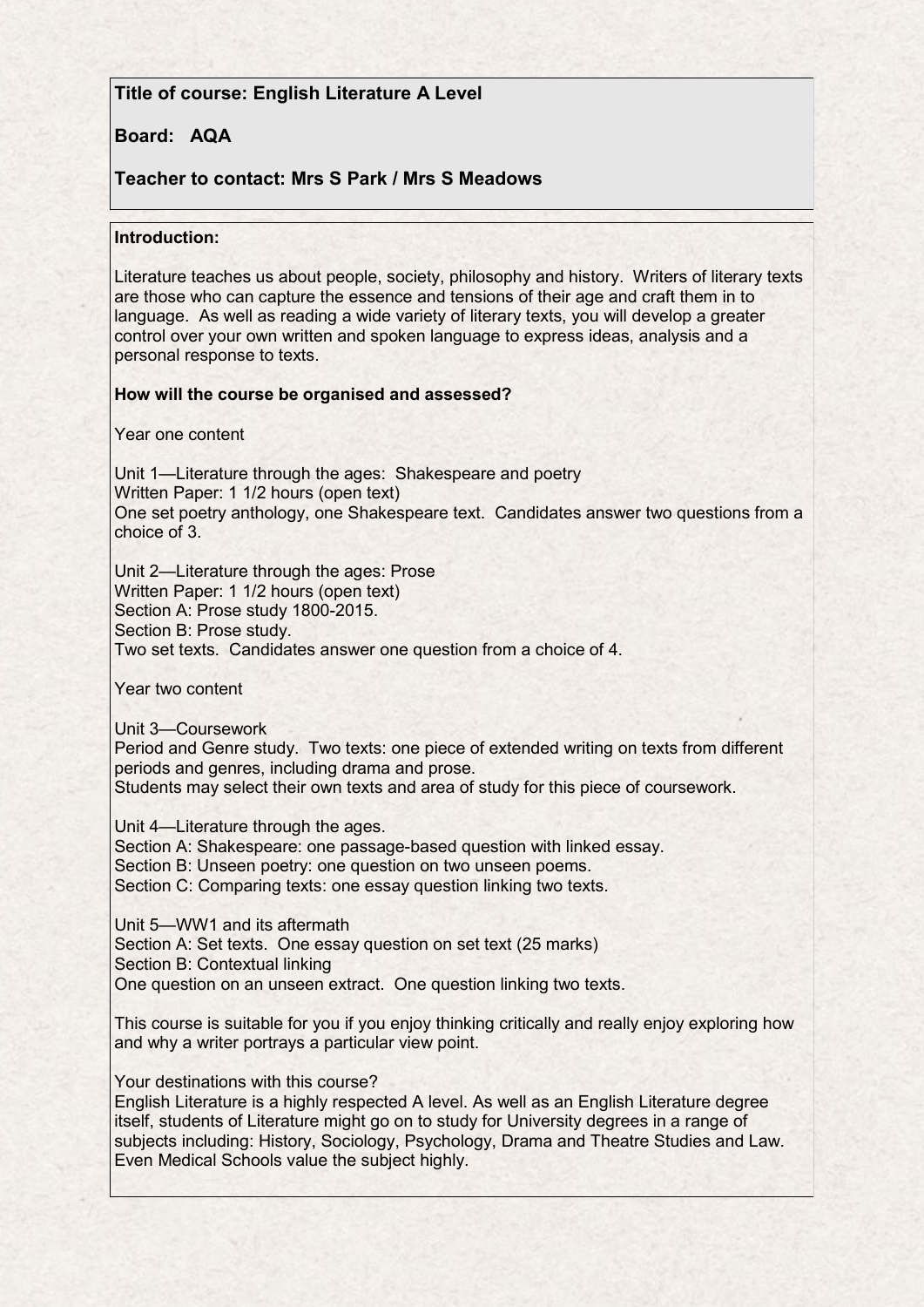# **Title of course: English Literature A Level**

## **Board: AQA**

# **Teacher to contact: Mrs S Park / Mrs S Meadows**

### **Introduction:**

Literature teaches us about people, society, philosophy and history. Writers of literary texts are those who can capture the essence and tensions of their age and craft them in to language. As well as reading a wide variety of literary texts, you will develop a greater control over your own written and spoken language to express ideas, analysis and a personal response to texts.

#### **How will the course be organised and assessed?**

Year one content

Unit 1—Literature through the ages: Shakespeare and poetry Written Paper: 1 1/2 hours (open text) One set poetry anthology, one Shakespeare text. Candidates answer two questions from a choice of 3.

Unit 2—Literature through the ages: Prose Written Paper: 1 1/2 hours (open text) Section A: Prose study 1800-2015. Section B: Prose study. Two set texts. Candidates answer one question from a choice of 4.

Year two content

Unit 3—Coursework

Period and Genre study. Two texts: one piece of extended writing on texts from different periods and genres, including drama and prose.

Students may select their own texts and area of study for this piece of coursework.

Unit 4—Literature through the ages.

Section A: Shakespeare: one passage-based question with linked essay. Section B: Unseen poetry: one question on two unseen poems. Section C: Comparing texts: one essay question linking two texts.

Unit 5—WW1 and its aftermath Section A: Set texts. One essay question on set text (25 marks) Section B: Contextual linking One question on an unseen extract. One question linking two texts.

This course is suitable for you if you enjoy thinking critically and really enjoy exploring how and why a writer portrays a particular view point.

Your destinations with this course?

English Literature is a highly respected A level. As well as an English Literature degree itself, students of Literature might go on to study for University degrees in a range of subjects including: History, Sociology, Psychology, Drama and Theatre Studies and Law. Even Medical Schools value the subject highly.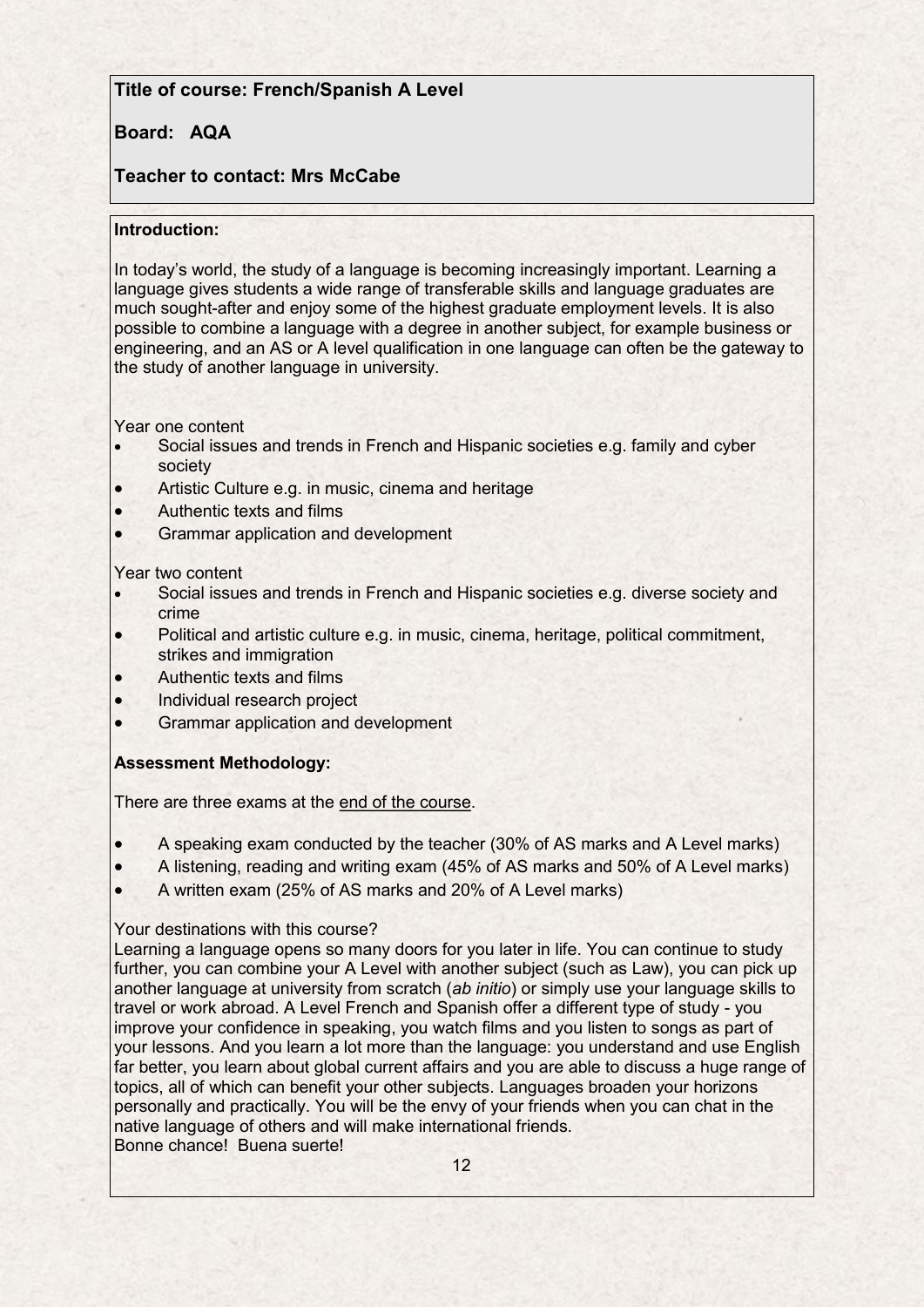# **Title of course: French/Spanish A Level**

# **Board: AQA**

# **Teacher to contact: Mrs McCabe**

### **Introduction:**

In today's world, the study of a language is becoming increasingly important. Learning a language gives students a wide range of transferable skills and language graduates are much sought-after and enjoy some of the highest graduate employment levels. It is also possible to combine a language with a degree in another subject, for example business or engineering, and an AS or A level qualification in one language can often be the gateway to the study of another language in university.

Year one content

- Social issues and trends in French and Hispanic societies e.g. family and cyber society
- Artistic Culture e.g. in music, cinema and heritage
- Authentic texts and films
- Grammar application and development

Year two content

- Social issues and trends in French and Hispanic societies e.g. diverse society and crime
- Political and artistic culture e.g. in music, cinema, heritage, political commitment, strikes and immigration
- Authentic texts and films
- Individual research project
- Grammar application and development

### **Assessment Methodology:**

There are three exams at the end of the course.

- A speaking exam conducted by the teacher (30% of AS marks and A Level marks)
- A listening, reading and writing exam (45% of AS marks and 50% of A Level marks)
- A written exam (25% of AS marks and 20% of A Level marks)

### Your destinations with this course?

Learning a language opens so many doors for you later in life. You can continue to study further, you can combine your A Level with another subject (such as Law), you can pick up another language at university from scratch (*ab initio*) or simply use your language skills to travel or work abroad. A Level French and Spanish offer a different type of study - you improve your confidence in speaking, you watch films and you listen to songs as part of your lessons. And you learn a lot more than the language: you understand and use English far better, you learn about global current affairs and you are able to discuss a huge range of topics, all of which can benefit your other subjects. Languages broaden your horizons personally and practically. You will be the envy of your friends when you can chat in the native language of others and will make international friends. Bonne chance! Buena suerte!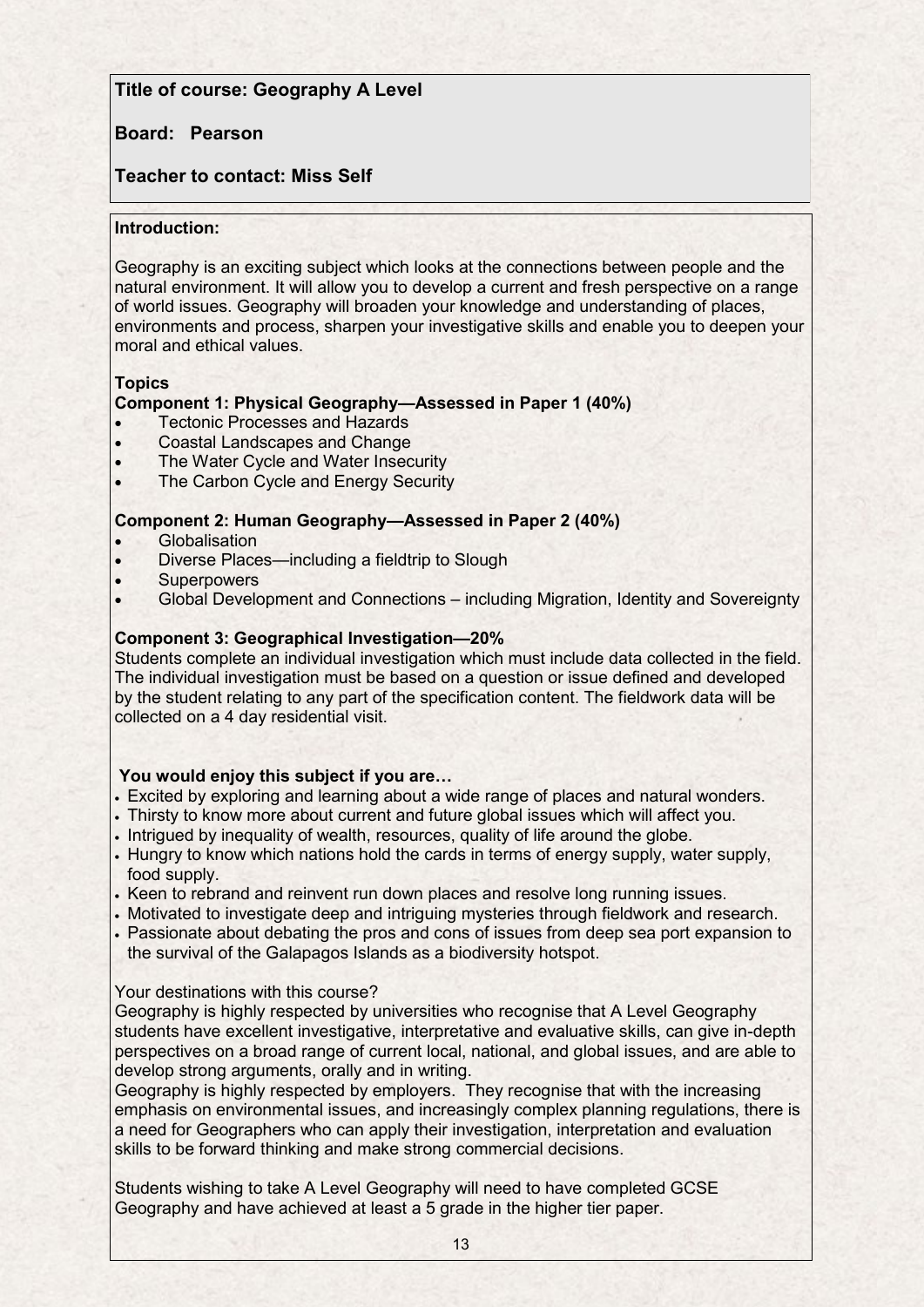# **Title of course: Geography A Level**

### **Board: Pearson**

# **Teacher to contact: Miss Self**

#### **Introduction:**

Geography is an exciting subject which looks at the connections between people and the natural environment. It will allow you to develop a current and fresh perspective on a range of world issues. Geography will broaden your knowledge and understanding of places, environments and process, sharpen your investigative skills and enable you to deepen your moral and ethical values.

### **Topics**

### **Component 1: Physical Geography—Assessed in Paper 1 (40%)**

- Tectonic Processes and Hazards
- Coastal Landscapes and Change
- The Water Cycle and Water Insecurity
- The Carbon Cycle and Energy Security

### **Component 2: Human Geography—Assessed in Paper 2 (40%)**

- **•** Globalisation
- Diverse Places—including a fieldtrip to Slough
- **Superpowers**
- Global Development and Connections including Migration, Identity and Sovereignty

### **Component 3: Geographical Investigation—20%**

Students complete an individual investigation which must include data collected in the field. The individual investigation must be based on a question or issue defined and developed by the student relating to any part of the specification content. The fieldwork data will be collected on a 4 day residential visit.

### **You would enjoy this subject if you are…**

- Excited by exploring and learning about a wide range of places and natural wonders.
- Thirsty to know more about current and future global issues which will affect you.
- . Intrigued by inequality of wealth, resources, quality of life around the globe.
- Hungry to know which nations hold the cards in terms of energy supply, water supply, food supply.
- . Keen to rebrand and reinvent run down places and resolve long running issues.
- Motivated to investigate deep and intriguing mysteries through fieldwork and research.
- Passionate about debating the pros and cons of issues from deep sea port expansion to the survival of the Galapagos Islands as a biodiversity hotspot.

#### Your destinations with this course?

Geography is highly respected by universities who recognise that A Level Geography students have excellent investigative, interpretative and evaluative skills, can give in-depth perspectives on a broad range of current local, national, and global issues, and are able to develop strong arguments, orally and in writing.

Geography is highly respected by employers. They recognise that with the increasing emphasis on environmental issues, and increasingly complex planning regulations, there is a need for Geographers who can apply their investigation, interpretation and evaluation skills to be forward thinking and make strong commercial decisions.

Students wishing to take A Level Geography will need to have completed GCSE Geography and have achieved at least a 5 grade in the higher tier paper.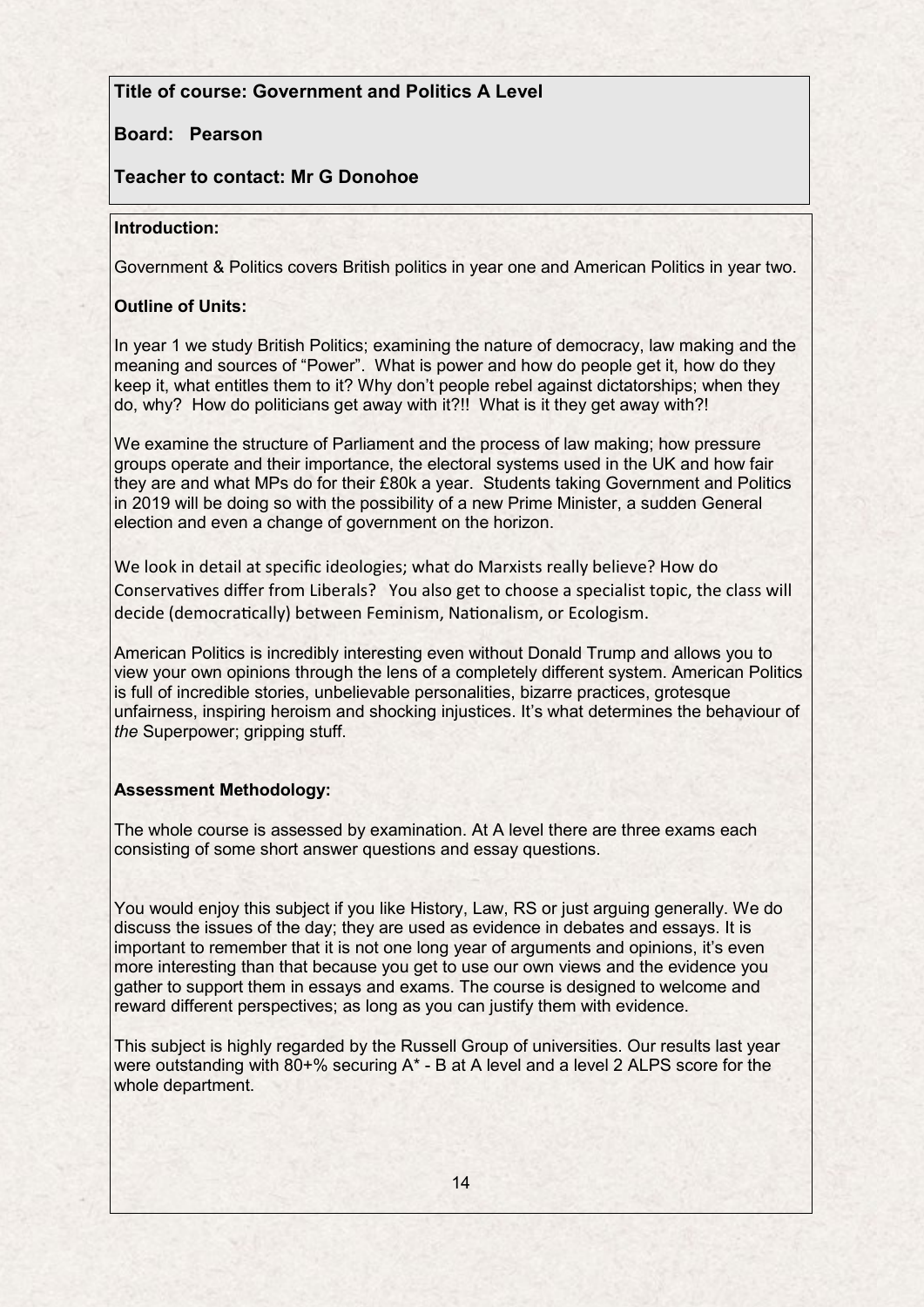# **Title of course: Government and Politics A Level**  $\blacksquare$

## **Board: Pearson**

# **Teacher to contact: Mr G Donohoe**

#### **Introduction:**

Government & Politics covers British politics in year one and American Politics in year two.

### **Outline of Units:**

In year 1 we study British Politics; examining the nature of democracy, law making and the meaning and sources of "Power". What is power and how do people get it, how do they keep it, what entitles them to it? Why don't people rebel against dictatorships; when they do, why? How do politicians get away with it?!! What is it they get away with?!

We examine the structure of Parliament and the process of law making; how pressure groups operate and their importance, the electoral systems used in the UK and how fair they are and what MPs do for their £80k a year. Students taking Government and Politics in 2019 will be doing so with the possibility of a new Prime Minister, a sudden General election and even a change of government on the horizon.

We look in detail at specific ideologies; what do Marxists really believe? How do Conservatives differ from Liberals? You also get to choose a specialist topic, the class will decide (democratically) between Feminism, Nationalism, or Ecologism.

American Politics is incredibly interesting even without Donald Trump and allows you to view your own opinions through the lens of a completely different system. American Politics is full of incredible stories, unbelievable personalities, bizarre practices, grotesque unfairness, inspiring heroism and shocking injustices. It's what determines the behaviour of *the* Superpower; gripping stuff.

### **Assessment Methodology:**

The whole course is assessed by examination. At A level there are three exams each consisting of some short answer questions and essay questions.

You would enjoy this subject if you like History, Law, RS or just arguing generally. We do discuss the issues of the day; they are used as evidence in debates and essays. It is important to remember that it is not one long year of arguments and opinions, it's even more interesting than that because you get to use our own views and the evidence you gather to support them in essays and exams. The course is designed to welcome and reward different perspectives; as long as you can justify them with evidence.

This subject is highly regarded by the Russell Group of universities. Our results last year were outstanding with 80+% securing A\* - B at A level and a level 2 ALPS score for the whole department.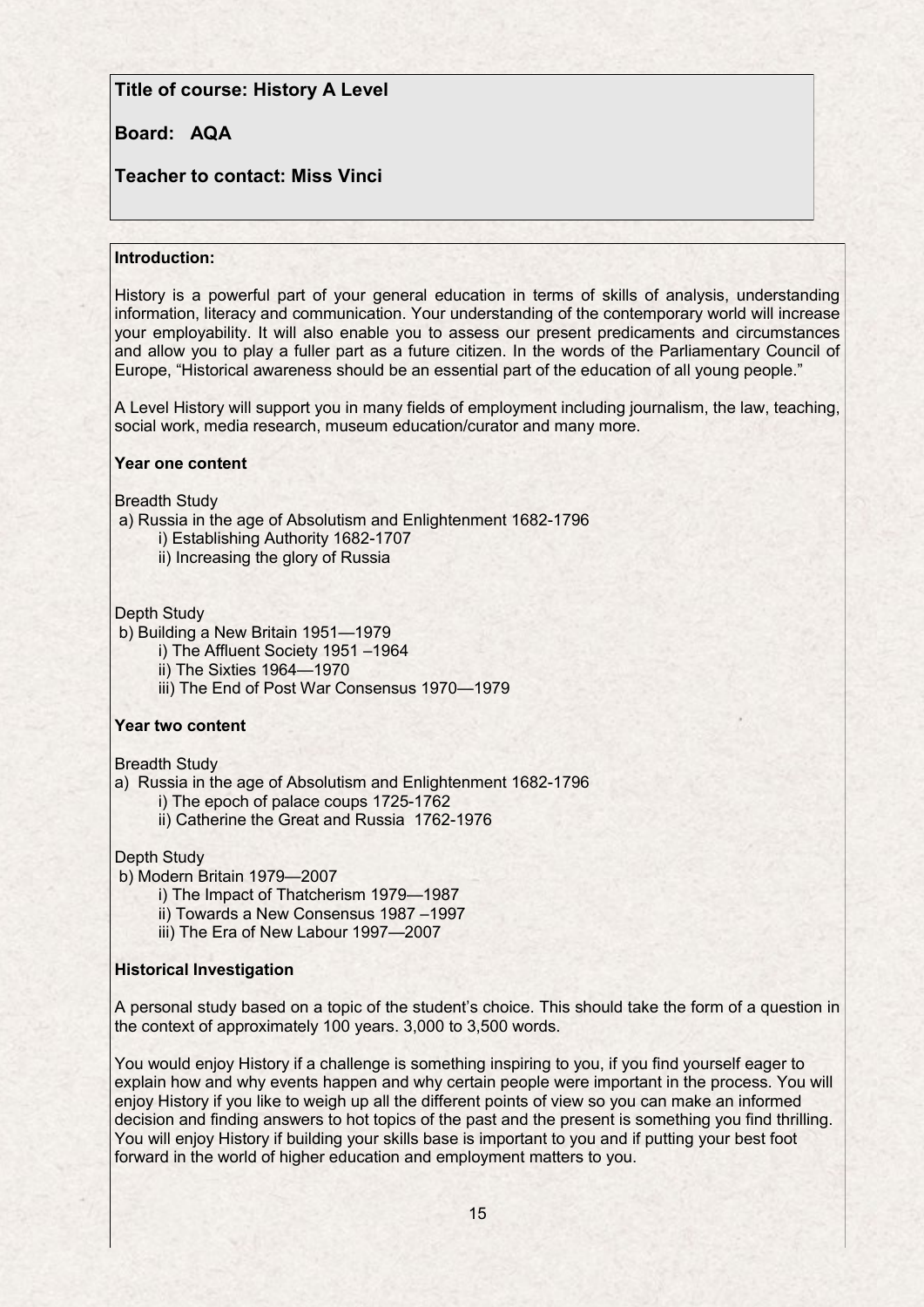### **Title of course: History A Level**

## **Board: AQA**

# **Teacher to contact: Miss Vinci**

#### **Introduction:**

History is a powerful part of your general education in terms of skills of analysis, understanding information, literacy and communication. Your understanding of the contemporary world will increase your employability. It will also enable you to assess our present predicaments and circumstances and allow you to play a fuller part as a future citizen. In the words of the Parliamentary Council of Europe, "Historical awareness should be an essential part of the education of all young people."

A Level History will support you in many fields of employment including journalism, the law, teaching, social work, media research, museum education/curator and many more.

#### **Year one content**

Breadth Study

- a) Russia in the age of Absolutism and Enlightenment 1682-1796 i) Establishing Authority 1682-1707
	- ii) Increasing the glory of Russia

Depth Study

b) Building a New Britain 1951—1979

i) The Affluent Society 1951 –1964

ii) The Sixties 1964—1970

iii) The End of Post War Consensus 1970—1979

#### **Year two content**

Breadth Study

a) Russia in the age of Absolutism and Enlightenment 1682-1796

i) The epoch of palace coups 1725-1762

ii) Catherine the Great and Russia 1762-1976

Depth Study

b) Modern Britain 1979—2007

i) The Impact of Thatcherism 1979—1987

- ii) Towards a New Consensus 1987 –1997
- iii) The Era of New Labour 1997—2007

#### **Historical Investigation**

A personal study based on a topic of the student's choice. This should take the form of a question in the context of approximately 100 years. 3,000 to 3,500 words.

You would enjoy History if a challenge is something inspiring to you, if you find yourself eager to explain how and why events happen and why certain people were important in the process. You will enjoy History if you like to weigh up all the different points of view so you can make an informed decision and finding answers to hot topics of the past and the present is something you find thrilling. You will enjoy History if building your skills base is important to you and if putting your best foot forward in the world of higher education and employment matters to you.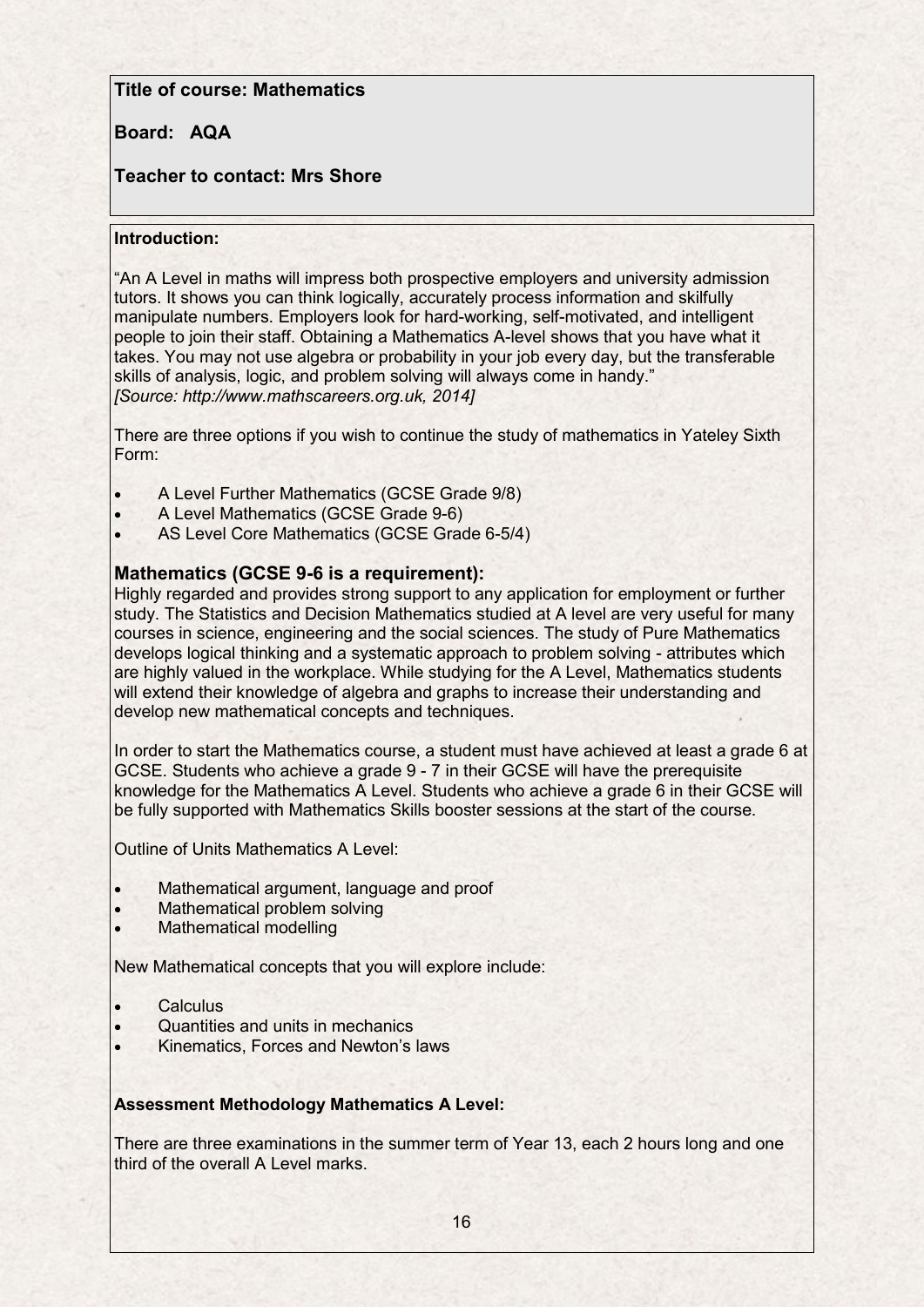## **Title of course: Mathematics**

# **Board: AQA**

## **Teacher to contact: Mrs Shore**

### **Introduction:**

"An A Level in maths will impress both prospective employers and university admission tutors. It shows you can think logically, accurately process information and skilfully manipulate numbers. Employers look for hard-working, self-motivated, and intelligent people to join their staff. Obtaining a Mathematics A-level shows that you have what it takes. You may not use algebra or probability in your job every day, but the transferable skills of analysis, logic, and problem solving will always come in handy." *[Source: http://www.mathscareers.org.uk, 2014]*

There are three options if you wish to continue the study of mathematics in Yateley Sixth Form:

- A Level Further Mathematics (GCSE Grade 9/8)
- A Level Mathematics (GCSE Grade 9-6)
- AS Level Core Mathematics (GCSE Grade 6-5/4)

### **Mathematics (GCSE 9-6 is a requirement):**

Highly regarded and provides strong support to any application for employment or further study. The Statistics and Decision Mathematics studied at A level are very useful for many courses in science, engineering and the social sciences. The study of Pure Mathematics develops logical thinking and a systematic approach to problem solving - attributes which are highly valued in the workplace. While studying for the A Level, Mathematics students will extend their knowledge of algebra and graphs to increase their understanding and develop new mathematical concepts and techniques.

In order to start the Mathematics course, a student must have achieved at least a grade 6 at GCSE. Students who achieve a grade 9 - 7 in their GCSE will have the prerequisite knowledge for the Mathematics A Level. Students who achieve a grade 6 in their GCSE will be fully supported with Mathematics Skills booster sessions at the start of the course.

Outline of Units Mathematics A Level:

- Mathematical argument, language and proof
- Mathematical problem solving
- Mathematical modelling

New Mathematical concepts that you will explore include:

- **Calculus**
- Quantities and units in mechanics
- Kinematics, Forces and Newton's laws

### **Assessment Methodology Mathematics A Level:**

There are three examinations in the summer term of Year 13, each 2 hours long and one third of the overall A Level marks.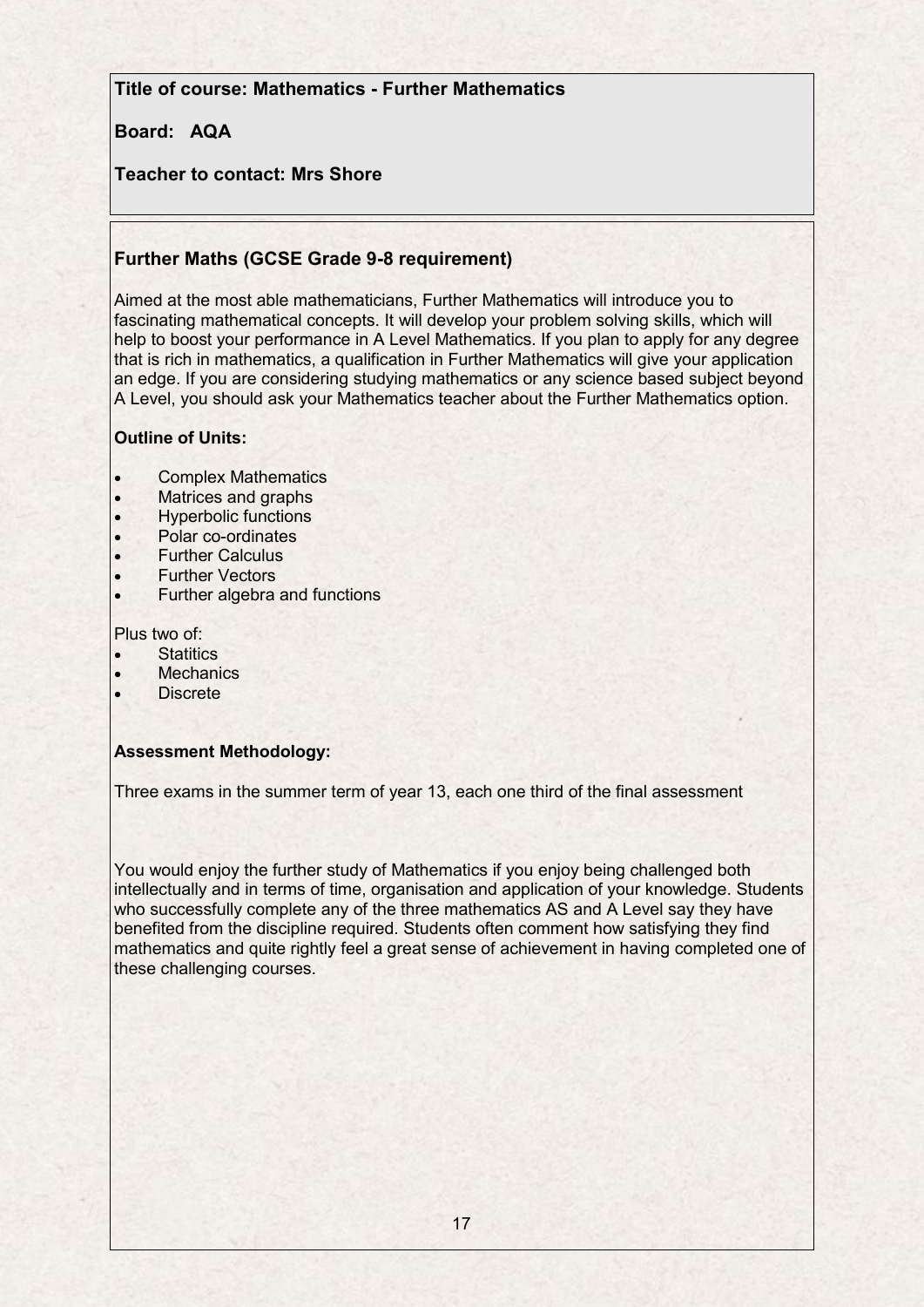**Title of course: Mathematics - Further Mathematics** 

# **Board: AQA**

# **Teacher to contact: Mrs Shore**

# **Further Maths (GCSE Grade 9-8 requirement)**

Aimed at the most able mathematicians, Further Mathematics will introduce you to fascinating mathematical concepts. It will develop your problem solving skills, which will help to boost your performance in A Level Mathematics. If you plan to apply for any degree that is rich in mathematics, a qualification in Further Mathematics will give your application an edge. If you are considering studying mathematics or any science based subject beyond A Level, you should ask your Mathematics teacher about the Further Mathematics option.

### **Outline of Units:**

- Complex Mathematics
- Matrices and graphs
- Hyperbolic functions
- Polar co-ordinates
- Further Calculus
- Further Vectors
- Further algebra and functions

Plus two of:

- **Statitics**
- **Mechanics**
- Discrete

### **Assessment Methodology:**

Three exams in the summer term of year 13, each one third of the final assessment

You would enjoy the further study of Mathematics if you enjoy being challenged both intellectually and in terms of time, organisation and application of your knowledge. Students who successfully complete any of the three mathematics AS and A Level say they have benefited from the discipline required. Students often comment how satisfying they find mathematics and quite rightly feel a great sense of achievement in having completed one of these challenging courses.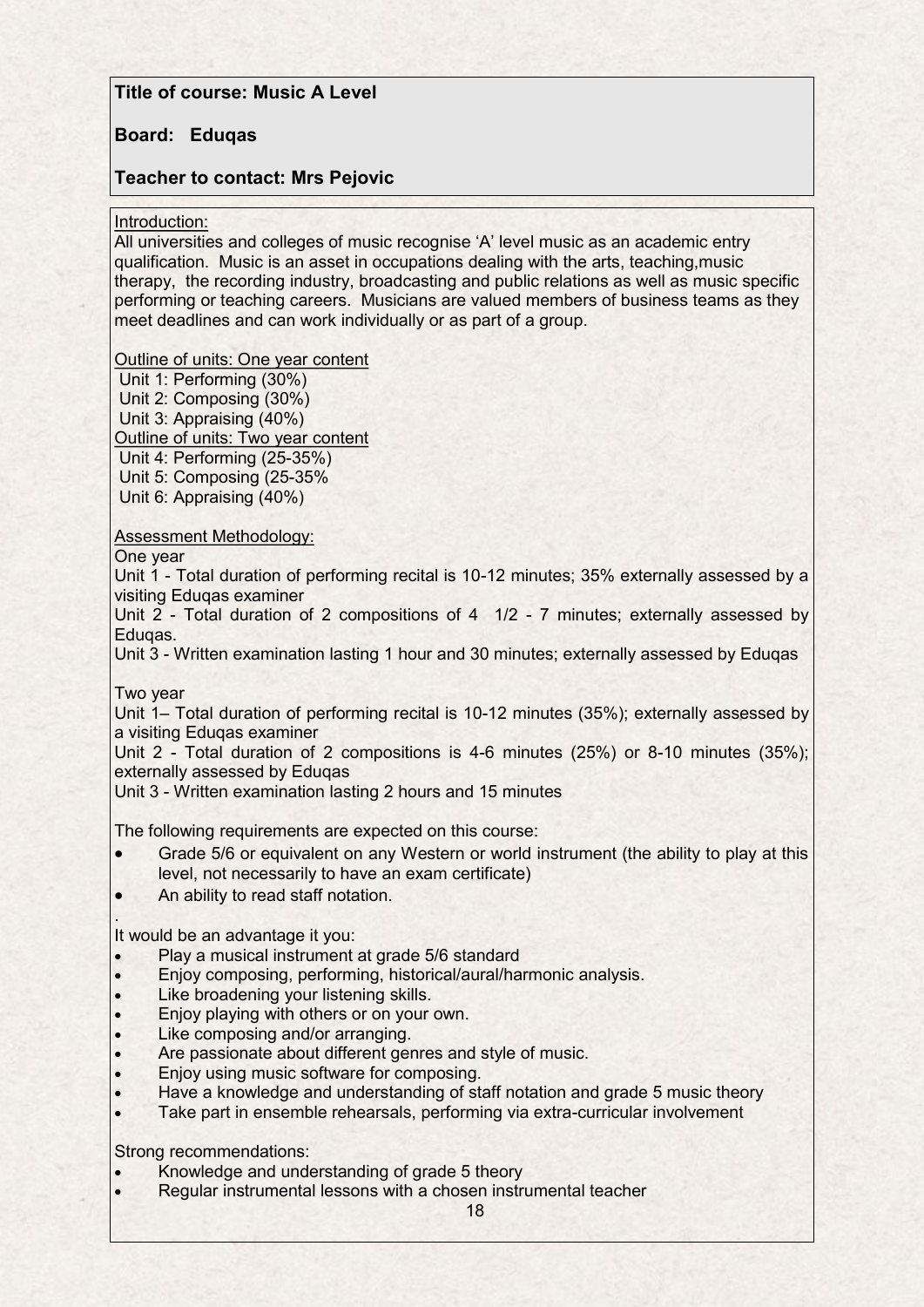## **Title of course: Music A Level**

### **Board: Eduqas**

### **Teacher to contact: Mrs Pejovic**

#### Introduction:

All universities and colleges of music recognise 'A' level music as an academic entry qualification. Music is an asset in occupations dealing with the arts, teaching,music therapy, the recording industry, broadcasting and public relations as well as music specific performing or teaching careers. Musicians are valued members of business teams as they meet deadlines and can work individually or as part of a group.

Outline of units: One year content

Unit 1: Performing (30%) Unit 2: Composing (30%) Unit 3: Appraising (40%) Outline of units: Two year content Unit 4: Performing (25-35%) Unit 5: Composing (25-35% Unit 6: Appraising (40%)

Assessment Methodology:

One year

Unit 1 - Total duration of performing recital is 10-12 minutes; 35% externally assessed by a visiting Eduqas examiner

Unit 2 - Total duration of 2 compositions of 4 1/2 - 7 minutes; externally assessed by Eduqas.

Unit 3 - Written examination lasting 1 hour and 30 minutes; externally assessed by Eduqas

Two year

.

Unit 1– Total duration of performing recital is 10-12 minutes (35%); externally assessed by a visiting Eduqas examiner

Unit 2 - Total duration of 2 compositions is 4-6 minutes (25%) or 8-10 minutes (35%); externally assessed by Eduqas

Unit 3 - Written examination lasting 2 hours and 15 minutes

The following requirements are expected on this course:

- Grade 5/6 or equivalent on any Western or world instrument (the ability to play at this level, not necessarily to have an exam certificate)
- An ability to read staff notation.

It would be an advantage it you:

- Play a musical instrument at grade 5/6 standard
- Enjoy composing, performing, historical/aural/harmonic analysis.
- Like broadening your listening skills.
- Enjoy playing with others or on your own.
- Like composing and/or arranging.
- Are passionate about different genres and style of music.
- Enjoy using music software for composing.
- Have a knowledge and understanding of staff notation and grade 5 music theory
- Take part in ensemble rehearsals, performing via extra-curricular involvement

Strong recommendations:

- Knowledge and understanding of grade 5 theory
- Regular instrumental lessons with a chosen instrumental teacher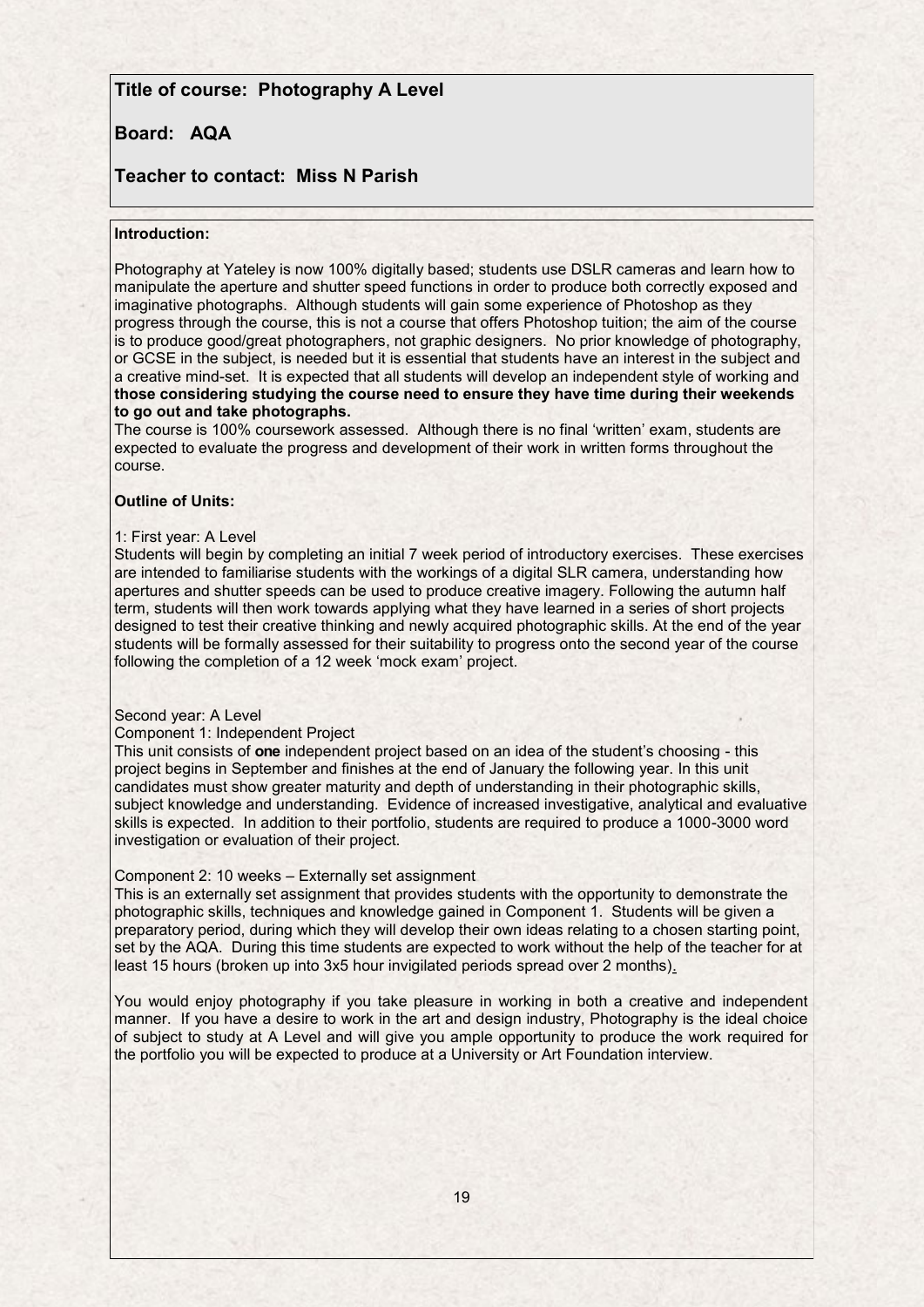### **Title of course: Photography A Level**

### **Board: AQA**

#### **Teacher to contact: Miss N Parish**

#### **Introduction:**

Photography at Yateley is now 100% digitally based; students use DSLR cameras and learn how to manipulate the aperture and shutter speed functions in order to produce both correctly exposed and imaginative photographs. Although students will gain some experience of Photoshop as they progress through the course, this is not a course that offers Photoshop tuition; the aim of the course is to produce good/great photographers, not graphic designers. No prior knowledge of photography, or GCSE in the subject, is needed but it is essential that students have an interest in the subject and a creative mind-set. It is expected that all students will develop an independent style of working and **those considering studying the course need to ensure they have time during their weekends to go out and take photographs.**

The course is 100% coursework assessed. Although there is no final 'written' exam, students are expected to evaluate the progress and development of their work in written forms throughout the course.

#### **Outline of Units:**

#### 1: First year: A Level

Students will begin by completing an initial 7 week period of introductory exercises. These exercises are intended to familiarise students with the workings of a digital SLR camera, understanding how apertures and shutter speeds can be used to produce creative imagery. Following the autumn half term, students will then work towards applying what they have learned in a series of short projects designed to test their creative thinking and newly acquired photographic skills. At the end of the year students will be formally assessed for their suitability to progress onto the second year of the course following the completion of a 12 week 'mock exam' project.

#### Second year: A Level

#### Component 1: Independent Project

This unit consists of **one** independent project based on an idea of the student's choosing - this project begins in September and finishes at the end of January the following year. In this unit candidates must show greater maturity and depth of understanding in their photographic skills, subject knowledge and understanding. Evidence of increased investigative, analytical and evaluative skills is expected. In addition to their portfolio, students are required to produce a 1000-3000 word investigation or evaluation of their project.

#### Component 2: 10 weeks – Externally set assignment

This is an externally set assignment that provides students with the opportunity to demonstrate the photographic skills, techniques and knowledge gained in Component 1. Students will be given a preparatory period, during which they will develop their own ideas relating to a chosen starting point, set by the AQA. During this time students are expected to work without the help of the teacher for at least 15 hours (broken up into 3x5 hour invigilated periods spread over 2 months).

You would enjoy photography if you take pleasure in working in both a creative and independent manner. If you have a desire to work in the art and design industry, Photography is the ideal choice of subject to study at A Level and will give you ample opportunity to produce the work required for the portfolio you will be expected to produce at a University or Art Foundation interview.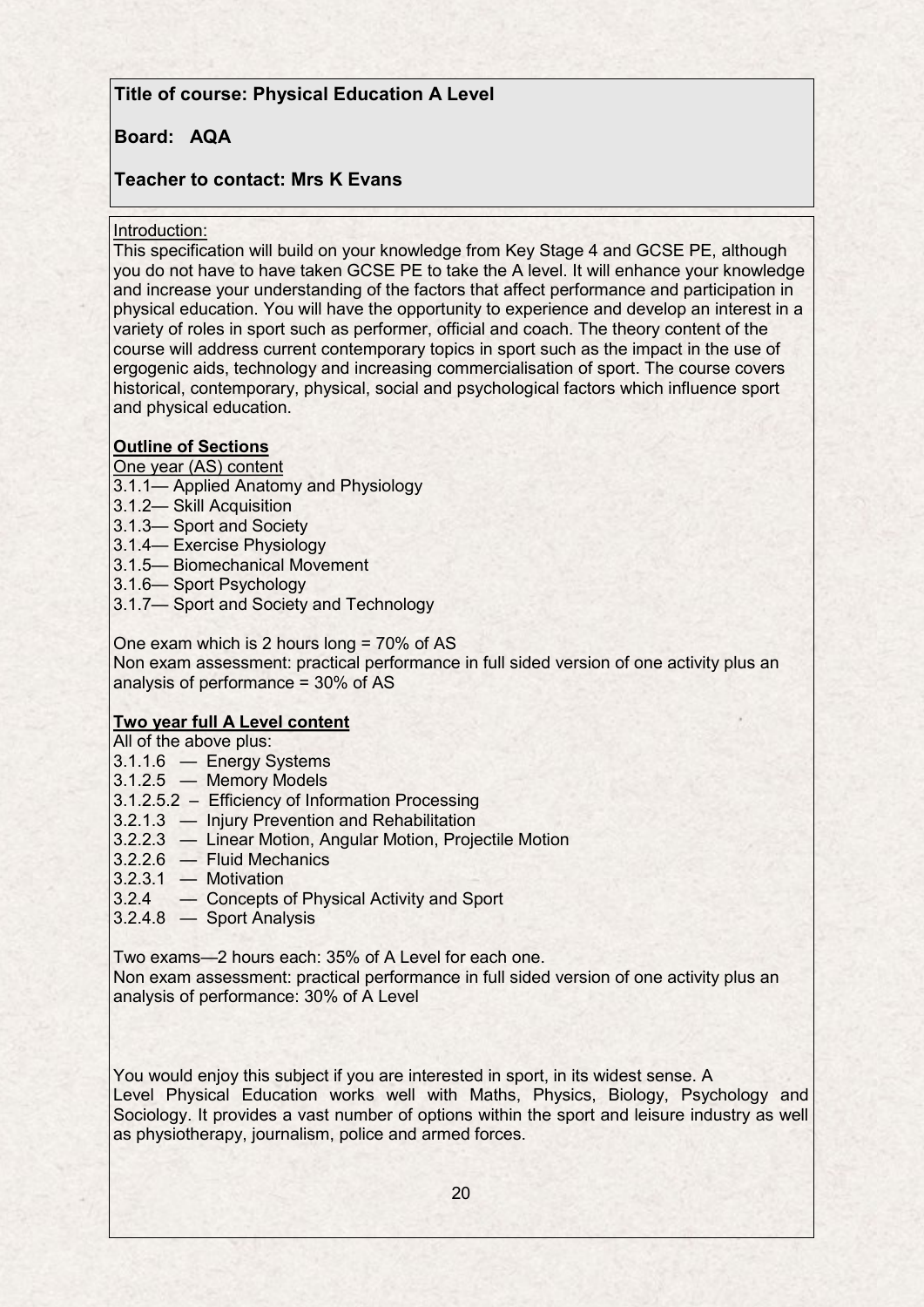# **Title of course: Physical Education A Level**

# **Board: AQA**

# **Teacher to contact: Mrs K Evans**

### Introduction:

This specification will build on your knowledge from Key Stage 4 and GCSE PE, although you do not have to have taken GCSE PE to take the A level. It will enhance your knowledge and increase your understanding of the factors that affect performance and participation in physical education. You will have the opportunity to experience and develop an interest in a variety of roles in sport such as performer, official and coach. The theory content of the course will address current contemporary topics in sport such as the impact in the use of ergogenic aids, technology and increasing commercialisation of sport. The course covers historical, contemporary, physical, social and psychological factors which influence sport and physical education.

### **Outline of Sections**

### One year (AS) content

- 3.1.1— Applied Anatomy and Physiology
- 3.1.2— Skill Acquisition
- 3.1.3— Sport and Society
- 3.1.4— Exercise Physiology
- 3.1.5— Biomechanical Movement
- 3.1.6— Sport Psychology
- 3.1.7— Sport and Society and Technology

One exam which is 2 hours long = 70% of AS Non exam assessment: practical performance in full sided version of one activity plus an analysis of performance = 30% of AS

# **Two year full A Level content**

All of the above plus:

- 3.1.1.6 Energy Systems
- 3.1.2.5 Memory Models
- 3.1.2.5.2 Efficiency of Information Processing
- 3.2.1.3 Injury Prevention and Rehabilitation
- 3.2.2.3 Linear Motion, Angular Motion, Projectile Motion
- 3.2.2.6 Fluid Mechanics
- 3.2.3.1 Motivation
- 3.2.4 Concepts of Physical Activity and Sport
- 3.2.4.8 Sport Analysis

Two exams—2 hours each: 35% of A Level for each one.

Non exam assessment: practical performance in full sided version of one activity plus an analysis of performance: 30% of A Level

You would enjoy this subject if you are interested in sport, in its widest sense. A Level Physical Education works well with Maths, Physics, Biology, Psychology and Sociology. It provides a vast number of options within the sport and leisure industry as well as physiotherapy, journalism, police and armed forces.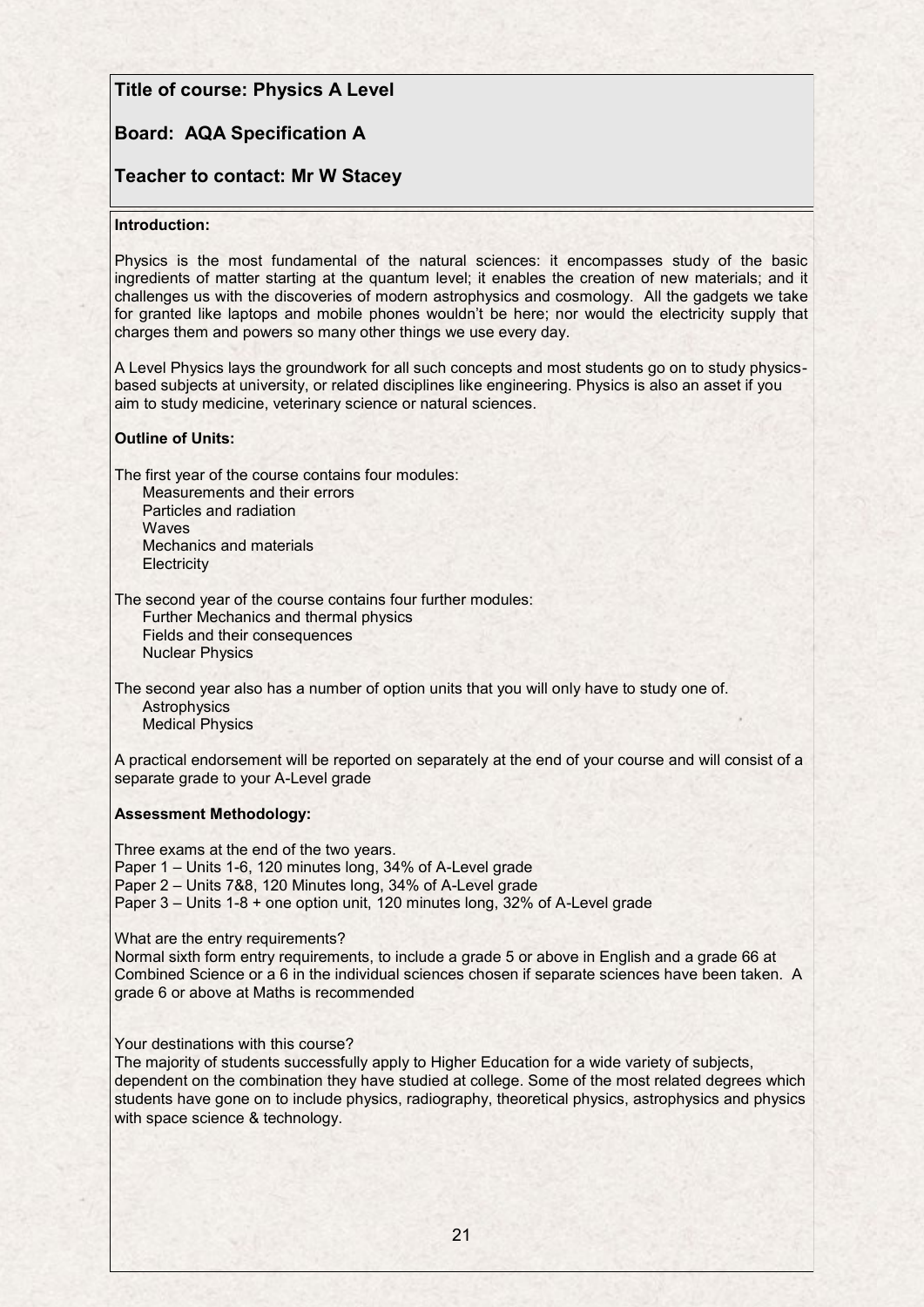### **Title of course: Physics A Level**

## **Board: AQA Specification A**

### **Teacher to contact: Mr W Stacey**

#### **Introduction:**

Physics is the most fundamental of the natural sciences: it encompasses study of the basic ingredients of matter starting at the quantum level; it enables the creation of new materials; and it challenges us with the discoveries of modern astrophysics and cosmology. All the gadgets we take for granted like laptops and mobile phones wouldn't be here; nor would the electricity supply that charges them and powers so many other things we use every day.

A Level Physics lays the groundwork for all such concepts and most students go on to study physicsbased subjects at university, or related disciplines like engineering. Physics is also an asset if you aim to study medicine, veterinary science or natural sciences.

#### **Outline of Units:**

The first year of the course contains four modules:

Measurements and their errors Particles and radiation **Waves** Mechanics and materials **Electricity** 

The second year of the course contains four further modules:

Further Mechanics and thermal physics Fields and their consequences Nuclear Physics

The second year also has a number of option units that you will only have to study one of. **Astrophysics** Medical Physics

A practical endorsement will be reported on separately at the end of your course and will consist of a separate grade to your A-Level grade

#### **Assessment Methodology:**

Three exams at the end of the two years. Paper 1 – Units 1-6, 120 minutes long, 34% of A-Level grade Paper 2 – Units 7&8, 120 Minutes long, 34% of A-Level grade Paper 3 – Units 1-8 + one option unit, 120 minutes long, 32% of A-Level grade

What are the entry requirements?

Normal sixth form entry requirements, to include a grade 5 or above in English and a grade 66 at Combined Science or a 6 in the individual sciences chosen if separate sciences have been taken. A grade 6 or above at Maths is recommended

Your destinations with this course?

The majority of students successfully apply to Higher Education for a wide variety of subjects, dependent on the combination they have studied at college. Some of the most related degrees which students have gone on to include physics, radiography, theoretical physics, astrophysics and physics with space science & technology.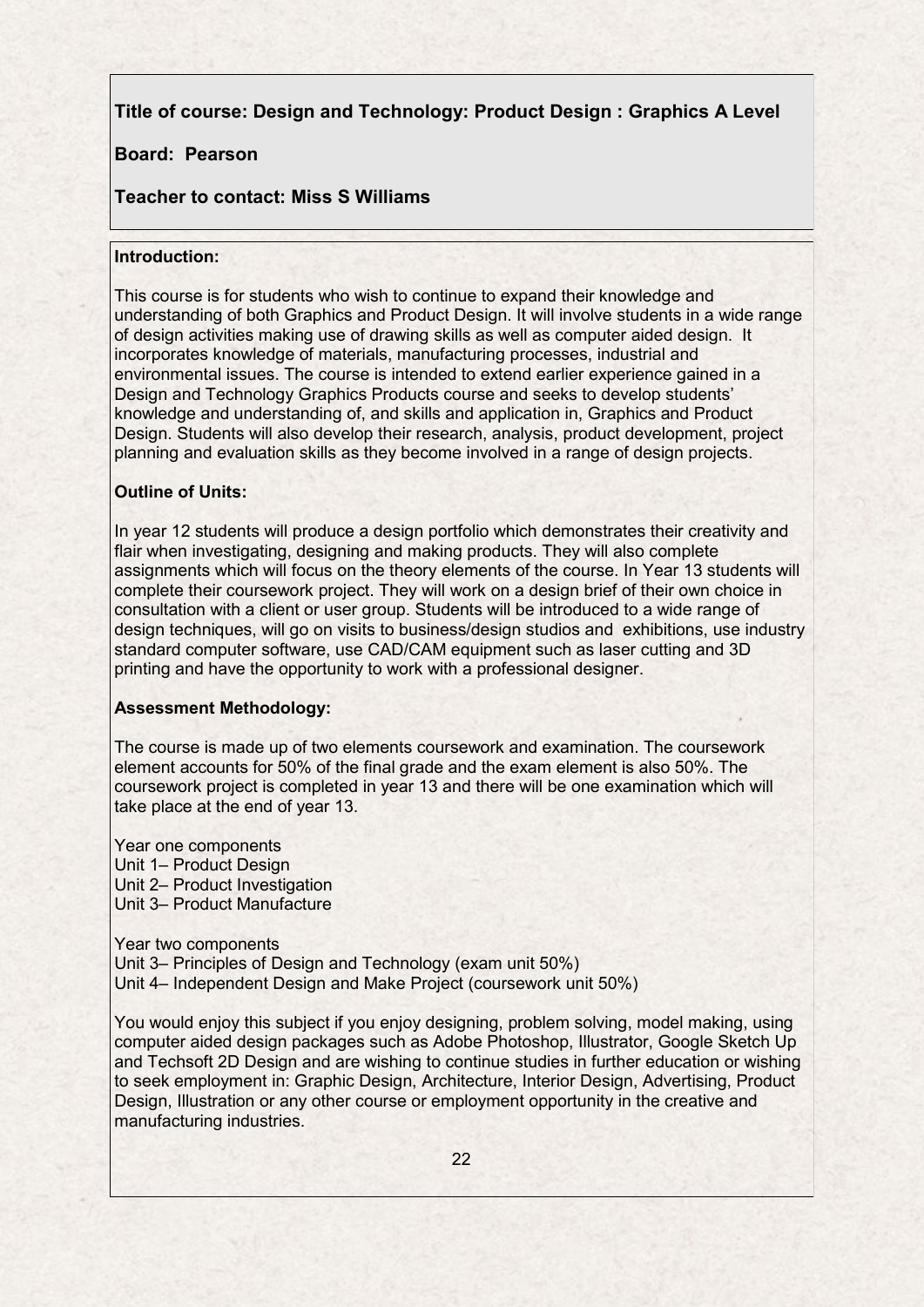# **Title of course: Design and Technology: Product Design : Graphics A Level**

## **Board: Pearson**

### **Teacher to contact: Miss S Williams**

### **Introduction:**

This course is for students who wish to continue to expand their knowledge and understanding of both Graphics and Product Design. It will involve students in a wide range of design activities making use of drawing skills as well as computer aided design. It incorporates knowledge of materials, manufacturing processes, industrial and environmental issues. The course is intended to extend earlier experience gained in a Design and Technology Graphics Products course and seeks to develop students' knowledge and understanding of, and skills and application in, Graphics and Product Design. Students will also develop their research, analysis, product development, project planning and evaluation skills as they become involved in a range of design projects.

### **Outline of Units:**

In year 12 students will produce a design portfolio which demonstrates their creativity and flair when investigating, designing and making products. They will also complete assignments which will focus on the theory elements of the course. In Year 13 students will complete their coursework project. They will work on a design brief of their own choice in consultation with a client or user group. Students will be introduced to a wide range of design techniques, will go on visits to business/design studios and exhibitions, use industry standard computer software, use CAD/CAM equipment such as laser cutting and 3D printing and have the opportunity to work with a professional designer.

#### **Assessment Methodology:**

The course is made up of two elements coursework and examination. The coursework element accounts for 50% of the final grade and the exam element is also 50%. The coursework project is completed in year 13 and there will be one examination which will take place at the end of year 13.

Year one components Unit 1– Product Design Unit 2– Product Investigation Unit 3– Product Manufacture

Year two components Unit 3– Principles of Design and Technology (exam unit 50%) Unit 4– Independent Design and Make Project (coursework unit 50%)

You would enjoy this subject if you enjoy designing, problem solving, model making, using computer aided design packages such as Adobe Photoshop, Illustrator, Google Sketch Up and Techsoft 2D Design and are wishing to continue studies in further education or wishing to seek employment in: Graphic Design, Architecture, Interior Design, Advertising, Product Design, Illustration or any other course or employment opportunity in the creative and manufacturing industries.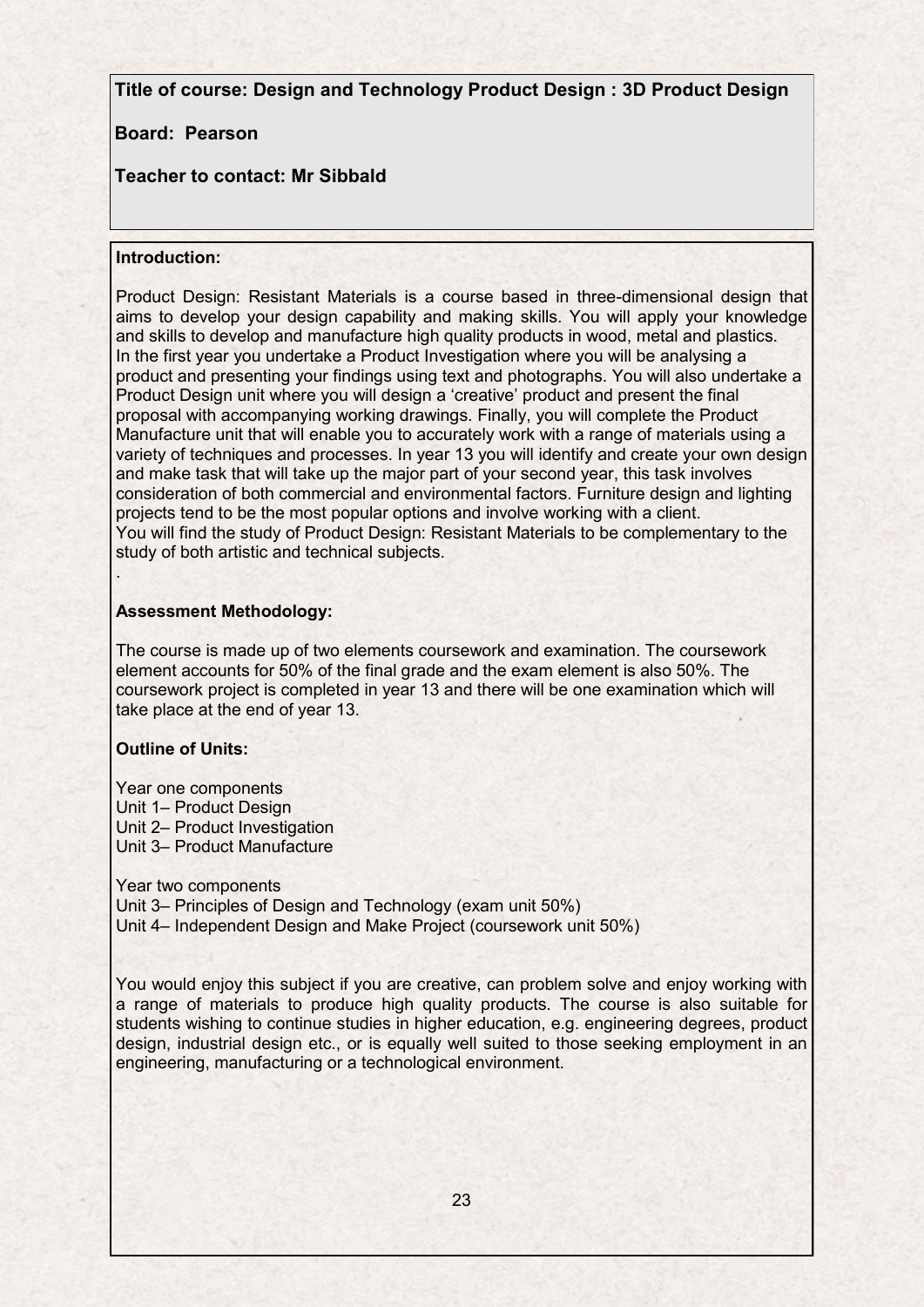**Title of course: Design and Technology Product Design : 3D Product Design**

### **Board: Pearson**

# **Teacher to contact: Mr Sibbald**

### **Introduction:**

Product Design: Resistant Materials is a course based in three-dimensional design that aims to develop your design capability and making skills. You will apply your knowledge and skills to develop and manufacture high quality products in wood, metal and plastics. In the first year you undertake a Product Investigation where you will be analysing a product and presenting your findings using text and photographs. You will also undertake a Product Design unit where you will design a 'creative' product and present the final proposal with accompanying working drawings. Finally, you will complete the Product Manufacture unit that will enable you to accurately work with a range of materials using a variety of techniques and processes. In year 13 you will identify and create your own design and make task that will take up the major part of your second year, this task involves consideration of both commercial and environmental factors. Furniture design and lighting projects tend to be the most popular options and involve working with a client. You will find the study of Product Design: Resistant Materials to be complementary to the study of both artistic and technical subjects.

### **Assessment Methodology:**

The course is made up of two elements coursework and examination. The coursework element accounts for 50% of the final grade and the exam element is also 50%. The coursework project is completed in year 13 and there will be one examination which will take place at the end of year 13.

### **Outline of Units:**

.

Year one components Unit 1– Product Design Unit 2– Product Investigation Unit 3– Product Manufacture

Year two components Unit 3– Principles of Design and Technology (exam unit 50%) Unit 4– Independent Design and Make Project (coursework unit 50%)

You would enjoy this subject if you are creative, can problem solve and enjoy working with a range of materials to produce high quality products. The course is also suitable for students wishing to continue studies in higher education, e.g. engineering degrees, product design, industrial design etc., or is equally well suited to those seeking employment in an engineering, manufacturing or a technological environment.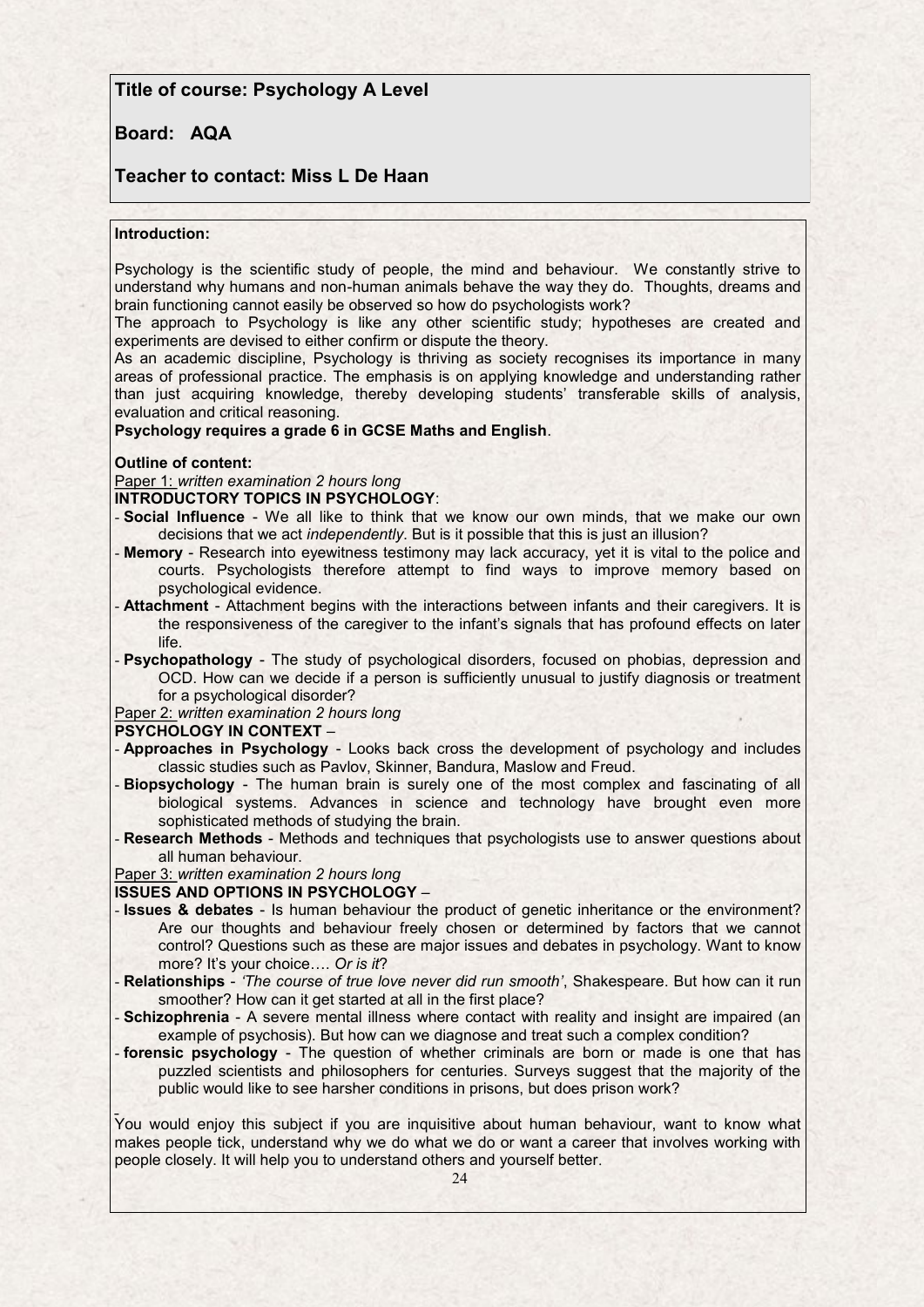### **Title of course: Psychology A Level**

### **Board: AQA**

#### **Teacher to contact: Miss L De Haan**

#### **Introduction:**

Psychology is the scientific study of people, the mind and behaviour. We constantly strive to understand why humans and non-human animals behave the way they do. Thoughts, dreams and brain functioning cannot easily be observed so how do psychologists work?

The approach to Psychology is like any other scientific study; hypotheses are created and experiments are devised to either confirm or dispute the theory.

As an academic discipline, Psychology is thriving as society recognises its importance in many areas of professional practice. The emphasis is on applying knowledge and understanding rather than just acquiring knowledge, thereby developing students' transferable skills of analysis, evaluation and critical reasoning.

**Psychology requires a grade 6 in GCSE Maths and English**.

#### **Outline of content:**

Paper 1: *written examination 2 hours long*

#### **INTRODUCTORY TOPICS IN PSYCHOLOGY**:

- **Social Influence**  We all like to think that we know our own minds, that we make our own decisions that we act *independently*. But is it possible that this is just an illusion?
- **Memory**  Research into eyewitness testimony may lack accuracy, yet it is vital to the police and courts. Psychologists therefore attempt to find ways to improve memory based on psychological evidence.
- **Attachment** Attachment begins with the interactions between infants and their caregivers. It is the responsiveness of the caregiver to the infant's signals that has profound effects on later life.
- **Psychopathology** The study of psychological disorders, focused on phobias, depression and OCD. How can we decide if a person is sufficiently unusual to justify diagnosis or treatment for a psychological disorder?

Paper 2: *written examination 2 hours long*

#### **PSYCHOLOGY IN CONTEXT** –

- **Approaches in Psychology**  Looks back cross the development of psychology and includes classic studies such as Pavlov, Skinner, Bandura, Maslow and Freud.
- **Biopsychology**  The human brain is surely one of the most complex and fascinating of all biological systems. Advances in science and technology have brought even more sophisticated methods of studying the brain.
- **Research Methods**  Methods and techniques that psychologists use to answer questions about all human behaviour.

Paper 3: *written examination 2 hours long*

**ISSUES AND OPTIONS IN PSYCHOLOGY** –

- **Issues & debates**  Is human behaviour the product of genetic inheritance or the environment? Are our thoughts and behaviour freely chosen or determined by factors that we cannot control? Questions such as these are major issues and debates in psychology. Want to know more? It's your choice…. *Or is it*?
- **Relationships** *'The course of true love never did run smooth'*, Shakespeare. But how can it run smoother? How can it get started at all in the first place?
- **Schizophrenia** A severe mental illness where contact with reality and insight are impaired (an example of psychosis). But how can we diagnose and treat such a complex condition?
- **forensic psychology**  The question of whether criminals are born or made is one that has puzzled scientists and philosophers for centuries. Surveys suggest that the majority of the public would like to see harsher conditions in prisons, but does prison work?

You would enjoy this subject if you are inquisitive about human behaviour, want to know what makes people tick, understand why we do what we do or want a career that involves working with people closely. It will help you to understand others and yourself better.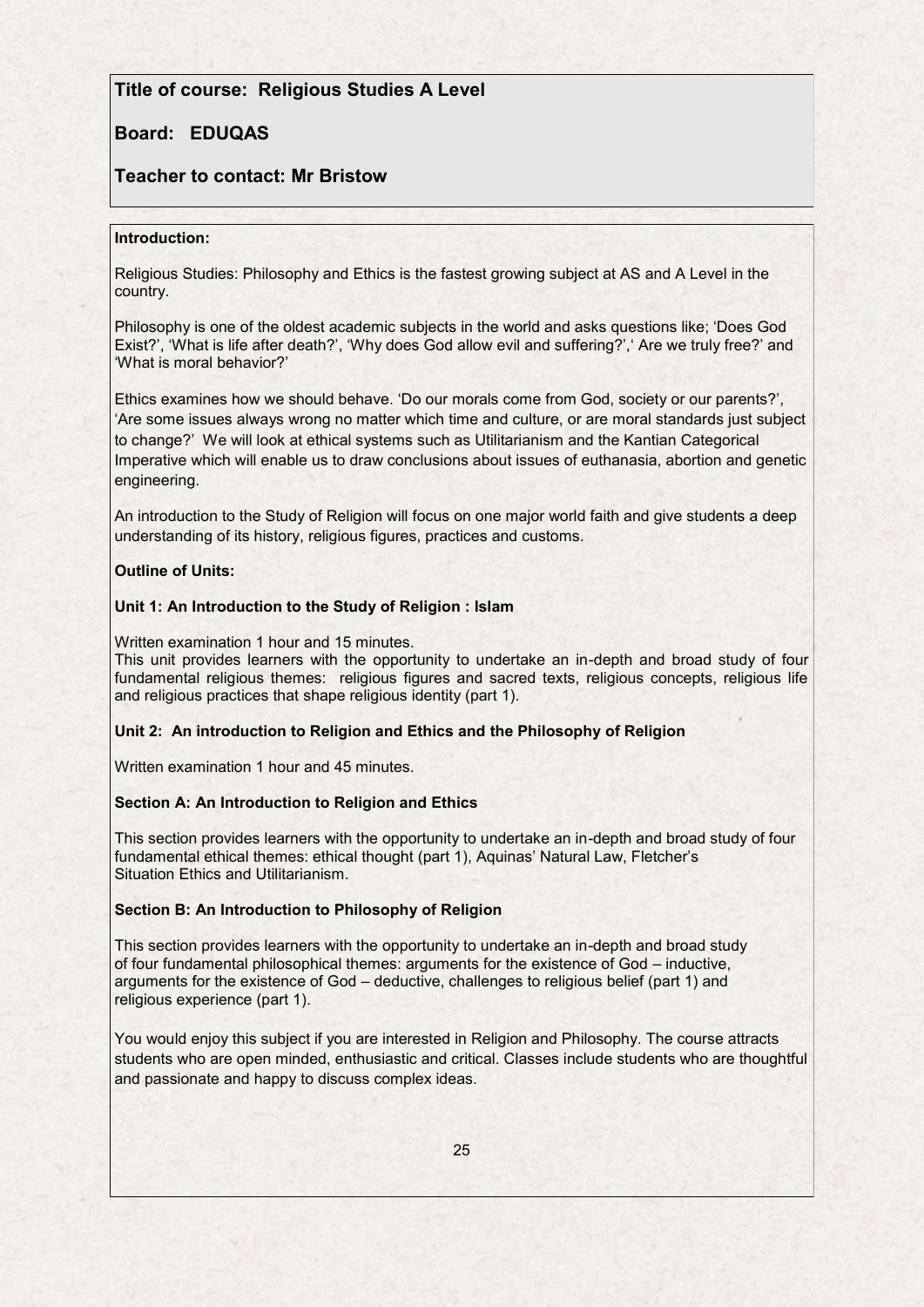## **Title of course: Religious Studies A Level**

# **Board: EDUQAS**

# **Teacher to contact: Mr Bristow**

#### **Introduction:**

Religious Studies: Philosophy and Ethics is the fastest growing subject at AS and A Level in the country.

Philosophy is one of the oldest academic subjects in the world and asks questions like; 'Does God Exist?', 'What is life after death?', 'Why does God allow evil and suffering?', 'Are we truly free?' and 'What is moral behavior?'

Ethics examines how we should behave. 'Do our morals come from God, society or our parents?', 'Are some issues always wrong no matter which time and culture, or are moral standards just subject to change?' We will look at ethical systems such as Utilitarianism and the Kantian Categorical Imperative which will enable us to draw conclusions about issues of euthanasia, abortion and genetic engineering.

An introduction to the Study of Religion will focus on one major world faith and give students a deep understanding of its history, religious figures, practices and customs.

#### **Outline of Units:**

#### **Unit 1: An Introduction to the Study of Religion : Islam**

Written examination 1 hour and 15 minutes.

This unit provides learners with the opportunity to undertake an in-depth and broad study of four fundamental religious themes: religious figures and sacred texts, religious concepts, religious life and religious practices that shape religious identity (part 1).

#### **Unit 2: An introduction to Religion and Ethics and the Philosophy of Religion**

Written examination 1 hour and 45 minutes.

#### **Section A: An Introduction to Religion and Ethics**

This section provides learners with the opportunity to undertake an in-depth and broad study of four fundamental ethical themes: ethical thought (part 1), Aquinas' Natural Law, Fletcher's Situation Ethics and Utilitarianism.

#### **Section B: An Introduction to Philosophy of Religion**

This section provides learners with the opportunity to undertake an in-depth and broad study of four fundamental philosophical themes: arguments for the existence of God – inductive, arguments for the existence of God – deductive, challenges to religious belief (part 1) and religious experience (part 1).

You would enjoy this subject if you are interested in Religion and Philosophy. The course attracts students who are open minded, enthusiastic and critical. Classes include students who are thoughtful and passionate and happy to discuss complex ideas.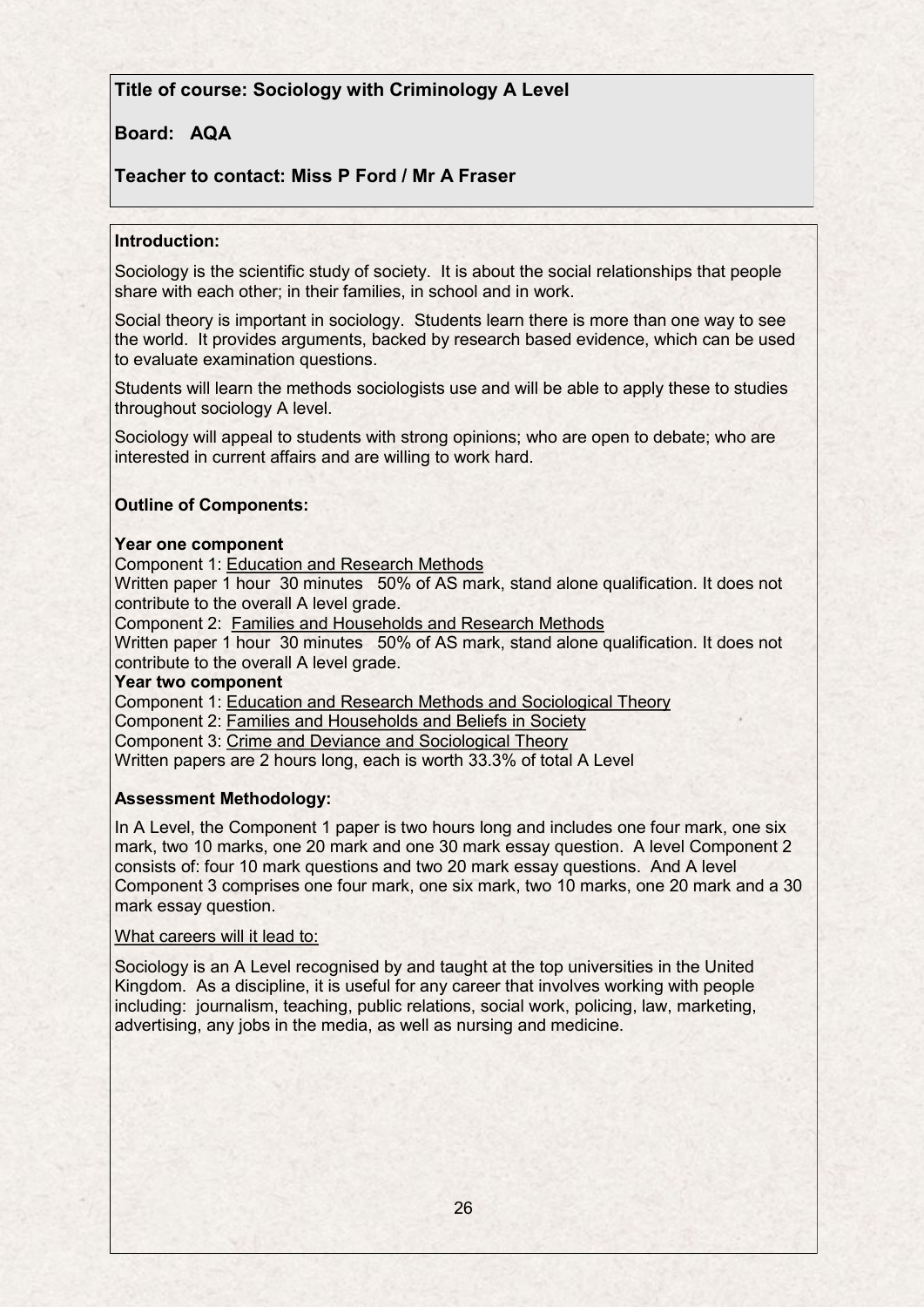# **Title of course: Sociology with Criminology A Level**

## **Board: AQA**

### **Teacher to contact: Miss P Ford / Mr A Fraser**

#### **Introduction:**

Sociology is the scientific study of society. It is about the social relationships that people share with each other; in their families, in school and in work.

Social theory is important in sociology. Students learn there is more than one way to see the world. It provides arguments, backed by research based evidence, which can be used to evaluate examination questions.

Students will learn the methods sociologists use and will be able to apply these to studies throughout sociology A level.

Sociology will appeal to students with strong opinions; who are open to debate; who are interested in current affairs and are willing to work hard.

### **Outline of Components:**

#### **Year one component**

Component 1: Education and Research Methods

Written paper 1 hour 30 minutes 50% of AS mark, stand alone qualification. It does not contribute to the overall A level grade.

Component 2: Families and Households and Research Methods

Written paper 1 hour 30 minutes 50% of AS mark, stand alone qualification. It does not contribute to the overall A level grade.

#### **Year two component**

Component 1: Education and Research Methods and Sociological Theory

Component 2: Families and Households and Beliefs in Society

Component 3: Crime and Deviance and Sociological Theory

Written papers are 2 hours long, each is worth 33.3% of total A Level

#### **Assessment Methodology:**

In A Level, the Component 1 paper is two hours long and includes one four mark, one six mark, two 10 marks, one 20 mark and one 30 mark essay question. A level Component 2 consists of: four 10 mark questions and two 20 mark essay questions. And A level Component 3 comprises one four mark, one six mark, two 10 marks, one 20 mark and a 30 mark essay question.

#### What careers will it lead to:

Sociology is an A Level recognised by and taught at the top universities in the United Kingdom. As a discipline, it is useful for any career that involves working with people including: journalism, teaching, public relations, social work, policing, law, marketing, advertising, any jobs in the media, as well as nursing and medicine.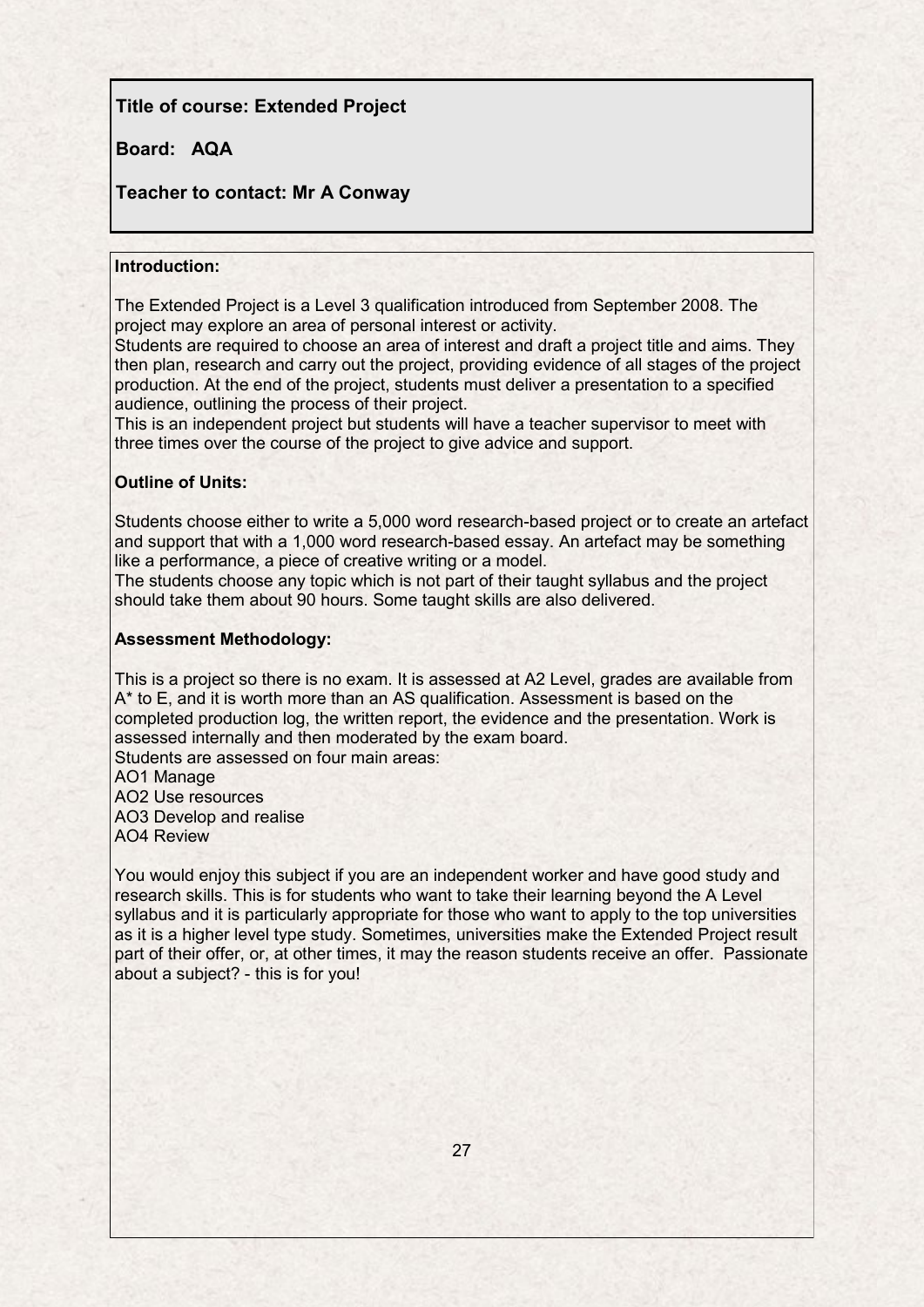# **Title of course: Extended Project**

## **Board: AQA**

### **Teacher to contact: Mr A Conway**

### **Introduction:**

The Extended Project is a Level 3 qualification introduced from September 2008. The project may explore an area of personal interest or activity.

Students are required to choose an area of interest and draft a project title and aims. They then plan, research and carry out the project, providing evidence of all stages of the project production. At the end of the project, students must deliver a presentation to a specified audience, outlining the process of their project.

This is an independent project but students will have a teacher supervisor to meet with three times over the course of the project to give advice and support.

### **Outline of Units:**

Students choose either to write a 5,000 word research-based project or to create an artefact and support that with a 1,000 word research-based essay. An artefact may be something like a performance, a piece of creative writing or a model.

The students choose any topic which is not part of their taught syllabus and the project should take them about 90 hours. Some taught skills are also delivered.

#### **Assessment Methodology:**

This is a project so there is no exam. It is assessed at A2 Level, grades are available from A\* to E, and it is worth more than an AS qualification. Assessment is based on the completed production log, the written report, the evidence and the presentation. Work is assessed internally and then moderated by the exam board.

Students are assessed on four main areas: AO1 Manage

AO2 Use resources

AO3 Develop and realise AO4 Review

You would enjoy this subject if you are an independent worker and have good study and research skills. This is for students who want to take their learning beyond the A Level syllabus and it is particularly appropriate for those who want to apply to the top universities as it is a higher level type study. Sometimes, universities make the Extended Project result part of their offer, or, at other times, it may the reason students receive an offer. Passionate about a subject? - this is for you!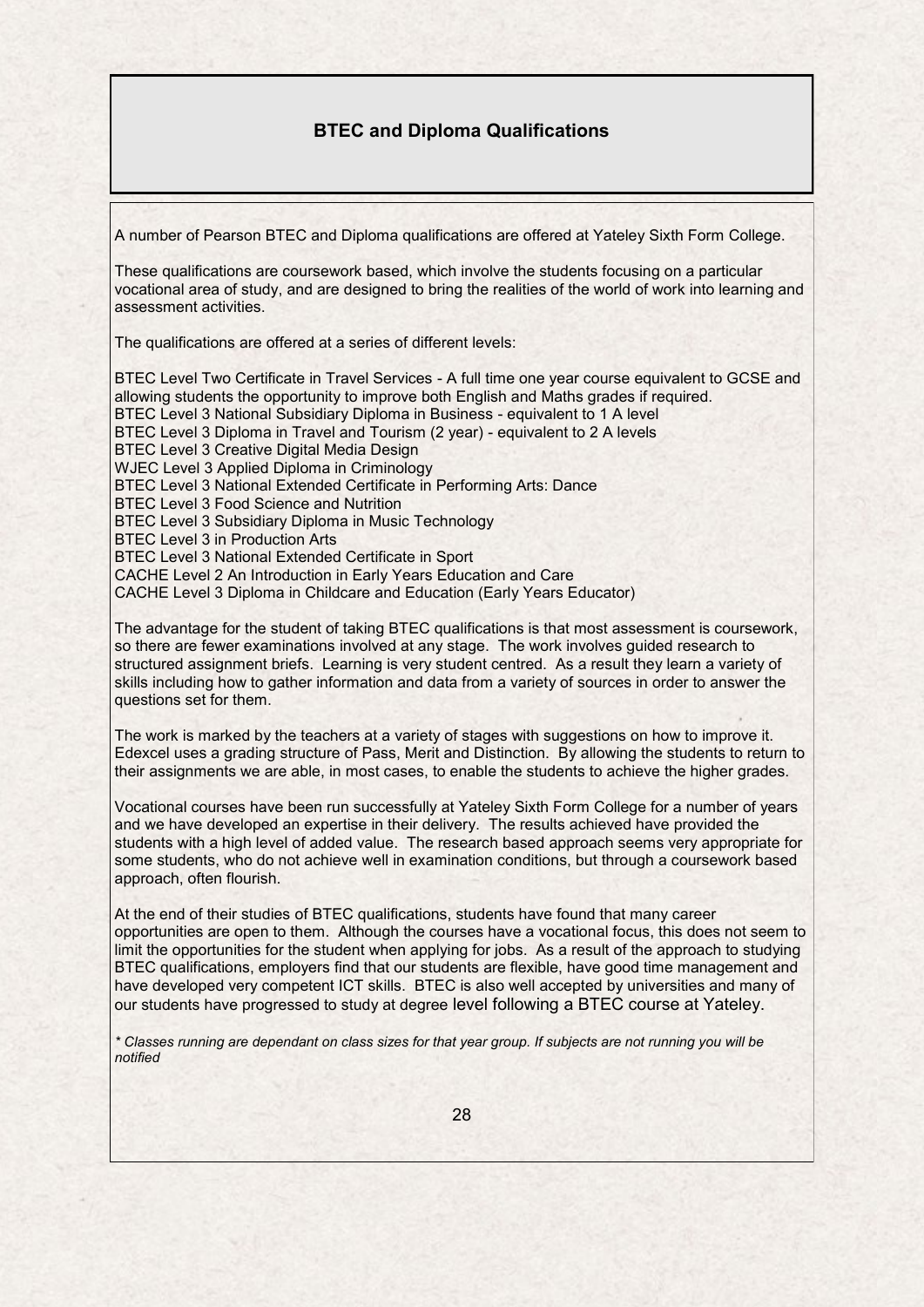# **BTEC and Diploma Qualifications**

A number of Pearson BTEC and Diploma qualifications are offered at Yateley Sixth Form College.

These qualifications are coursework based, which involve the students focusing on a particular vocational area of study, and are designed to bring the realities of the world of work into learning and assessment activities.

The qualifications are offered at a series of different levels:

BTEC Level Two Certificate in Travel Services - A full time one year course equivalent to GCSE and allowing students the opportunity to improve both English and Maths grades if required. BTEC Level 3 National Subsidiary Diploma in Business - equivalent to 1 A level BTEC Level 3 Diploma in Travel and Tourism (2 year) - equivalent to 2 A levels BTEC Level 3 Creative Digital Media Design WJEC Level 3 Applied Diploma in Criminology BTEC Level 3 National Extended Certificate in Performing Arts: Dance BTEC Level 3 Food Science and Nutrition BTEC Level 3 Subsidiary Diploma in Music Technology BTEC Level 3 in Production Arts BTEC Level 3 National Extended Certificate in Sport CACHE Level 2 An Introduction in Early Years Education and Care CACHE Level 3 Diploma in Childcare and Education (Early Years Educator)

The advantage for the student of taking BTEC qualifications is that most assessment is coursework, so there are fewer examinations involved at any stage. The work involves guided research to structured assignment briefs. Learning is very student centred. As a result they learn a variety of skills including how to gather information and data from a variety of sources in order to answer the questions set for them.

The work is marked by the teachers at a variety of stages with suggestions on how to improve it. Edexcel uses a grading structure of Pass, Merit and Distinction. By allowing the students to return to their assignments we are able, in most cases, to enable the students to achieve the higher grades.

Vocational courses have been run successfully at Yateley Sixth Form College for a number of years and we have developed an expertise in their delivery. The results achieved have provided the students with a high level of added value. The research based approach seems very appropriate for some students, who do not achieve well in examination conditions, but through a coursework based approach, often flourish.

At the end of their studies of BTEC qualifications, students have found that many career opportunities are open to them. Although the courses have a vocational focus, this does not seem to limit the opportunities for the student when applying for jobs. As a result of the approach to studying BTEC qualifications, employers find that our students are flexible, have good time management and have developed very competent ICT skills. BTEC is also well accepted by universities and many of our students have progressed to study at degree level following a BTEC course at Yateley.

*\* Classes running are dependant on class sizes for that year group. If subjects are not running you will be notified*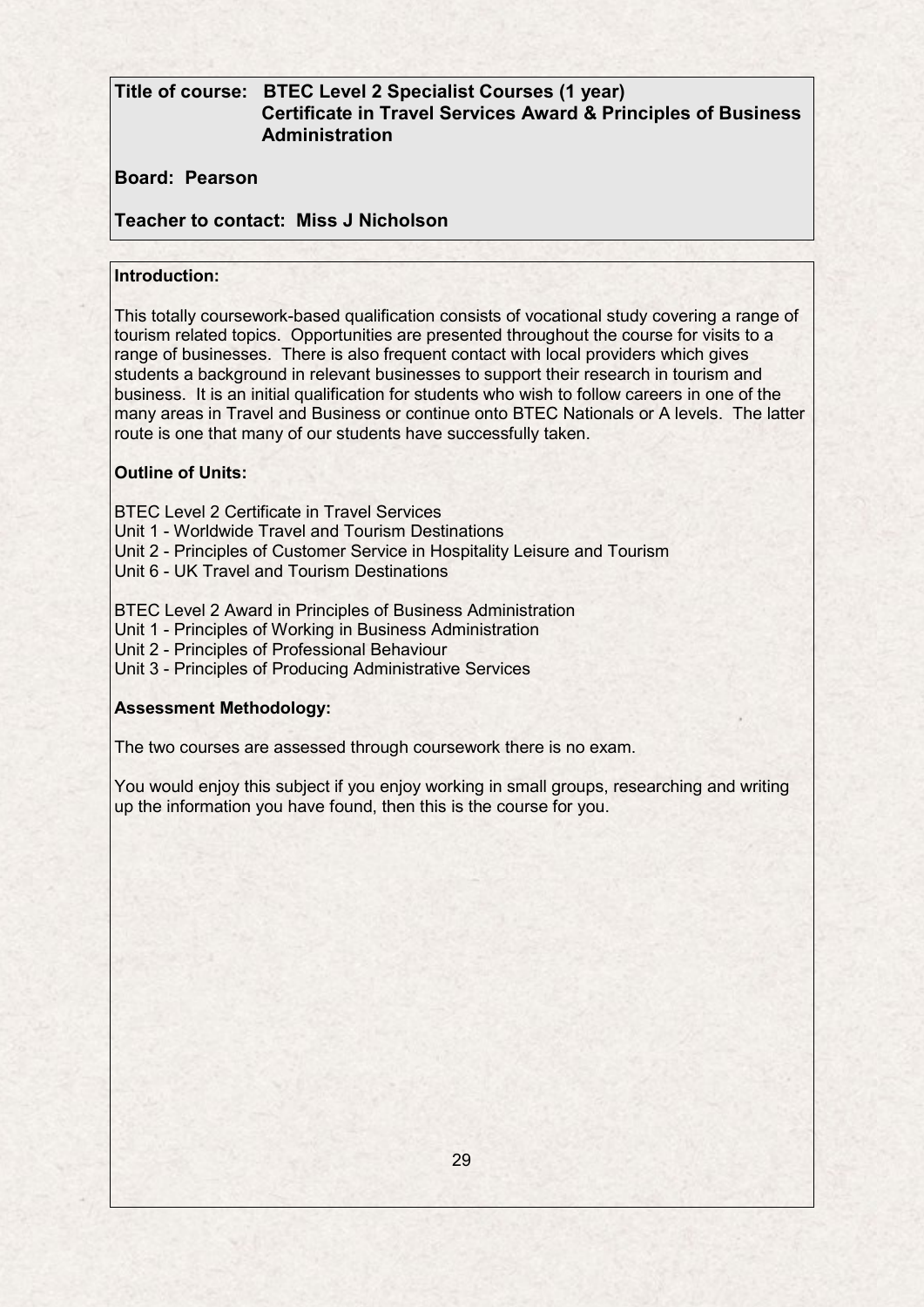# **Title of course: BTEC Level 2 Specialist Courses (1 year) Certificate in Travel Services Award & Principles of Business Administration**

**Board: Pearson**

**Teacher to contact: Miss J Nicholson**

### **Introduction:**

This totally coursework-based qualification consists of vocational study covering a range of tourism related topics. Opportunities are presented throughout the course for visits to a range of businesses. There is also frequent contact with local providers which gives students a background in relevant businesses to support their research in tourism and business. It is an initial qualification for students who wish to follow careers in one of the many areas in Travel and Business or continue onto BTEC Nationals or A levels. The latter route is one that many of our students have successfully taken.

### **Outline of Units:**

BTEC Level 2 Certificate in Travel Services

Unit 1 - Worldwide Travel and Tourism Destinations

Unit 2 - Principles of Customer Service in Hospitality Leisure and Tourism

Unit 6 - UK Travel and Tourism Destinations

BTEC Level 2 Award in Principles of Business Administration

Unit 1 - Principles of Working in Business Administration

Unit 2 - Principles of Professional Behaviour

Unit 3 - Principles of Producing Administrative Services

### **Assessment Methodology:**

The two courses are assessed through coursework there is no exam.

You would enjoy this subject if you enjoy working in small groups, researching and writing up the information you have found, then this is the course for you.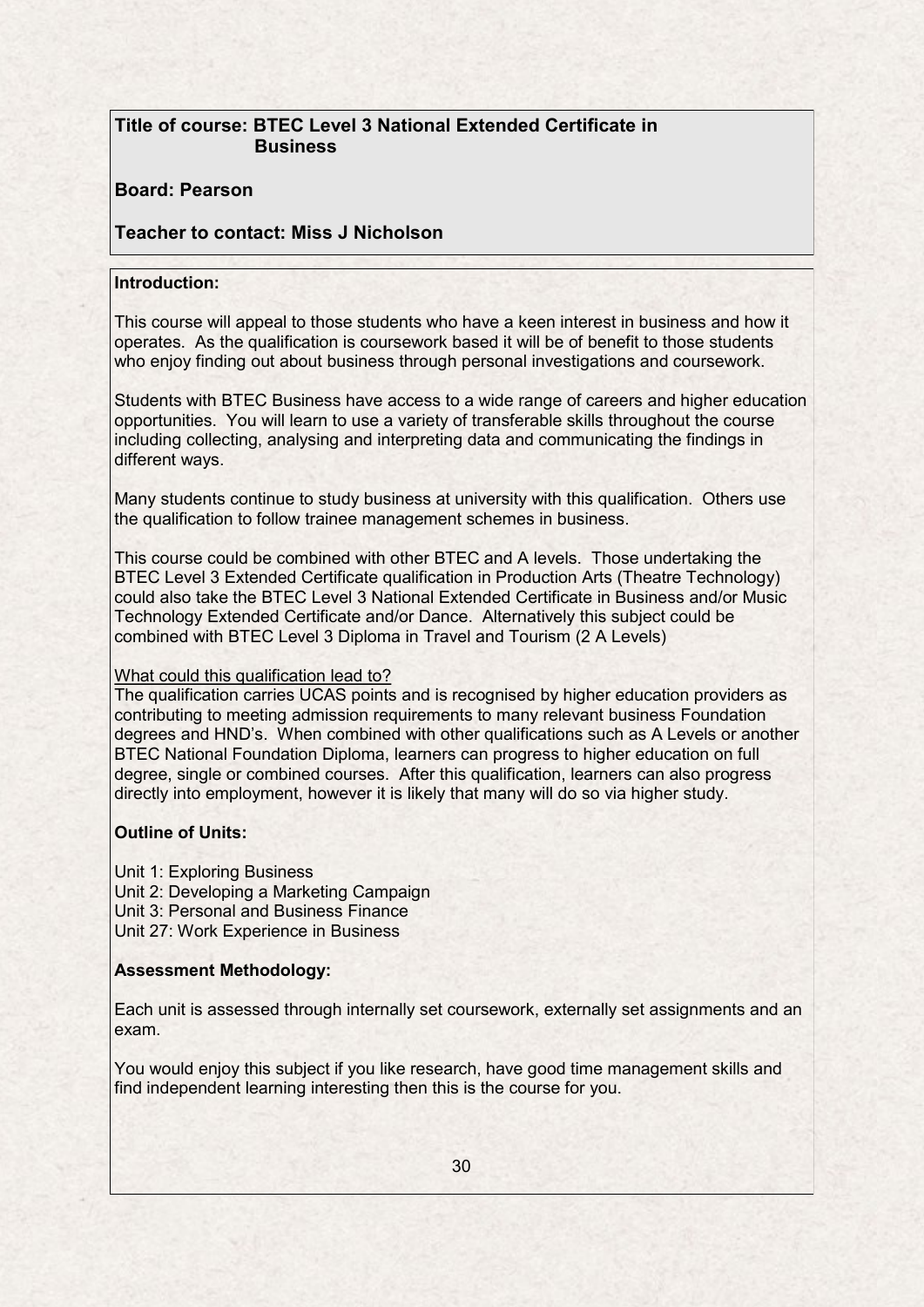# **Title of course: BTEC Level 3 National Extended Certificate in Business**

### **Board: Pearson**

# **Teacher to contact: Miss J Nicholson**

### **Introduction:**

This course will appeal to those students who have a keen interest in business and how it operates. As the qualification is coursework based it will be of benefit to those students who enjoy finding out about business through personal investigations and coursework.

Students with BTEC Business have access to a wide range of careers and higher education opportunities. You will learn to use a variety of transferable skills throughout the course including collecting, analysing and interpreting data and communicating the findings in different ways.

Many students continue to study business at university with this qualification. Others use the qualification to follow trainee management schemes in business.

This course could be combined with other BTEC and A levels. Those undertaking the BTEC Level 3 Extended Certificate qualification in Production Arts (Theatre Technology) could also take the BTEC Level 3 National Extended Certificate in Business and/or Music Technology Extended Certificate and/or Dance. Alternatively this subject could be combined with BTEC Level 3 Diploma in Travel and Tourism (2 A Levels)

### What could this qualification lead to?

The qualification carries UCAS points and is recognised by higher education providers as contributing to meeting admission requirements to many relevant business Foundation degrees and HND's. When combined with other qualifications such as A Levels or another BTEC National Foundation Diploma, learners can progress to higher education on full degree, single or combined courses. After this qualification, learners can also progress directly into employment, however it is likely that many will do so via higher study.

### **Outline of Units:**

Unit 1: Exploring Business Unit 2: Developing a Marketing Campaign Unit 3: Personal and Business Finance Unit 27: Work Experience in Business

### **Assessment Methodology:**

Each unit is assessed through internally set coursework, externally set assignments and an exam.

You would enjoy this subject if you like research, have good time management skills and find independent learning interesting then this is the course for you.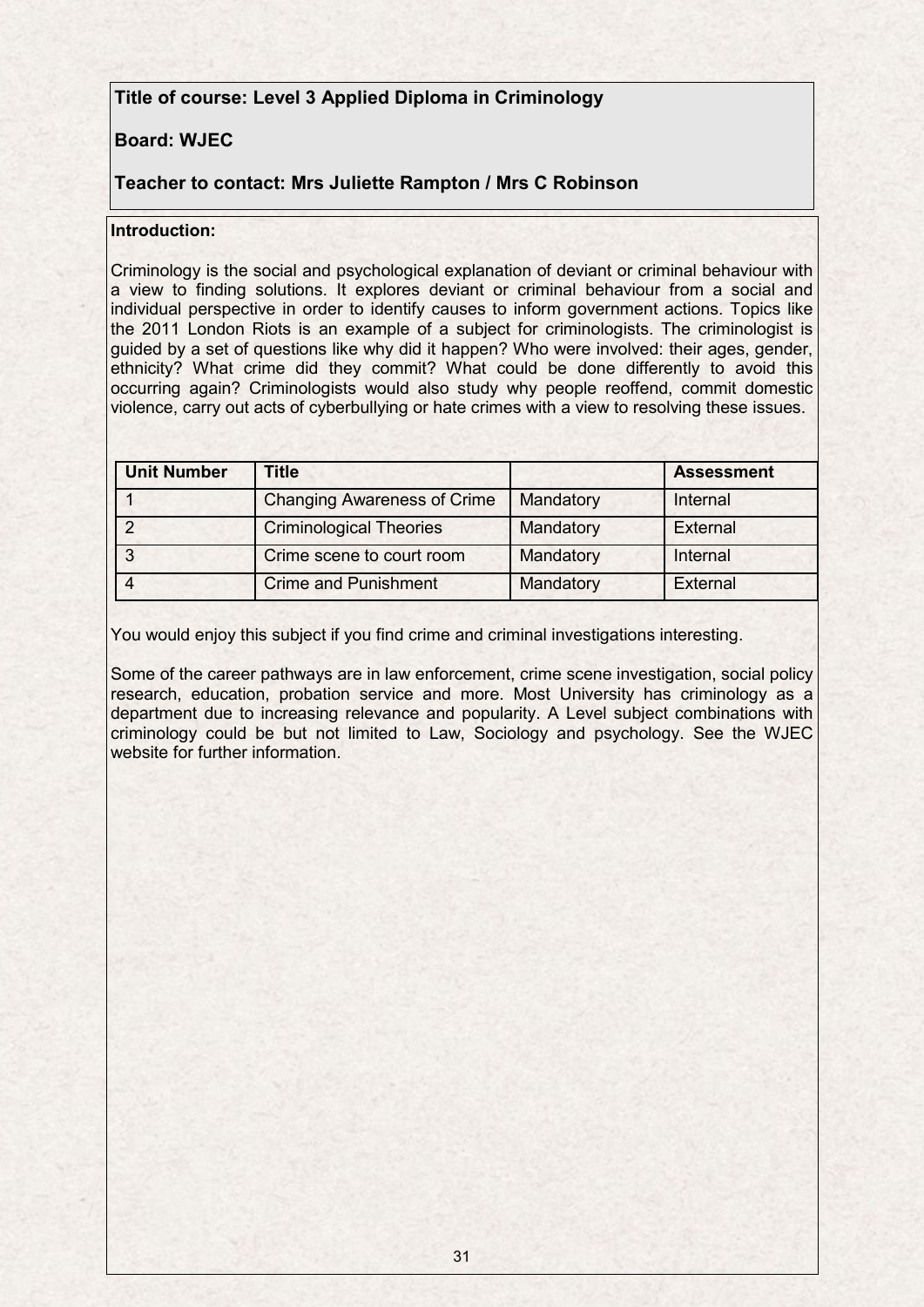# **Title of course: Level 3 Applied Diploma in Criminology**

# **Board: WJEC**

# **Teacher to contact: Mrs Juliette Rampton / Mrs C Robinson**

### **Introduction:**

Criminology is the social and psychological explanation of deviant or criminal behaviour with a view to finding solutions. It explores deviant or criminal behaviour from a social and individual perspective in order to identify causes to inform government actions. Topics like the 2011 London Riots is an example of a subject for criminologists. The criminologist is guided by a set of questions like why did it happen? Who were involved: their ages, gender, ethnicity? What crime did they commit? What could be done differently to avoid this occurring again? Criminologists would also study why people reoffend, commit domestic violence, carry out acts of cyberbullying or hate crimes with a view to resolving these issues.

| <b>Unit Number</b> | Title                              |           | <b>Assessment</b> |
|--------------------|------------------------------------|-----------|-------------------|
|                    | <b>Changing Awareness of Crime</b> | Mandatory | Internal          |
|                    | <b>Criminological Theories</b>     | Mandatory | External          |
|                    | Crime scene to court room          | Mandatory | Internal          |
|                    | <b>Crime and Punishment</b>        | Mandatory | External          |

You would enjoy this subject if you find crime and criminal investigations interesting.

Some of the career pathways are in law enforcement, crime scene investigation, social policy research, education, probation service and more. Most University has criminology as a department due to increasing relevance and popularity. A Level subject combinations with criminology could be but not limited to Law, Sociology and psychology. See the WJEC website for further information.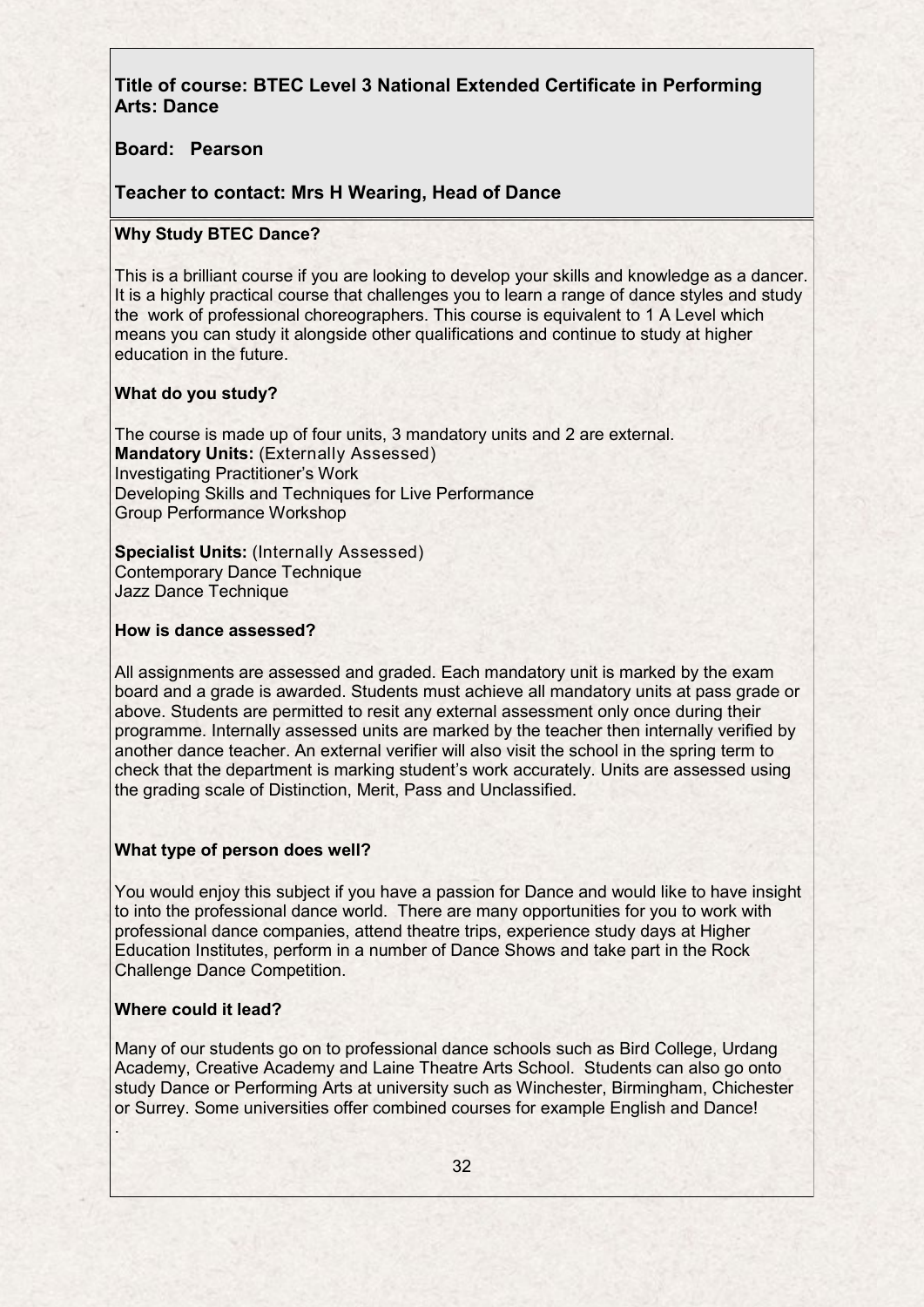**Title of course: BTEC Level 3 National Extended Certificate in Performing Arts: Dance**

**Board: Pearson**

**Teacher to contact: Mrs H Wearing, Head of Dance**

### **Why Study BTEC Dance?**

This is a brilliant course if you are looking to develop your skills and knowledge as a dancer. It is a highly practical course that challenges you to learn a range of dance styles and study the work of professional choreographers. This course is equivalent to 1 A Level which means you can study it alongside other qualifications and continue to study at higher education in the future.

### **What do you study?**

The course is made up of four units, 3 mandatory units and 2 are external. **Mandatory Units:** (Externally Assessed) Investigating Practitioner's Work Developing Skills and Techniques for Live Performance Group Performance Workshop

**Specialist Units:** (Internally Assessed) Contemporary Dance Technique Jazz Dance Technique

### **How is dance assessed?**

All assignments are assessed and graded. Each mandatory unit is marked by the exam board and a grade is awarded. Students must achieve all mandatory units at pass grade or above. Students are permitted to resit any external assessment only once during their programme. Internally assessed units are marked by the teacher then internally verified by another dance teacher. An external verifier will also visit the school in the spring term to check that the department is marking student's work accurately. Units are assessed using the grading scale of Distinction, Merit, Pass and Unclassified.

### **What type of person does well?**

You would enjoy this subject if you have a passion for Dance and would like to have insight to into the professional dance world. There are many opportunities for you to work with professional dance companies, attend theatre trips, experience study days at Higher Education Institutes, perform in a number of Dance Shows and take part in the Rock Challenge Dance Competition.

#### **Where could it lead?**

Many of our students go on to professional dance schools such as Bird College, Urdang Academy, Creative Academy and Laine Theatre Arts School. Students can also go onto study Dance or Performing Arts at university such as Winchester, Birmingham, Chichester or Surrey. Some universities offer combined courses for example English and Dance! .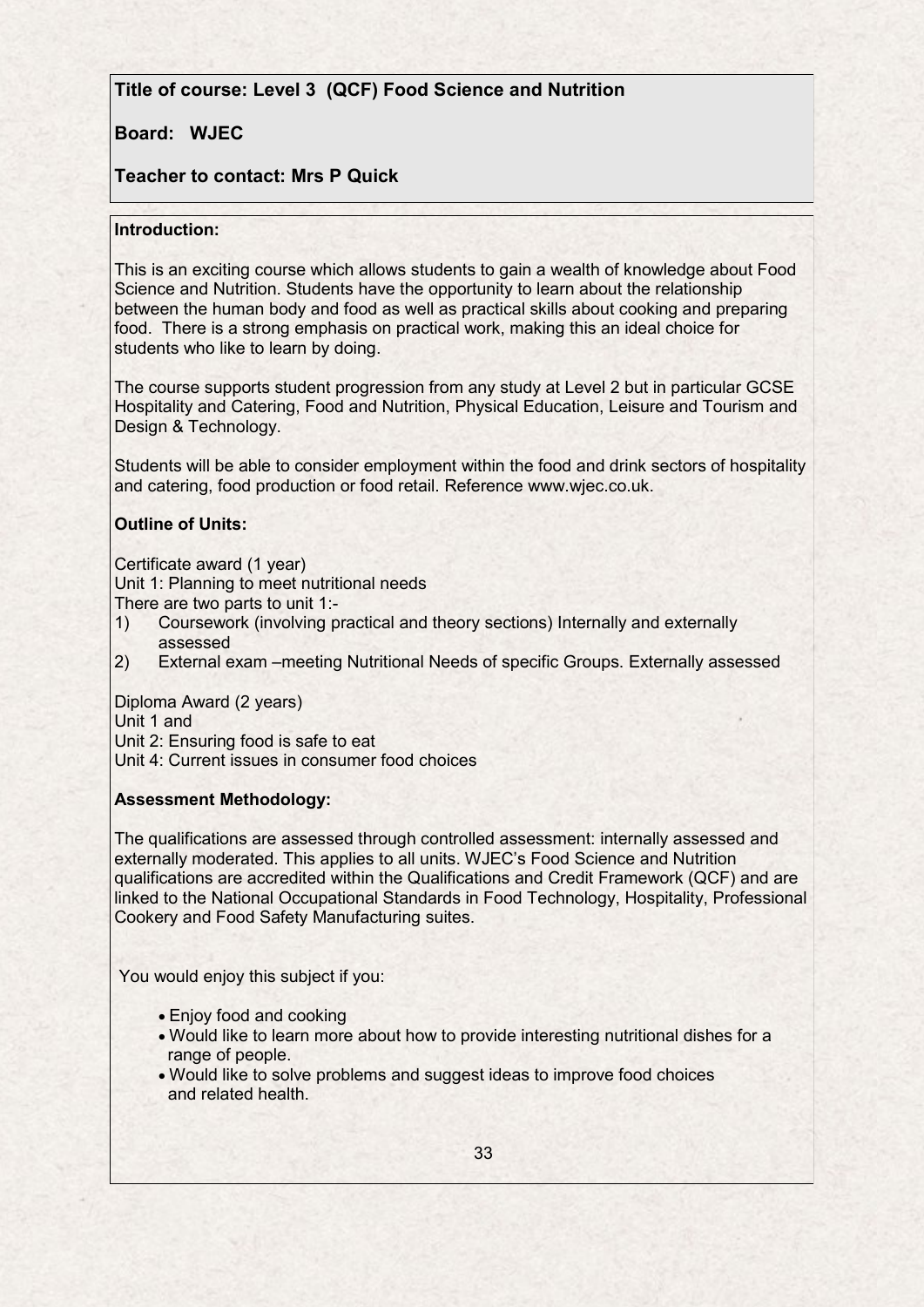# **Title of course: Level 3 (QCF) Food Science and Nutrition**

# **Board: WJEC**

# **Teacher to contact: Mrs P Quick**

### **Introduction:**

This is an exciting course which allows students to gain a wealth of knowledge about Food Science and Nutrition. Students have the opportunity to learn about the relationship between the human body and food as well as practical skills about cooking and preparing food. There is a strong emphasis on practical work, making this an ideal choice for students who like to learn by doing.

The course supports student progression from any study at Level 2 but in particular GCSE Hospitality and Catering, Food and Nutrition, Physical Education, Leisure and Tourism and Design & Technology.

Students will be able to consider employment within the food and drink sectors of hospitality and catering, food production or food retail. Reference www.wjec.co.uk.

## **Outline of Units:**

Certificate award (1 year)

Unit 1: Planning to meet nutritional needs

There are two parts to unit 1:-

- 1) Coursework (involving practical and theory sections) Internally and externally assessed
- 2) External exam –meeting Nutritional Needs of specific Groups. Externally assessed

Diploma Award (2 years)

Unit 1 and

Unit 2: Ensuring food is safe to eat

Unit 4: Current issues in consumer food choices

### **Assessment Methodology:**

The qualifications are assessed through controlled assessment: internally assessed and externally moderated. This applies to all units. WJEC's Food Science and Nutrition qualifications are accredited within the Qualifications and Credit Framework (QCF) and are linked to the National Occupational Standards in Food Technology, Hospitality, Professional Cookery and Food Safety Manufacturing suites.

You would enjoy this subject if you:

- Enjoy food and cooking
- Would like to learn more about how to provide interesting nutritional dishes for a range of people.
- Would like to solve problems and suggest ideas to improve food choices and related health.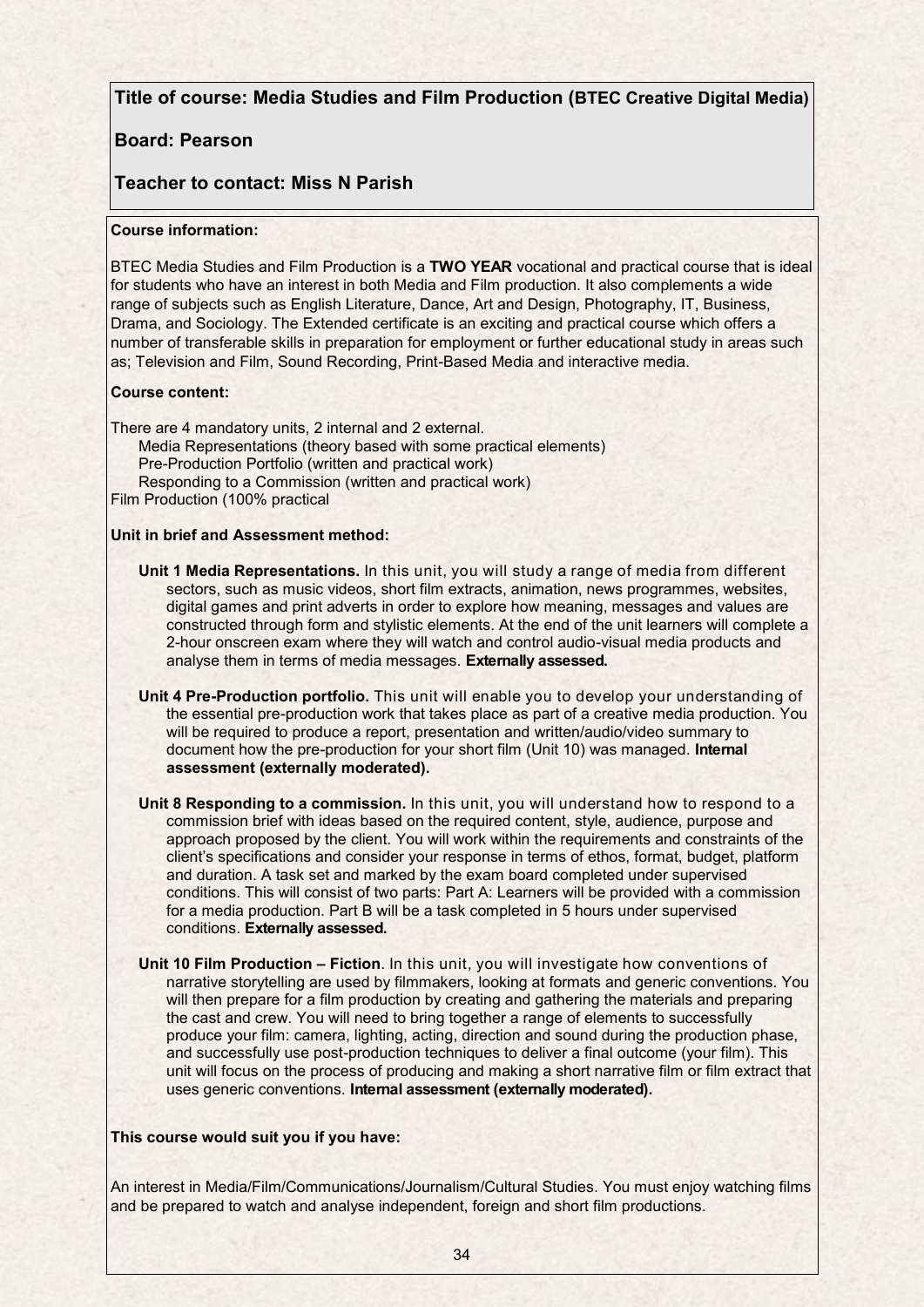### **Title of course: Media Studies and Film Production (BTEC Creative Digital Media)**

## **Board: Pearson**

## **Teacher to contact: Miss N Parish**

#### **Course information:**

BTEC Media Studies and Film Production is a **TWO YEAR** vocational and practical course that is ideal for students who have an interest in both Media and Film production. It also complements a wide range of subjects such as English Literature, Dance, Art and Design, Photography, IT, Business, Drama, and Sociology. The Extended certificate is an exciting and practical course which offers a number of transferable skills in preparation for employment or further educational study in areas such as; Television and Film, Sound Recording, Print-Based Media and interactive media.

#### **Course content:**

There are 4 mandatory units, 2 internal and 2 external. Media Representations (theory based with some practical elements) Pre-Production Portfolio (written and practical work) Responding to a Commission (written and practical work) Film Production (100% practical

#### **Unit in brief and Assessment method:**

- **Unit 1 Media Representations.** In this unit, you will study a range of media from different sectors, such as music videos, short film extracts, animation, news programmes, websites, digital games and print adverts in order to explore how meaning, messages and values are constructed through form and stylistic elements. At the end of the unit learners will complete a 2-hour onscreen exam where they will watch and control audio-visual media products and analyse them in terms of media messages. **Externally assessed.**
- **Unit 4 Pre-Production portfolio.** This unit will enable you to develop your understanding of the essential pre-production work that takes place as part of a creative media production. You will be required to produce a report, presentation and written/audio/video summary to document how the pre-production for your short film (Unit 10) was managed. **Internal assessment (externally moderated).**
- **Unit 8 Responding to a commission.** In this unit, you will understand how to respond to a commission brief with ideas based on the required content, style, audience, purpose and approach proposed by the client. You will work within the requirements and constraints of the client's specifications and consider your response in terms of ethos, format, budget, platform and duration. A task set and marked by the exam board completed under supervised conditions. This will consist of two parts: Part A: Learners will be provided with a commission for a media production. Part B will be a task completed in 5 hours under supervised conditions. **Externally assessed.**
- **Unit 10 Film Production – Fiction**. In this unit, you will investigate how conventions of narrative storytelling are used by filmmakers, looking at formats and generic conventions. You will then prepare for a film production by creating and gathering the materials and preparing the cast and crew. You will need to bring together a range of elements to successfully produce your film: camera, lighting, acting, direction and sound during the production phase, and successfully use post-production techniques to deliver a final outcome (your film). This unit will focus on the process of producing and making a short narrative film or film extract that uses generic conventions. **Internal assessment (externally moderated).**

#### **This course would suit you if you have:**

An interest in Media/Film/Communications/Journalism/Cultural Studies. You must enjoy watching films and be prepared to watch and analyse independent, foreign and short film productions.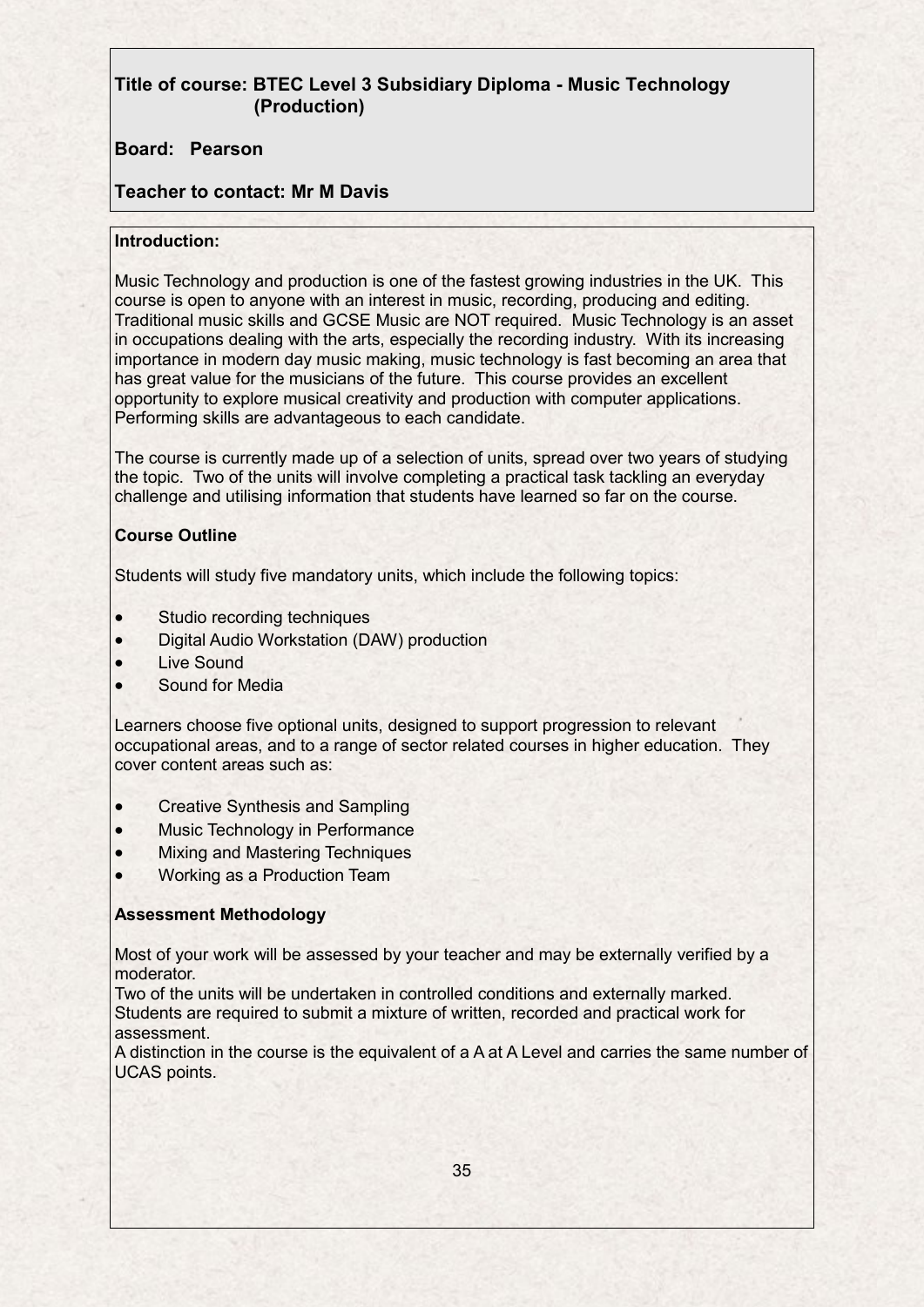# **Title of course: BTEC Level 3 Subsidiary Diploma - Music Technology (Production)**

## **Board: Pearson**

## **Teacher to contact: Mr M Davis**

### **Introduction:**

Music Technology and production is one of the fastest growing industries in the UK. This course is open to anyone with an interest in music, recording, producing and editing. Traditional music skills and GCSE Music are NOT required. Music Technology is an asset in occupations dealing with the arts, especially the recording industry. With its increasing importance in modern day music making, music technology is fast becoming an area that has great value for the musicians of the future. This course provides an excellent opportunity to explore musical creativity and production with computer applications. Performing skills are advantageous to each candidate.

The course is currently made up of a selection of units, spread over two years of studying the topic. Two of the units will involve completing a practical task tackling an everyday challenge and utilising information that students have learned so far on the course.

## **Course Outline**

Students will study five mandatory units, which include the following topics:

- Studio recording techniques
- Digital Audio Workstation (DAW) production
- Live Sound
- Sound for Media

Learners choose five optional units, designed to support progression to relevant occupational areas, and to a range of sector related courses in higher education. They cover content areas such as:

- Creative Synthesis and Sampling
- Music Technology in Performance
- Mixing and Mastering Techniques
- Working as a Production Team

### **Assessment Methodology**

Most of your work will be assessed by your teacher and may be externally verified by a moderator.

Two of the units will be undertaken in controlled conditions and externally marked. Students are required to submit a mixture of written, recorded and practical work for assessment.

A distinction in the course is the equivalent of a A at A Level and carries the same number of UCAS points.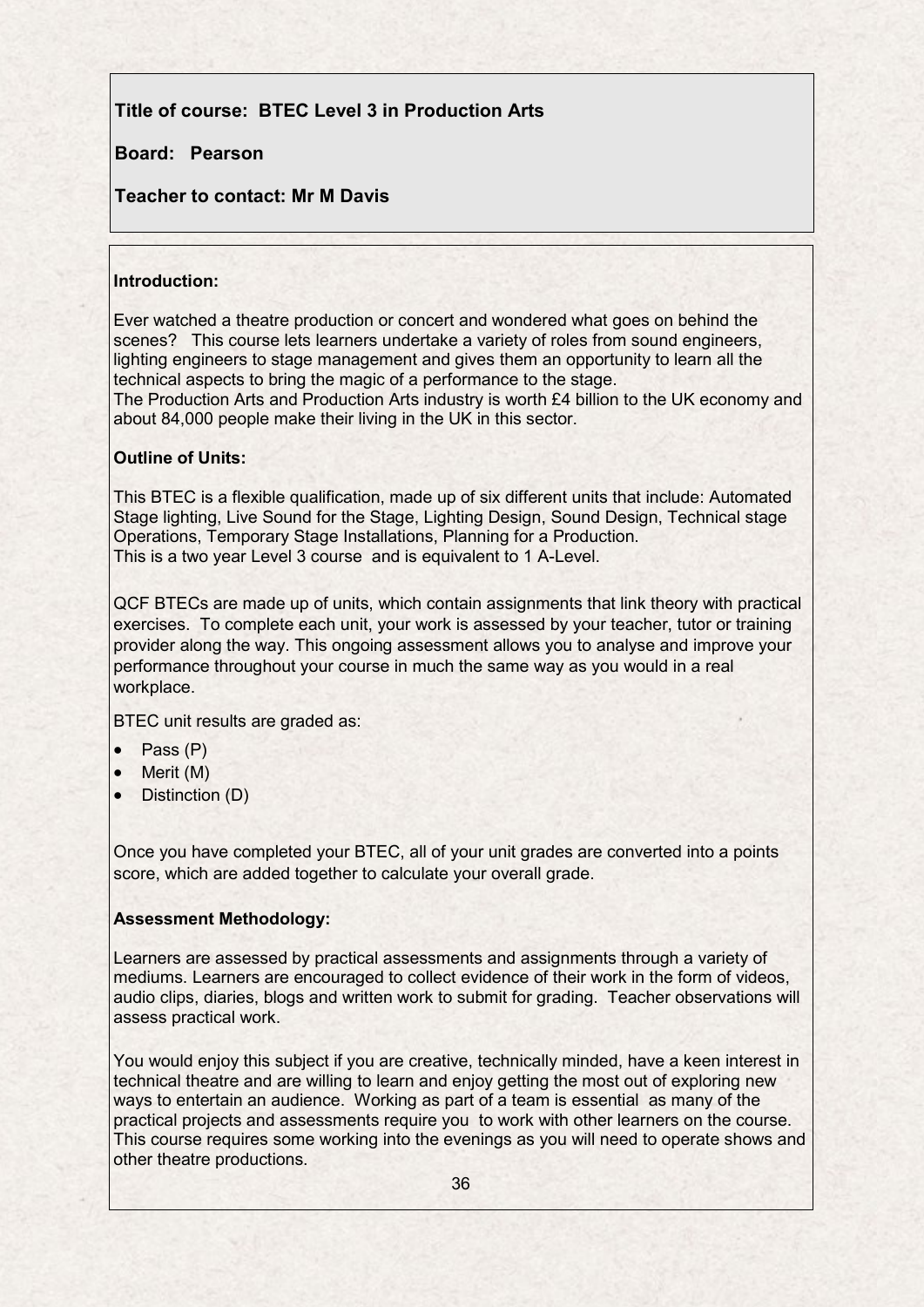# **Title of course: BTEC Level 3 in Production Arts**

# **Board: Pearson**

# **Teacher to contact: Mr M Davis**

### **Introduction:**

Ever watched a theatre production or concert and wondered what goes on behind the scenes? This course lets learners undertake a variety of roles from sound engineers, lighting engineers to stage management and gives them an opportunity to learn all the technical aspects to bring the magic of a performance to the stage. The Production Arts and Production Arts industry is worth £4 billion to the UK economy and about 84,000 people make their living in the UK in this sector.

## **Outline of Units:**

This BTEC is a flexible qualification, made up of six different units that include: Automated Stage lighting, Live Sound for the Stage, Lighting Design, Sound Design, Technical stage Operations, Temporary Stage Installations, Planning for a Production. This is a two year Level 3 course and is equivalent to 1 A-Level.

QCF BTECs are made up of units, which contain assignments that link theory with practical exercises. To complete each unit, your work is assessed by your teacher, tutor or training provider along the way. This ongoing assessment allows you to analyse and improve your performance throughout your course in much the same way as you would in a real workplace.

BTEC unit results are graded as:

- Pass (P)
- Merit (M)
- Distinction (D)

Once you have completed your BTEC, all of your unit grades are converted into a points score, which are added together to calculate your overall grade.

### **Assessment Methodology:**

Learners are assessed by practical assessments and assignments through a variety of mediums. Learners are encouraged to collect evidence of their work in the form of videos, audio clips, diaries, blogs and written work to submit for grading. Teacher observations will assess practical work.

You would enjoy this subject if you are creative, technically minded, have a keen interest in technical theatre and are willing to learn and enjoy getting the most out of exploring new ways to entertain an audience. Working as part of a team is essential as many of the practical projects and assessments require you to work with other learners on the course. This course requires some working into the evenings as you will need to operate shows and other theatre productions.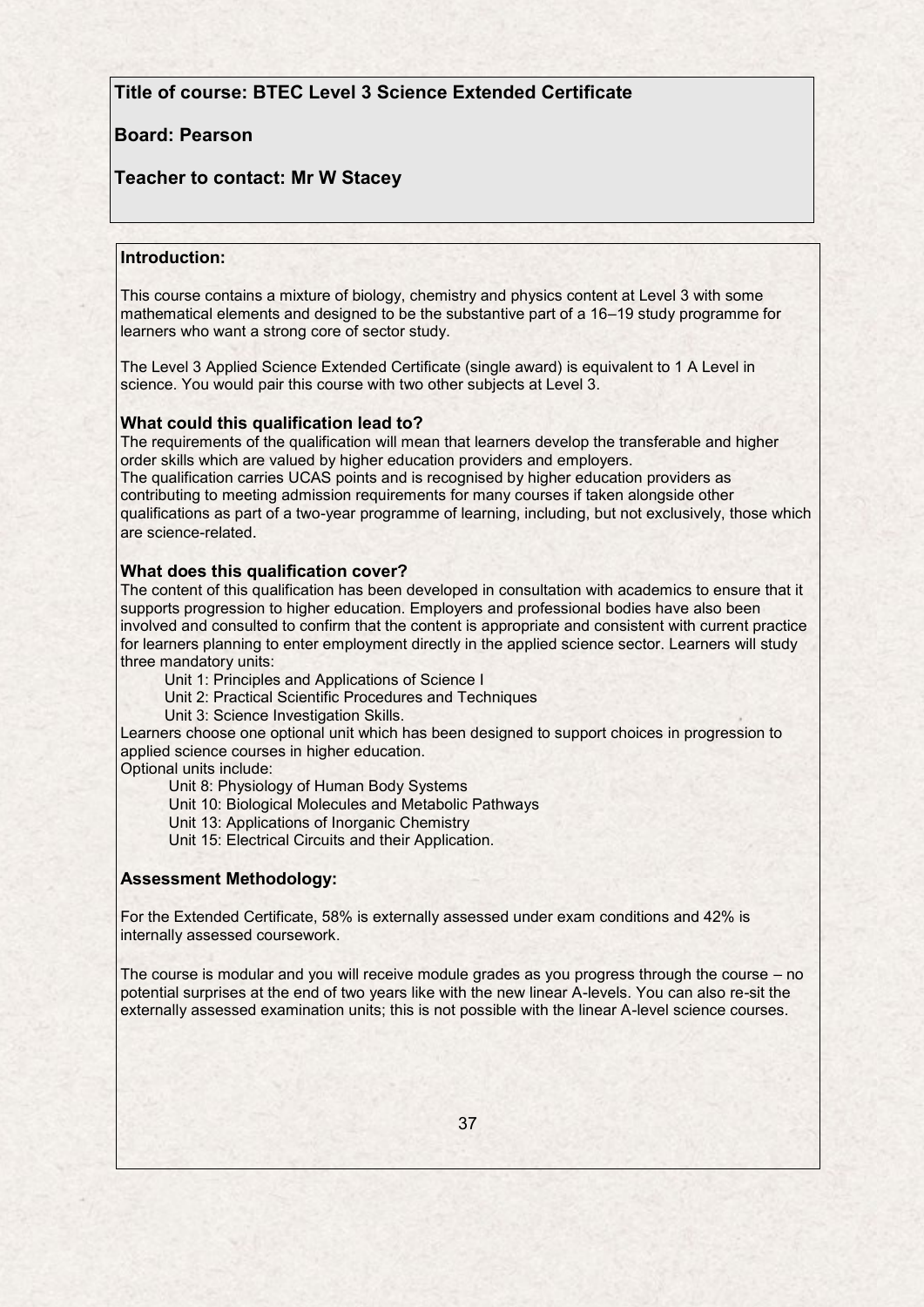### **Title of course: BTEC Level 3 Science Extended Certificate**

### **Board: Pearson**

### **Teacher to contact: Mr W Stacey**

#### **Introduction:**

This course contains a mixture of biology, chemistry and physics content at Level 3 with some mathematical elements and designed to be the substantive part of a 16–19 study programme for learners who want a strong core of sector study.

The Level 3 Applied Science Extended Certificate (single award) is equivalent to 1 A Level in science. You would pair this course with two other subjects at Level 3.

#### **What could this qualification lead to?**

The requirements of the qualification will mean that learners develop the transferable and higher order skills which are valued by higher education providers and employers. The qualification carries UCAS points and is recognised by higher education providers as contributing to meeting admission requirements for many courses if taken alongside other qualifications as part of a two-year programme of learning, including, but not exclusively, those which are science-related.

#### **What does this qualification cover?**

The content of this qualification has been developed in consultation with academics to ensure that it supports progression to higher education. Employers and professional bodies have also been involved and consulted to confirm that the content is appropriate and consistent with current practice for learners planning to enter employment directly in the applied science sector. Learners will study three mandatory units:

Unit 1: Principles and Applications of Science I

Unit 2: Practical Scientific Procedures and Techniques

Unit 3: Science Investigation Skills.

Learners choose one optional unit which has been designed to support choices in progression to applied science courses in higher education.

Optional units include:

Unit 8: Physiology of Human Body Systems

Unit 10: Biological Molecules and Metabolic Pathways

Unit 13: Applications of Inorganic Chemistry

Unit 15: Electrical Circuits and their Application.

#### **Assessment Methodology:**

For the Extended Certificate, 58% is externally assessed under exam conditions and 42% is internally assessed coursework.

The course is modular and you will receive module grades as you progress through the course – no potential surprises at the end of two years like with the new linear A-levels. You can also re-sit the externally assessed examination units; this is not possible with the linear A-level science courses.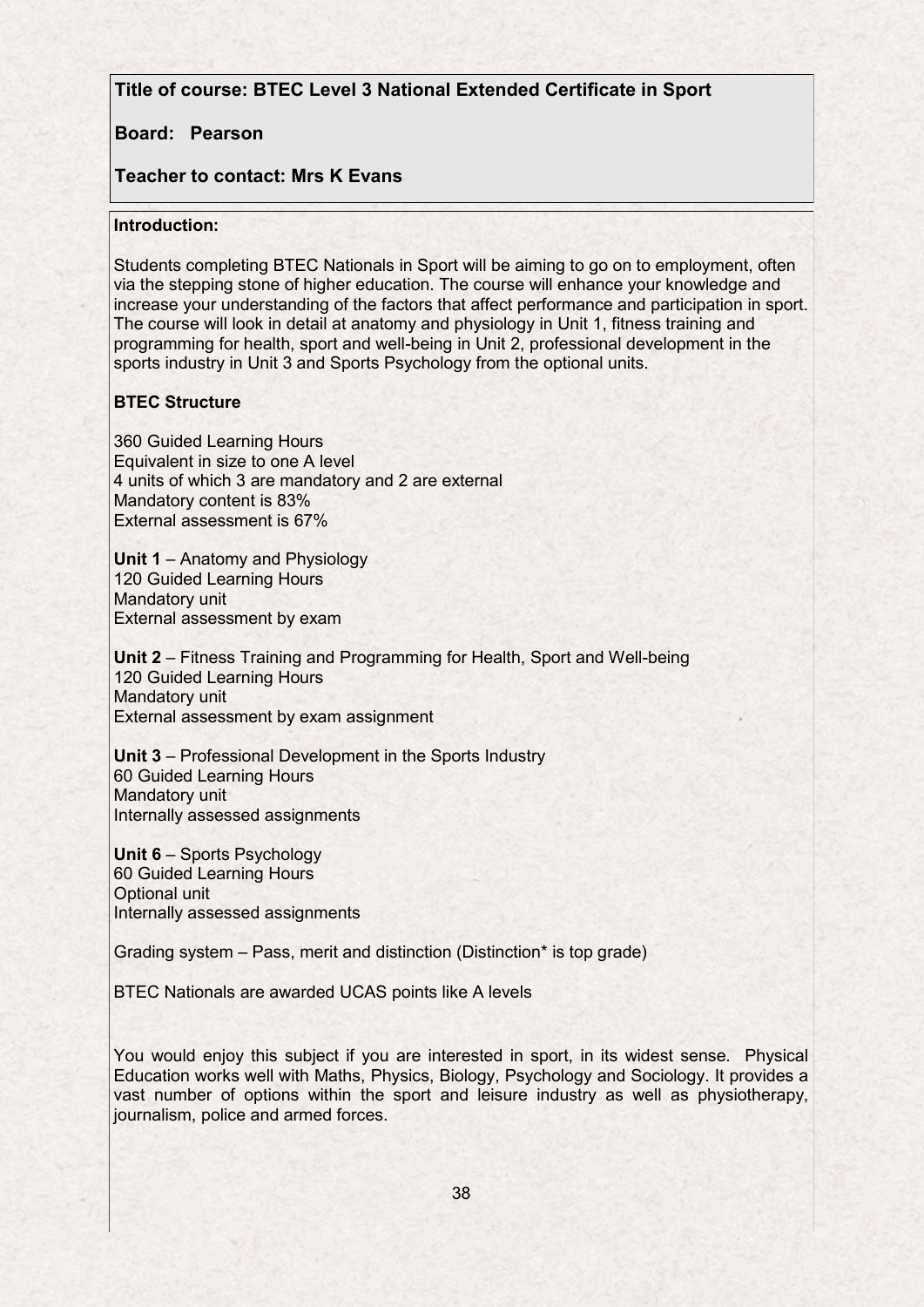## **Title of course: BTEC Level 3 National Extended Certificate in Sport**

### **Board: Pearson**

# **Teacher to contact: Mrs K Evans**

### **Introduction:**

Students completing BTEC Nationals in Sport will be aiming to go on to employment, often via the stepping stone of higher education. The course will enhance your knowledge and increase your understanding of the factors that affect performance and participation in sport. The course will look in detail at anatomy and physiology in Unit 1, fitness training and programming for health, sport and well-being in Unit 2, professional development in the sports industry in Unit 3 and Sports Psychology from the optional units.

## **BTEC Structure**

360 Guided Learning Hours Equivalent in size to one A level 4 units of which 3 are mandatory and 2 are external Mandatory content is 83% External assessment is 67%

**Unit 1** – Anatomy and Physiology 120 Guided Learning Hours Mandatory unit External assessment by exam

**Unit 2** – Fitness Training and Programming for Health, Sport and Well-being 120 Guided Learning Hours Mandatory unit External assessment by exam assignment

**Unit 3** – Professional Development in the Sports Industry 60 Guided Learning Hours Mandatory unit Internally assessed assignments

**Unit 6** – Sports Psychology 60 Guided Learning Hours Optional unit Internally assessed assignments

Grading system – Pass, merit and distinction (Distinction\* is top grade)

BTEC Nationals are awarded UCAS points like A levels

You would enjoy this subject if you are interested in sport, in its widest sense. Physical Education works well with Maths, Physics, Biology, Psychology and Sociology. It provides a vast number of options within the sport and leisure industry as well as physiotherapy, journalism, police and armed forces.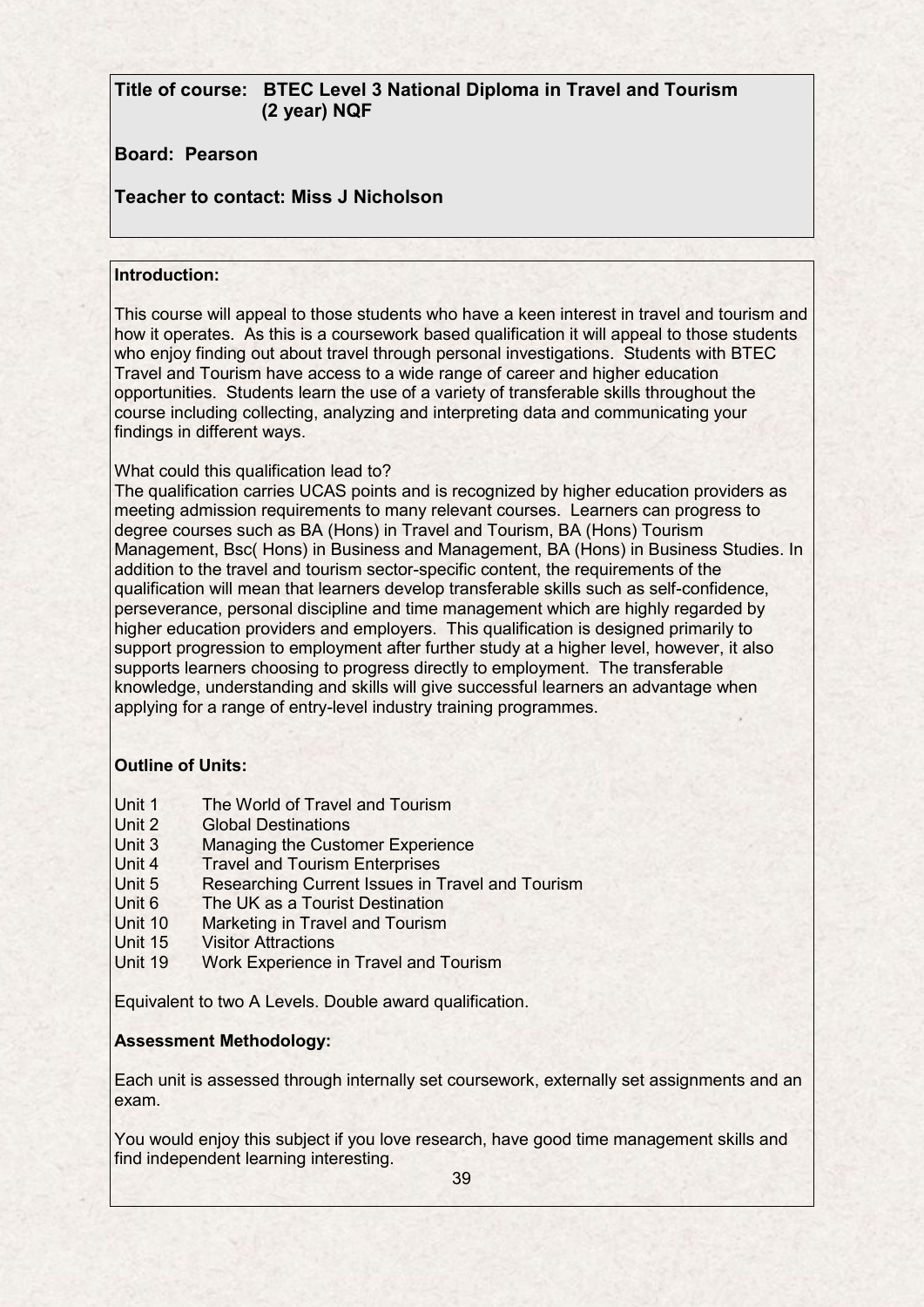# **Title of course: BTEC Level 3 National Diploma in Travel and Tourism (2 year) NQF**

# **Board: Pearson**

# **Teacher to contact: Miss J Nicholson**

### **Introduction:**

This course will appeal to those students who have a keen interest in travel and tourism and how it operates. As this is a coursework based qualification it will appeal to those students who enjoy finding out about travel through personal investigations. Students with BTEC Travel and Tourism have access to a wide range of career and higher education opportunities. Students learn the use of a variety of transferable skills throughout the course including collecting, analyzing and interpreting data and communicating your findings in different ways.

### What could this qualification lead to?

The qualification carries UCAS points and is recognized by higher education providers as meeting admission requirements to many relevant courses. Learners can progress to degree courses such as BA (Hons) in Travel and Tourism, BA (Hons) Tourism Management, Bsc( Hons) in Business and Management, BA (Hons) in Business Studies. In addition to the travel and tourism sector-specific content, the requirements of the qualification will mean that learners develop transferable skills such as self-confidence, perseverance, personal discipline and time management which are highly regarded by higher education providers and employers. This qualification is designed primarily to support progression to employment after further study at a higher level, however, it also supports learners choosing to progress directly to employment. The transferable knowledge, understanding and skills will give successful learners an advantage when applying for a range of entry-level industry training programmes.

### **Outline of Units:**

- Unit 1 The World of Travel and Tourism
- Unit 2 Global Destinations
- Unit 3 Managing the Customer Experience
- Unit 4 Travel and Tourism Enterprises
- Unit 5 Researching Current Issues in Travel and Tourism
- Unit 6 The UK as a Tourist Destination
- Unit 10 Marketing in Travel and Tourism
- Unit 15 Visitor Attractions
- Unit 19 Work Experience in Travel and Tourism

Equivalent to two A Levels. Double award qualification.

### **Assessment Methodology:**

Each unit is assessed through internally set coursework, externally set assignments and an exam.

You would enjoy this subject if you love research, have good time management skills and find independent learning interesting.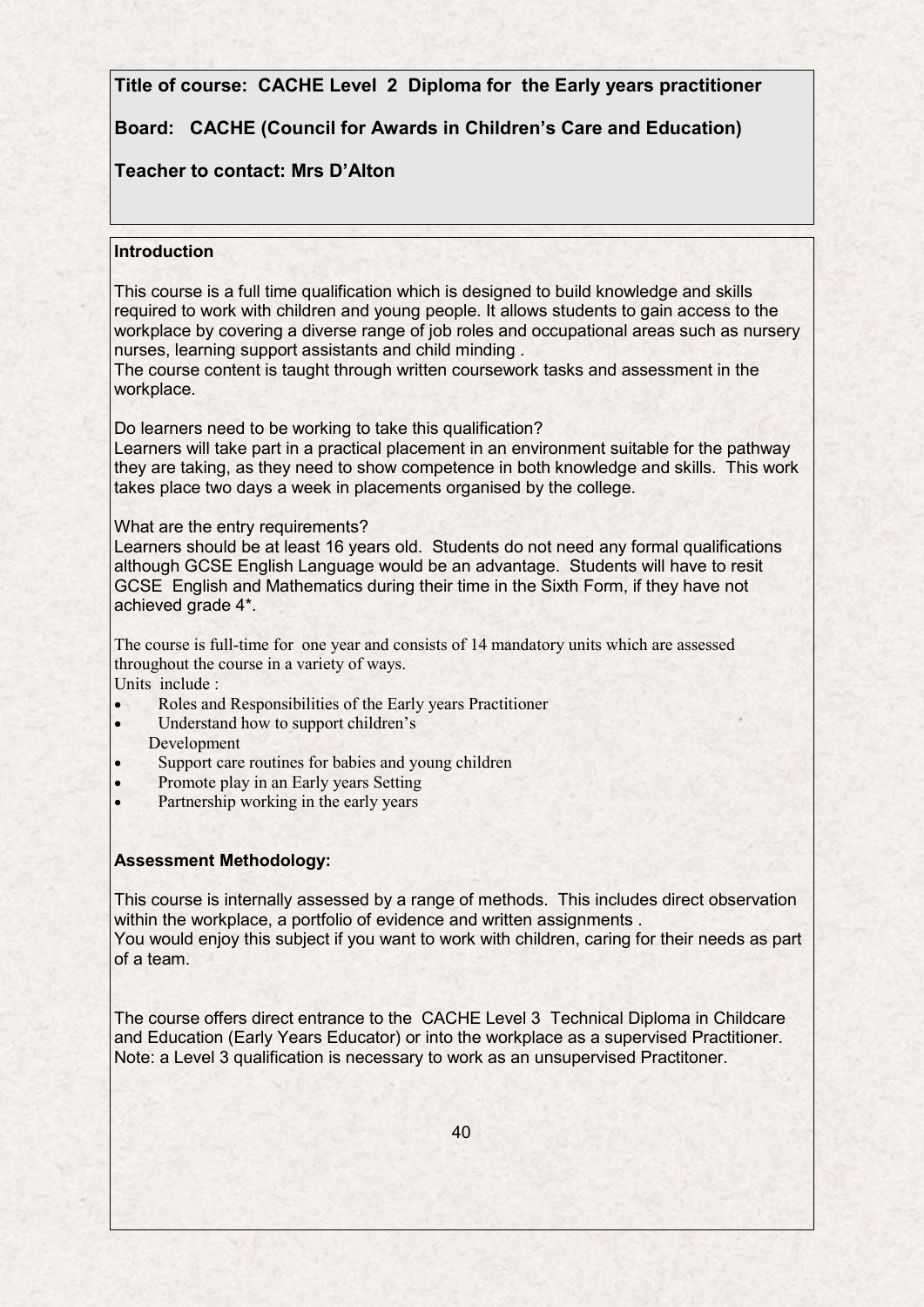**Title of course: CACHE Level 2 Diploma for the Early years practitioner**

# **Board: CACHE (Council for Awards in Children's Care and Education)**

# **Teacher to contact: Mrs D'Alton**

### **Introduction**

This course is a full time qualification which is designed to build knowledge and skills required to work with children and young people. It allows students to gain access to the workplace by covering a diverse range of job roles and occupational areas such as nursery nurses, learning support assistants and child minding .

The course content is taught through written coursework tasks and assessment in the workplace.

Do learners need to be working to take this qualification?

Learners will take part in a practical placement in an environment suitable for the pathway they are taking, as they need to show competence in both knowledge and skills. This work takes place two days a week in placements organised by the college.

What are the entry requirements?

Learners should be at least 16 years old. Students do not need any formal qualifications although GCSE English Language would be an advantage. Students will have to resit GCSE English and Mathematics during their time in the Sixth Form, if they have not achieved grade 4\*.

The course is full-time for one year and consists of 14 mandatory units which are assessed throughout the course in a variety of ways.

Units include :

- Roles and Responsibilities of the Early years Practitioner
- Understand how to support children's Development
- Support care routines for babies and young children
- Promote play in an Early years Setting
- Partnership working in the early years

### **Assessment Methodology:**

This course is internally assessed by a range of methods. This includes direct observation within the workplace, a portfolio of evidence and written assignments. You would enjoy this subject if you want to work with children, caring for their needs as part of a team.

The course offers direct entrance to the CACHE Level 3 Technical Diploma in Childcare and Education (Early Years Educator) or into the workplace as a supervised Practitioner. Note: a Level 3 qualification is necessary to work as an unsupervised Practitoner.